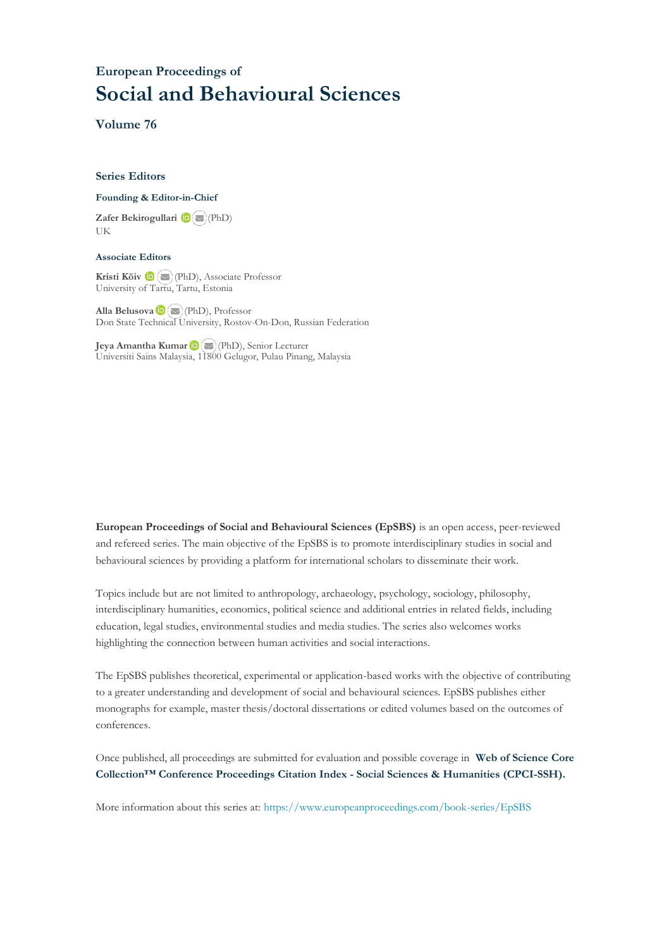## **European Proceedings of Social and Behavioural Sciences**

**Volume 76**

#### **Series Editors**

#### **Founding & Editor-in-Chief**

**Zafer Bekirogullari**(PhD) UK

#### **Associate Editors**

**Kristi Köiv** (PhD), Associate Professor University of Tartu, Tartu, Estonia

**Alla Belusova**(PhD), Professor Don State Technical University, Rostov-On-Don, Russian Federation

**Jeya Amantha Kumar**(PhD), Senior Lecturer Universiti Sains Malaysia, [1180](mailto:amantha@usm.my)0 Gelugor, Pulau Pinang, Malaysia

**European Proceedings of Social and Behavioural Sciences (EpSBS)** is an open access, peer-reviewed and refereed series. The main objective of the EpSBS is to promote interdisciplinary studies in social and behavioural sciences by providing a platform for international scholars to disseminate their work.

Topics include but are not limited to anthropology, archaeology, psychology, sociology, philosophy, interdisciplinary humanities, economics, political science and additional entries in related fields, including education, legal studies, environmental studies and media studies. The series also welcomes works highlighting the connection between human activities and social interactions.

The EpSBS publishes theoretical, experimental or application-based works with the objective of contributing to a greater understanding and development of social and behavioural sciences. EpSBS publishes either monographs for example, master thesis/doctoral dissertations or edited volumes based on the outcomes of conferences.

Once published, all proceedings are submitted for evaluation and possible coverage in **Web of [Science](https://clarivate.com/webofsciencegroup/solutions/webofscience-cpci/) Core Collection™ Conference Proceedings Citation Index - Social Sciences & Humanities [\(CPCI-SSH\).](https://clarivate.com/webofsciencegroup/solutions/webofscience-cpci/)**

More information about this series at[: https://www.europeanproceedings.com/book-series/EpSBS](https://www.europeanproceedings.com/book-series/EpSBS)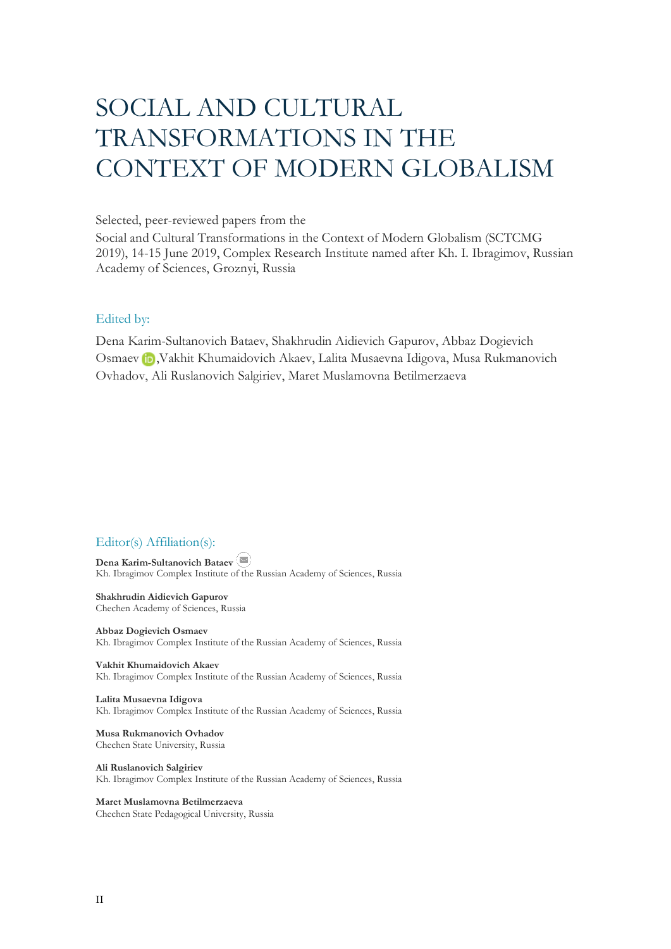# SOCIAL AND CULTURAL TRANSFORMATIONS IN THE CONTEXT OF MODERN GLOBALISM

### Selected, peer-reviewed papers from the

Social and Cultural Transformations in the Context of Modern Globalism (SCTCMG 2019), 14-15 June 2019, Complex Research Institute named after Kh. I. Ibragimov, Russian Academy of Sciences, Groznyi, Russia

### Edited by:

Dena Karim-Sultanovich Bataev, Shakhrudin Aidievich Gapurov, Abbaz Dogievich Osmaev**iD**, Vakhit Khumaidovich Akaev, Lalita Musaevna Idigova, Musa Rukmanovich Ovhadov, Ali Ruslanovich Salgiriev, Maret Muslamovna Betilmerzaeva

## Editor(s) Affiliation(s):

**Dena Karim-Sultanovich Bataev** Kh. Ibragimov Complex Institute of the Russian Academy of Sciences, Russia

**Shakhrudin Aidievich Gapurov** Chechen Academy of Sciences, Russia

**Abbaz Dogievich Osmaev** Kh. Ibragimov Complex Institute of the Russian Academy of Sciences, Russia

**Vakhit Khumaidovich Akaev** Kh. Ibragimov Complex Institute of the Russian Academy of Sciences, Russia

**Lalita Musaevna Idigova** Kh. Ibragimov Complex Institute of the Russian Academy of Sciences, Russia

**Musa Rukmanovich Ovhadov** Chechen State University, Russia

**Ali Ruslanovich Salgiriev** Kh. Ibragimov Complex Institute of the Russian Academy of Sciences, Russia

**Maret Muslamovna Betilmerzaeva** Chechen State Pedagogical University, Russia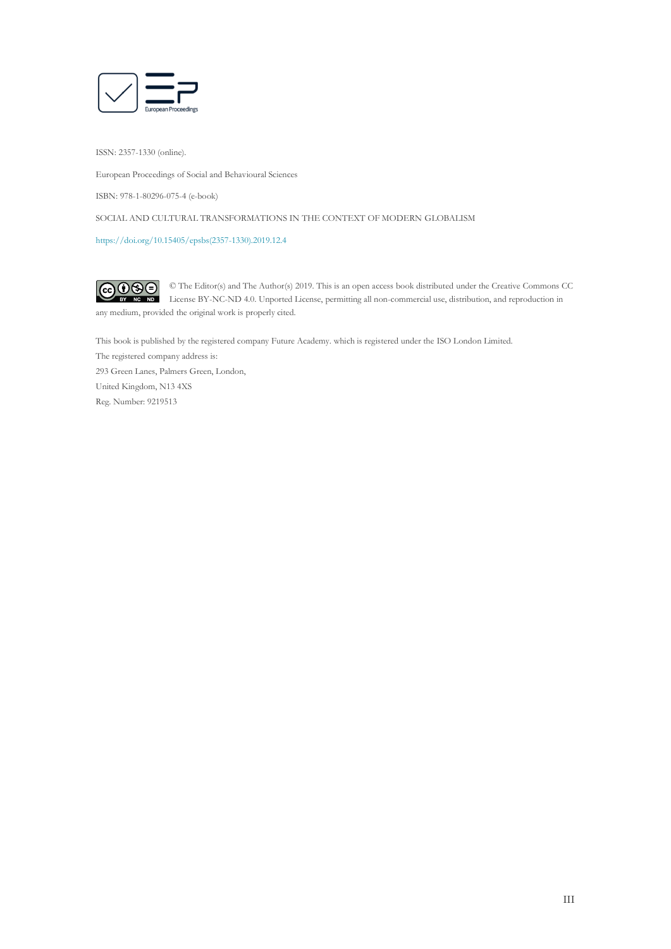

ISSN: 2357-1330 (online).

European Proceedings of Social and Behavioural Sciences

ISBN: 978-1-80296-075-4 (e-book)

SOCIAL AND CULTURAL TRANSFORMATIONS IN THE CONTEXT OF MODERN GLOBALISM

[https://doi.org/10.15405/epsbs\(2357-1330\).2019.12.4](https://doi.org/10.15405/epsbs(2357-1330).2019.12.4)

 $G \odot \odot$ © The Editor(s) and The Author(s) 2019. This is an open access book distributed under the Creative Commons CC License BY-NC-ND 4.0. Unported License, permitting all non-commercial use, distribution, and reproduction in any medium, provided the original work is properly cited.

This book is published by the registered company Future Academy. which is registered under the ISO London Limited. The registered company address is: 293 Green Lanes, Palmers Green, London, United Kingdom, N13 4XS Reg. Number: 9219513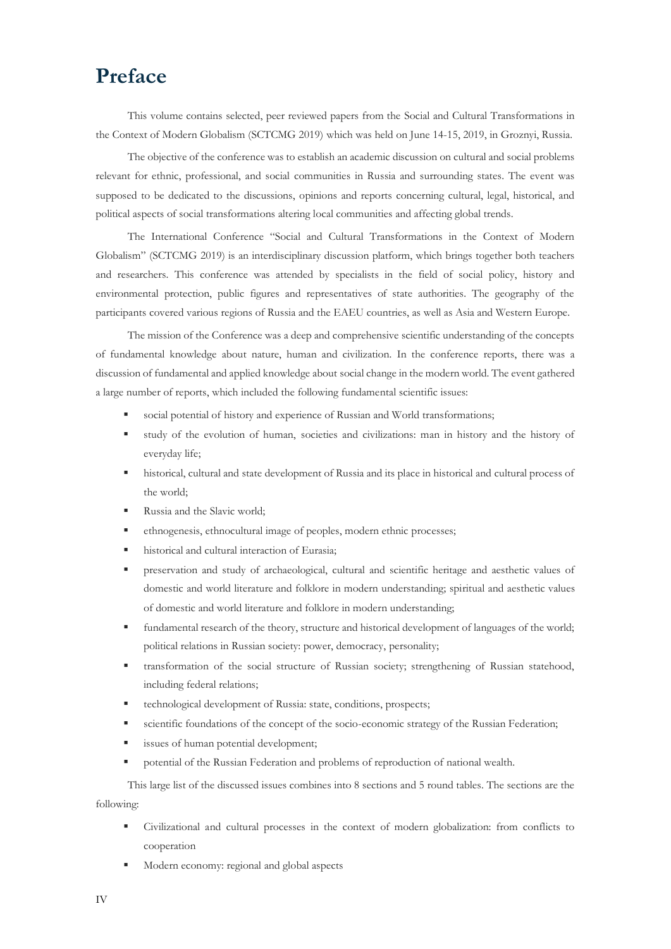## **Preface**

This volume contains selected, peer reviewed papers from the Social and Cultural Transformations in the Context of Modern Globalism (SCTCMG 2019) which was held on June 14-15, 2019, in Groznyi, Russia.

The objective of the conference was to establish an academic discussion on cultural and social problems relevant for ethnic, professional, and social communities in Russia and surrounding states. The event was supposed to be dedicated to the discussions, opinions and reports concerning cultural, legal, historical, and political aspects of social transformations altering local communities and affecting global trends.

The International Conference "Social and Cultural Transformations in the Context of Modern Globalism" (SCTCMG 2019) is an interdisciplinary discussion platform, which brings together both teachers and researchers. This conference was attended by specialists in the field of social policy, history and environmental protection, public figures and representatives of state authorities. The geography of the participants covered various regions of Russia and the EAEU countries, as well as Asia and Western Europe.

The mission of the Conference was a deep and comprehensive scientific understanding of the concepts of fundamental knowledge about nature, human and civilization. In the conference reports, there was a discussion of fundamental and applied knowledge about social change in the modern world. The event gathered a large number of reports, which included the following fundamental scientific issues:

- social potential of history and experience of Russian and World transformations;
- study of the evolution of human, societies and civilizations: man in history and the history of everyday life;
- historical, cultural and state development of Russia and its place in historical and cultural process of the world;
- Russia and the Slavic world;
- ethnogenesis, ethnocultural image of peoples, modern ethnic processes;
- historical and cultural interaction of Eurasia;
- preservation and study of archaeological, cultural and scientific heritage and aesthetic values of domestic and world literature and folklore in modern understanding; spiritual and aesthetic values of domestic and world literature and folklore in modern understanding;
- fundamental research of the theory, structure and historical development of languages of the world; political relations in Russian society: power, democracy, personality;
- transformation of the social structure of Russian society; strengthening of Russian statehood, including federal relations;
- technological development of Russia: state, conditions, prospects;
- scientific foundations of the concept of the socio-economic strategy of the Russian Federation;
- **■** issues of human potential development;
- potential of the Russian Federation and problems of reproduction of national wealth.

This large list of the discussed issues combines into 8 sections and 5 round tables. The sections are the following:

- Civilizational and cultural processes in the context of modern globalization: from conflicts to cooperation
- Modern economy: regional and global aspects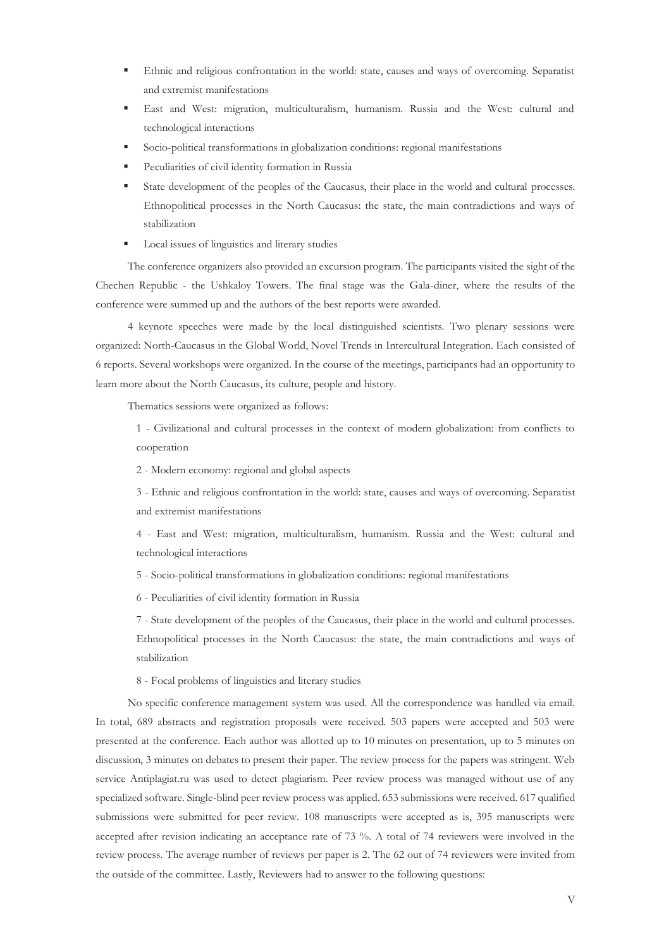- Ethnic and religious confrontation in the world: state, causes and ways of overcoming. Separatist and extremist manifestations
- East and West: migration, multiculturalism, humanism. Russia and the West: cultural and technological interactions
- Socio-political transformations in globalization conditions: regional manifestations
- Peculiarities of civil identity formation in Russia
- State development of the peoples of the Caucasus, their place in the world and cultural processes. Ethnopolitical processes in the North Caucasus: the state, the main contradictions and ways of stabilization
- Local issues of linguistics and literary studies

The conference organizers also provided an excursion program. The participants visited the sight of the Chechen Republic - the Ushkaloy Towers. The final stage was the Gala-diner, where the results of the conference were summed up and the authors of the best reports were awarded.

4 keynote speeches were made by the local distinguished scientists. Two plenary sessions were organized: North-Caucasus in the Global World, Novel Trends in Intercultural Integration. Each consisted of 6 reports. Several workshops were organized. In the course of the meetings, participants had an opportunity to learn more about the North Caucasus, its culture, people and history.

Thematics sessions were organized as follows:

1 - Civilizational and cultural processes in the context of modern globalization: from conflicts to cooperation

2 - Modern economy: regional and global aspects

3 - Ethnic and religious confrontation in the world: state, causes and ways of overcoming. Separatist and extremist manifestations

4 - East and West: migration, multiculturalism, humanism. Russia and the West: cultural and technological interactions

5 - Socio-political transformations in globalization conditions: regional manifestations

6 - Peculiarities of civil identity formation in Russia

7 - State development of the peoples of the Caucasus, their place in the world and cultural processes. Ethnopolitical processes in the North Caucasus: the state, the main contradictions and ways of stabilization

8 - Focal problems of linguistics and literary studies

No specific conference management system was used. All the correspondence was handled via email. In total, 689 abstracts and registration proposals were received. 503 papers were accepted and 503 were presented at the conference. Each author was allotted up to 10 minutes on presentation, up to 5 minutes on discussion, 3 minutes on debates to present their paper. The review process for the papers was stringent. Web service Antiplagiat.ru was used to detect plagiarism. Peer review process was managed without use of any specialized software. Single-blind peer review process was applied. 653 submissions were received. 617 qualified submissions were submitted for peer review. 108 manuscripts were accepted as is, 395 manuscripts were accepted after revision indicating an acceptance rate of 73 %. A total of 74 reviewers were involved in the review process. The average number of reviews per paper is 2. The 62 out of 74 reviewers were invited from the outside of the committee. Lastly, Reviewers had to answer to the following questions: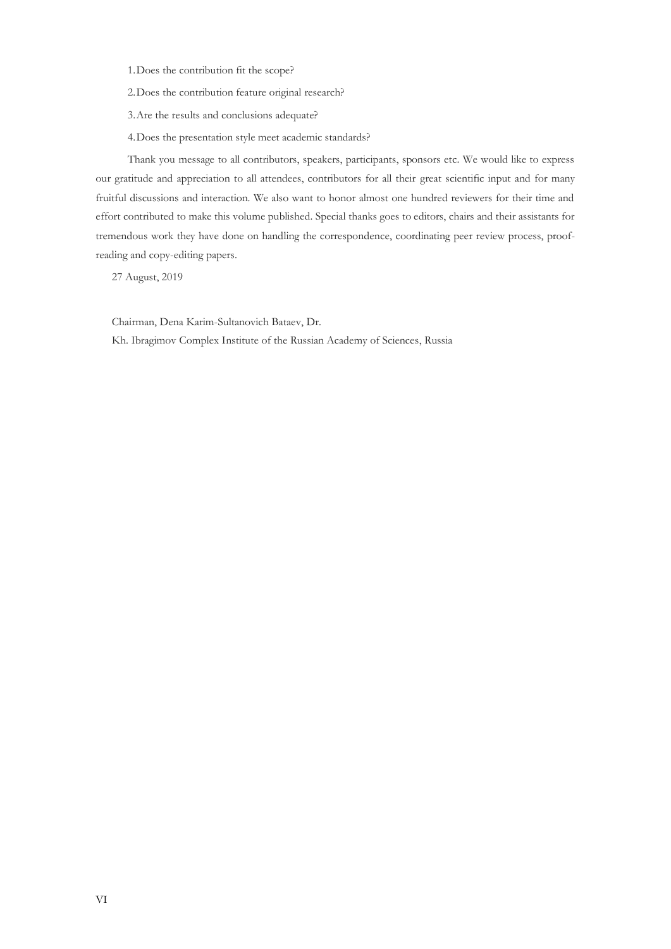1.Does the contribution fit the scope?

2.Does the contribution feature original research?

3.Are the results and conclusions adequate?

4.Does the presentation style meet academic standards?

Thank you message to all contributors, speakers, participants, sponsors etc. We would like to express our gratitude and appreciation to all attendees, contributors for all their great scientific input and for many fruitful discussions and interaction. We also want to honor almost one hundred reviewers for their time and effort contributed to make this volume published. Special thanks goes to editors, chairs and their assistants for tremendous work they have done on handling the correspondence, coordinating peer review process, proofreading and copy-editing papers.

27 August, 2019

Chairman, Dena Karim-Sultanovich Bataev, Dr.

Kh. Ibragimov Complex Institute of the Russian Academy of Sciences, Russia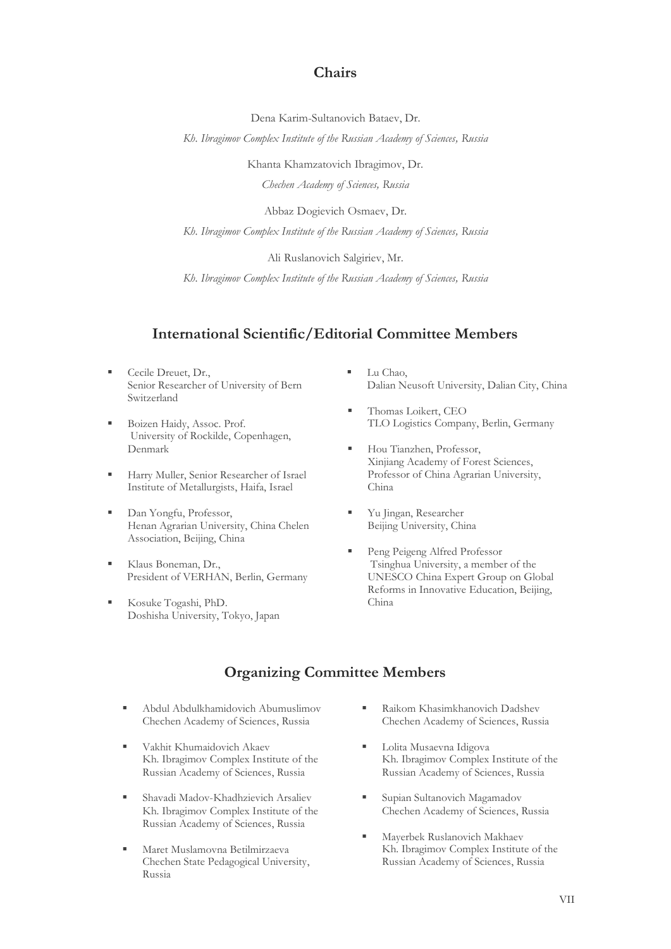## **Chairs**

Dena Karim-Sultanovich Bataev, Dr.

*Kh. Ibragimov Complex Institute of the Russian Academy of Sciences, Russia*

Khanta Khamzatovich Ibragimov, Dr.

*Chechen Academy of Sciences, Russia*

Abbaz Dogievich Osmaev, Dr.

*Kh. Ibragimov Complex Institute of the Russian Academy of Sciences, Russia*

Ali Ruslanovich Salgiriev, Mr.

*Kh. Ibragimov Complex Institute of the Russian Academy of Sciences, Russia*

## **International Scientific/Editorial Committee Members**

- Cecile Dreuet, Dr., Senior Researcher of University of Bern Switzerland
- Boizen Haidy, Assoc. Prof. University of Rockilde, Copenhagen, Denmark
- Harry Muller, Senior Researcher of Israel Institute of Metallurgists, Haifa, Israel
- Dan Yongfu, Professor, Henan Agrarian University, China Chelen Association, Beijing, China
- Klaus Boneman, Dr., President of VERHAN, Berlin, Germany
- Kosuke Togashi, PhD. Doshisha University, Tokyo, Japan
- Lu Chao, Dalian Neusoft University, Dalian City, China
- Thomas Loikert, CEO TLO Logistics Company, Berlin, Germany
- Hou Tianzhen, Professor, Xinjiang Academy of Forest Sciences, Professor of China Agrarian University, China
- Yu Jingan, Researcher Beijing University, China
- Peng Peigeng Alfred Professor Tsinghua University, a member of the UNESCO China Expert Group on Global Reforms in Innovative Education, Beijing, China

## **Organizing Committee Members**

- Abdul Abdulkhamidovich Abumuslimov Chechen Academy of Sciences, Russia
- Vakhit Khumaidovich Akaev Kh. Ibragimov Complex Institute of the Russian Academy of Sciences, Russia
- Shavadi Madov-Khadhzievich Arsaliev Kh. Ibragimov Complex Institute of the Russian Academy of Sciences, Russia
- Maret Muslamovna Betilmirzaeva Chechen State Pedagogical University, Russia
- Raikom Khasimkhanovich Dadshev Chechen Academy of Sciences, Russia
- Lolita Musaevna Idigova Kh. Ibragimov Complex Institute of the Russian Academy of Sciences, Russia
- Supian Sultanovich Magamadov Chechen Academy of Sciences, Russia
- Mayerbek Ruslanovich Makhaev Kh. Ibragimov Complex Institute of the Russian Academy of Sciences, Russia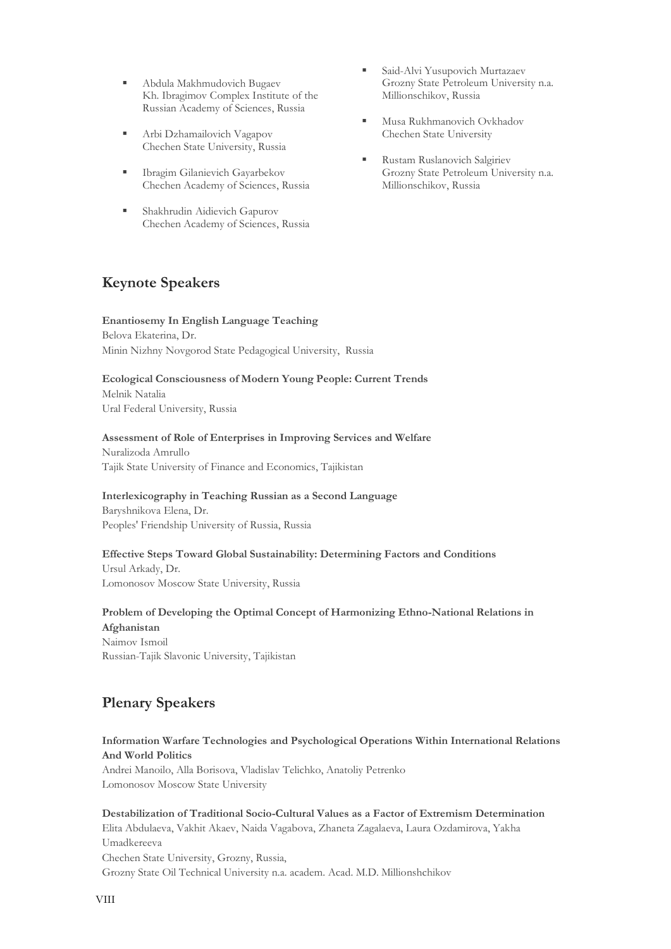- Abdula Makhmudovich Bugaev Kh. Ibragimov Complex Institute of the Russian Academy of Sciences, Russia
- **EXECUTE:** Arbi Dzhamailovich Vagapov Chechen State University, Russia
- **Exercise Exercise I**bragim Gilanievich Gayarbekov Chechen Academy of Sciences, Russia
- **Executed** Shakhrudin Aidievich Gapurov Chechen Academy of Sciences, Russia
- **E** Said-Alvi Yusupovich Murtazaev Grozny State Petroleum University n.a. Millionschikov, Russia
- Musa Rukhmanovich Ovkhadov Chechen State University
- **Rustam Ruslanovich Salgiriev** Grozny State Petroleum University n.a. Millionschikov, Russia

## **Keynote Speakers**

**Enantiosemy In English Language Teaching** Belova Ekaterina, Dr. Minin Nizhny Novgorod State Pedagogical University, Russia

## **Ecological Consciousness of Modern Young People: Current Trends**  Melnik Natalia

Ural Federal University, Russia

## **Assessment of Role of Enterprises in Improving Services and Welfare**

Nuralizoda Amrullo Tajik State University of Finance and Economics, Tajikistan

## **Interlexicography in Teaching Russian as a Second Language**

Baryshnikova Elena, Dr. Peoples' Friendship University of Russia, Russia

## **Effective Steps Toward Global Sustainability: Determining Factors and Conditions**

Ursul Arkady, Dr. Lomonosov Moscow State University, Russia

## **Problem of Developing the Optimal Concept of Harmonizing Ethno-National Relations in Afghanistan**

Naimov Ismoil Russian-Tajik Slavonic University, Tajikistan

## **Plenary Speakers**

## **Information Warfare Technologies and Psychological Operations Within International Relations And World Politics**

Andrei Manoilo, Alla Borisova, Vladislav Telichko, Anatoliy Petrenko Lomonosov Moscow State University

**Destabilization of Traditional Socio-Cultural Values as a Factor of Extremism Determination** Elitа Abdulaeva, Vakhit Akaev, Naida Vagabova, Zhaneta Zagalaeva, Laura Ozdamirova, Yakha Umadkereeva Chechen State University, Grozny, Russia, Grozny State Oil Technical University n.a. academ. Acad. M.D. Millionshchikov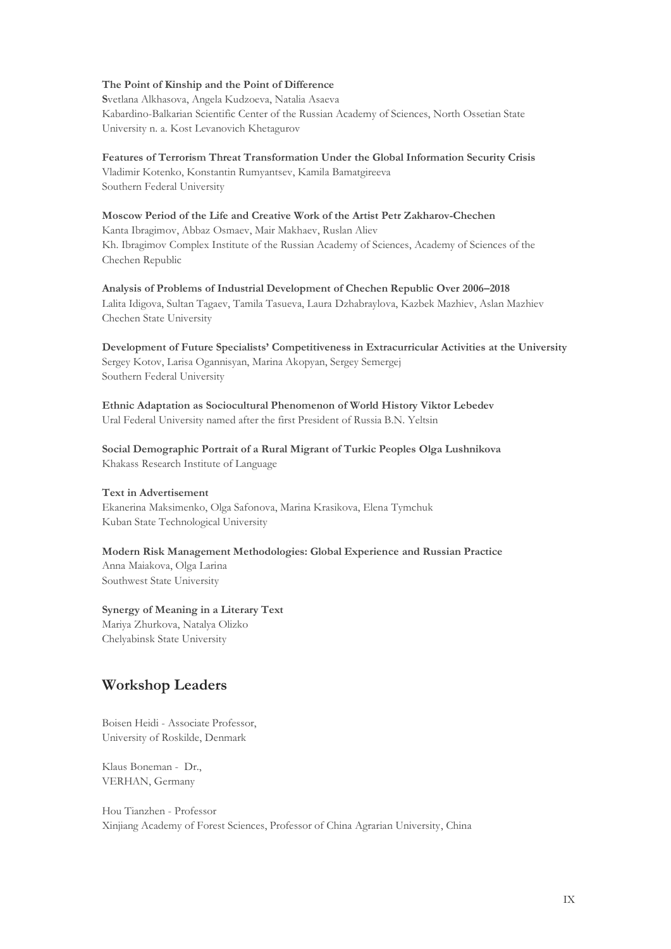#### **The Point of Kinship and the Point of Difference**

**S**vetlana Alkhasova, Angela Kudzoeva, Natalia Asaeva Kabardino-Balkarian Scientific Center of the Russian Academy of Sciences, North Ossetian State University n. a. Kost Levanovich Khetagurov

**Features of Terrorism Threat Transformation Under the Global Information Security Crisis** Vladimir Kotenko, Konstantin Rumyantsev, Kamila Bamatgireeva Southern Federal University

### **Moscow Period of the Life and Creative Work of the Artist Petr Zakharov-Chechen**

Kanta Ibragimov, Abbaz Osmaev, Mair Makhaev, Ruslan Aliev Kh. Ibragimov Complex Institute of the Russian Academy of Sciences, Academy of Sciences of the Chechen Republic

**Analysis of Problems of Industrial Development of Chechen Republic Over 2006–2018**  Lalita Idigova, Sultan Tagaev, Tamila Tasueva, Laura Dzhabraylova, Kazbek Mazhiev, Aslan Mazhiev Chechen State University

**Development of Future Specialists' Competitiveness in Extracurricular Activities at the University**  Sergey Kotov, Larisa Ogannisyan, Marina Akopyan, Sergey Semergej Southern Federal University

**Ethnic Adaptation as Sociocultural Phenomenon of World History Viktor Lebedev** Ural Federal University named after the first President of Russia B.N. Yeltsin

**Social Demographic Portrait of a Rural Migrant of Turkic Peoples Olga Lushnikova** Khakass Research Institute of Language

#### **Text in Advertisement**

Ekanerina Maksimenko, Olga Safonova, Marina Krasikova, Elena Tymchuk Kuban State Technological University

#### **Modern Risk Management Methodologies: Global Experience and Russian Practice**

Anna Maiakova, Olga Larina Southwest State University

**Synergy of Meaning in a Literary Text**  Mariya Zhurkova, Natalya Olizko

Chelyabinsk State University

## **Workshop Leaders**

Boisen Heidi - Associate Professor, University of Roskilde, Denmark

Klaus Boneman - Dr., VERHAN, Germany

Hou Tianzhen - Professor Xinjiang Academy of Forest Sciences, Professor of China Agrarian University, China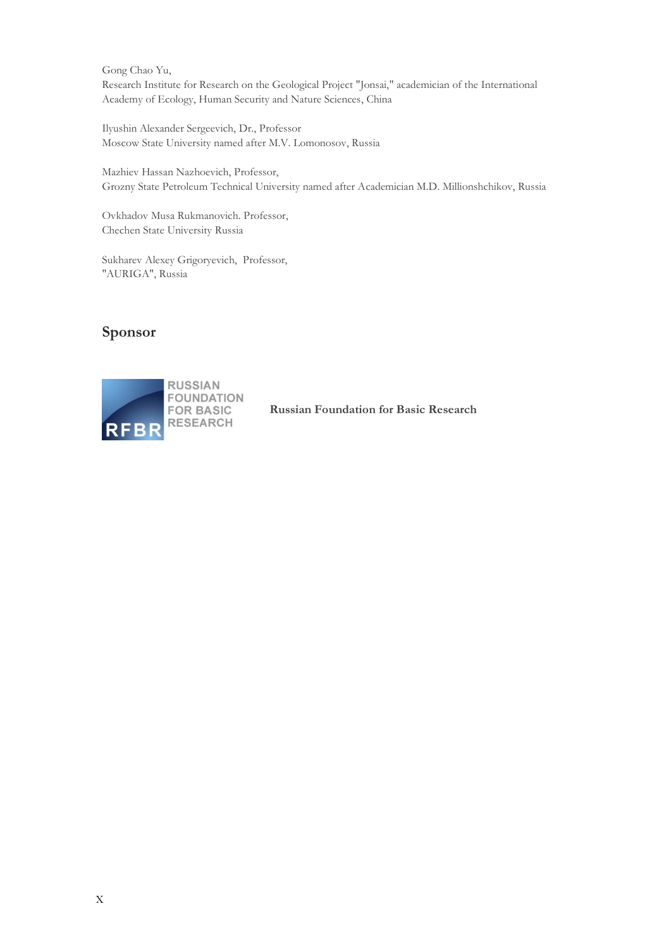Gong Chao Yu, Research Institute for Research on the Geological Project "Jonsai," academician of the International Academy of Ecology, Human Security and Nature Sciences, China

Ilyushin Alexander Sergeevich, Dr., Professor Moscow State University named after M.V. Lomonosov, Russia

Mazhiev Hassan Nazhoevich, Professor, Grozny State Petroleum Technical University named after Academician M.D. Millionshchikov, Russia

Ovkhadov Musa Rukmanovich. Professor, Chechen State University Russia

Sukharev Alexey Grigoryevich, Professor, "AURIGA", Russia

## **Sponsor**



**Russian Foundation for Basic Research**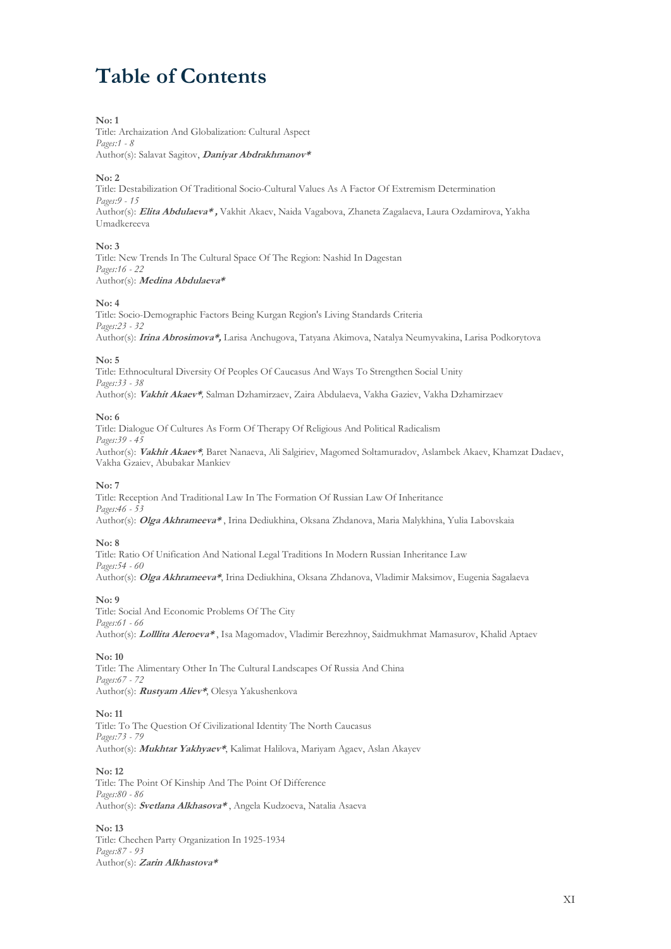# **Table of Contents**

#### **No: 1**

Title: Archaization And Globalization: Cultural Aspect *Pages:1 - 8* Author(s): Salavat Sagitov, **Daniyar Abdrakhmanov\***

#### **No: 2**

Title: Destabilization Of Traditional Socio-Cultural Values As A Factor Of Extremism Determination *Pages:9 - 15* Author(s): **Elitа Abdulaeva\* ,** Vakhit Akaev, Naida Vagabova, Zhaneta Zagalaeva, Laura Ozdamirova, Yakha Umadkereeva

#### **No: 3**

Title: New Trends In The Cultural Space Of The Region: Nashid In Dagestan *Pages:16 - 22* Author(s): **Medina Abdulaeva\***

#### **No: 4**

Title: Socio-Demographic Factors Being Kurgan Region's Living Standards Criteria *Pages:23 - 32* Author(s): **Irina Abrosimova\*,** Larisa Anchugova, Tatyana Akimova, Natalya Neumyvakina, Larisa Podkorytova

#### **No: 5**

Title: Ethnocultural Diversity Of Peoples Of Caucasus And Ways To Strengthen Social Unity *Pages:33 - 38* Author(s): **Vakhit Akaev\****,* Salman Dzhamirzaev, Zaira Abdulaeva, Vakha Gaziev, Vakha Dzhamirzaev

#### **No: 6**

Title: Dialogue Of Cultures As Form Of Therapy Of Religious And Political Radicalism *Pages:39 - 45* Author(s): **Vakhit Akaev\****,* Baret Nanaeva, Ali Salgiriev, Magomed Soltamuradov, Aslambek Akaev, Khamzat Dadaev, Vakha Gzaiev, Abubakar Mankiev

#### **No: 7**

Title: Reception And Traditional Law In The Formation Of Russian Law Of Inheritance *Pages:46 - 53* Author(s): **Olga Akhrameeva\*** , Irina Dediukhina, Oksana Zhdanova, Maria Malykhina, Yulia Labovskaia

#### **No: 8**

Title: Ratio Of Unification And National Legal Traditions In Modern Russian Inheritance Law *Pages:54 - 60* Author(s): **Olga Akhrameeva\***, Irina Dediukhina, Oksana Zhdanova, Vladimir Maksimov, Eugenia Sagalaeva

#### **No: 9**

Title: Social And Economic Problems Of The City *Pages:61 - 66* Author(s): **Lolllita Aleroeva\*** , Isa Magomadov, Vladimir Berezhnoy, Saidmukhmat Mamasurov, Khalid Aptaev

#### **No: 10**

Title: The Alimentary Other In The Cultural Landscapes Of Russia And China *Pages:67 - 72* Author(s): **Rustyam Aliev\***, Olesya Yakushenkova

#### **No: 11**

Title: To The Question Of Civilizational Identity The North Caucasus *Pages:73 - 79* Author(s): **Mukhtar Yakhyaev\***, Kalimat Halilova, Mariyam Agaev, Aslan Akayev

#### **No: 12**

Title: The Point Of Kinship And The Point Of Difference *Pages:80 - 86* Author(s): **Svetlana Alkhasova\*** , Angela Kudzoeva, Natalia Asaeva

#### **No: 13**

Title: Chechen Party Organization In 1925-1934 *Pages:87 - 93* Author(s): **Zarin Alkhastova\***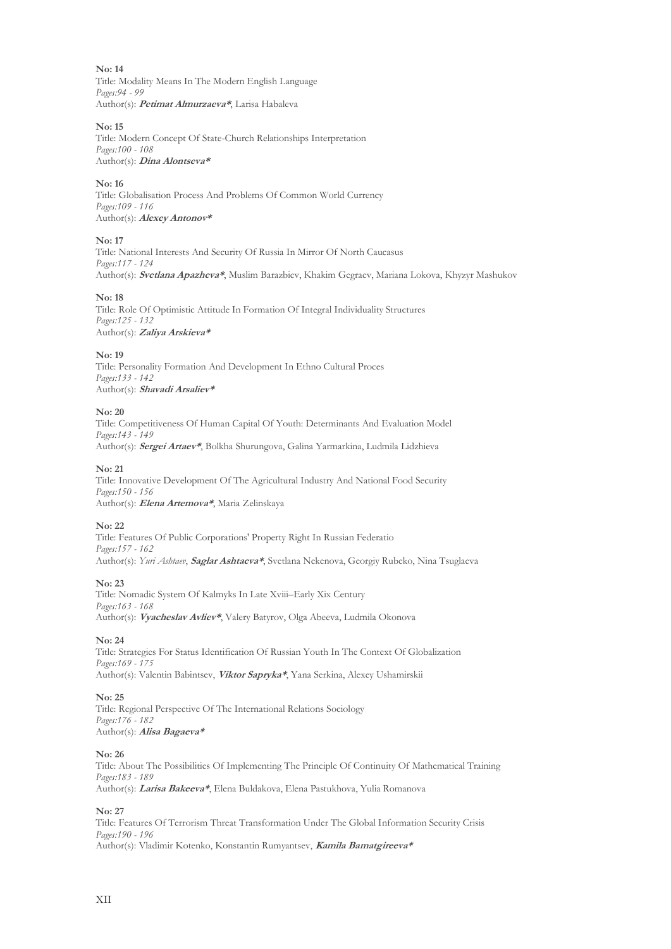Title: Modality Means In The Modern English Language *Pages:94 - 99* Author(s): **Pеtimat Almurzaeva\***, Larisa Habaleva

#### **No: 15**

Title: Modern Concept Of State-Church Relationships Interpretation *Pages:100 - 108* Author(s): **Dina Alontseva\***

#### **No: 16**

Title: Globalisation Process And Problems Of Common World Currency *Pages:109 - 116* Author(s): **Alexey Antonov\***

#### **No: 17**

Title: National Interests And Security Of Russia In Mirror Of North Caucasus *Pages:117 - 124* Author(s): **Svetlana Apazheva\***, Muslim Barazbiev, Khakim Gegraev, Mariana Lokova, Khyzyr Mashukov

#### **No: 18**

Title: Role Of Optimistic Attitude In Formation Of Integral Individuality Structures *Pages:125 - 132* Author(s): **Zaliya Arskieva\***

#### **No: 19**

Title: Personality Formation And Development In Ethno Cultural Proces *Pages:133 - 142* Author(s): **Shavadi Arsaliev\***

#### **No: 20**

Title: Competitiveness Of Human Capital Of Youth: Determinants And Evaluation Model *Pages:143 - 149* Author(s): **Sergei Artaev\***, Bolkha Shurungova, Galina Yarmarkina, Ludmila Lidzhieva

#### **No: 21**

Title: Innovative Development Of The Agricultural Industry And National Food Security *Pages:150 - 156* Author(s): **Elena Artemova\***, Maria Zelinskaya

#### **No: 22**

Title: Features Of Public Corporations' Property Right In Russian Federatio *Pages:157 - 162* Author(s): *Yuri Ashtaev*, **Saglar Ashtaeva\***, Svetlana Nekenova, Georgiy Rubeko, Nina Tsuglaeva

#### **No: 23**

Title: Nomadic System Of Kalmyks In Late Xviii–Early Xix Century *Pages:163 - 168* Author(s): **Vyacheslav Avliev\***, Valery Batyrov, Olga Abeeva, Ludmila Okonova

#### **No: 24**

Title: Strategies For Status Identification Of Russian Youth In The Context Of Globalization *Pages:169 - 175* Author(s): Valentin Babintsev, **Viktor Sapryka\***, Yana Serkina, Alexey Ushamirskii

#### **No: 25**

Title: Regional Perspective Of The International Relations Sociology *Pages:176 - 182* Author(s): **Alisa Bagaeva\***

#### **No: 26**

Title: About The Possibilities Of Implementing The Principle Of Continuity Of Mathematical Training *Pages:183 - 189* Author(s): **Larisa Bakeeva\***, Elena Buldakova, Elena Pastukhova, Yulia Romanova

#### **No: 27**

Title: Features Of Terrorism Threat Transformation Under The Global Information Security Crisis *Pages:190 - 196* Author(s): Vladimir Kotenko, Konstantin Rumyantsev, **Kamila Bamatgireeva\***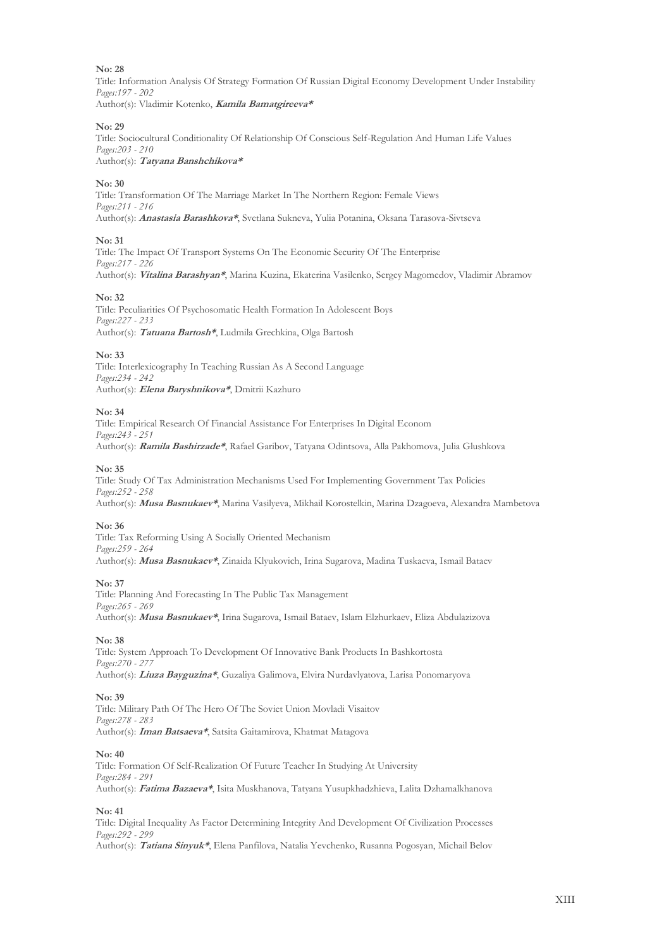Title: Information Analysis Of Strategy Formation Of Russian Digital Economy Development Under Instability *Pages:197 - 202*

Author(s): Vladimir Kotenko, **Kamila Bamatgireeva\***

#### **No: 29**

Title: Sociocultural Conditionality Of Relationship Of Conscious Self-Regulation And Human Life Values *Pages:203 - 210*

## Author(s): **Tatyana Banshchikova\***

#### **No: 30**

Title: Transformation Of The Marriage Market In The Northern Region: Female Views *Pages:211 - 216* Author(s): **Anastasia Barashkova\***, Svetlana Sukneva, Yulia Potanina, Oksana Тarasova-Sivtseva

#### **No: 31**

Title: The Impact Of Transport Systems On The Economic Security Of The Enterprise *Pages:217 - 226* Author(s): **Vitalina Barashyan\***, Marina Kuzina, Ekaterina Vasilenko, Sergey Magomedov, Vladimir Abramov

#### **No: 32**

Title: Peculiarities Of Psychosomatic Health Formation In Adolescent Boys *Pages:227 - 233* Author(s): **Tatuana Bartosh\***, Ludmila Grechkina, Olga Bartosh

#### **No: 33**

Title: Interlexicography In Teaching Russian As A Second Language *Pages:234 - 242* Author(s): **Elena Baryshnikova\***, Dmitrii Kazhuro

#### **No: 34**

Title: Empirical Research Of Financial Assistance For Enterprises In Digital Econom *Pages:243 - 251* Author(s): **Ramila Bashirzade\***, Rafael Garibov, Tatyana Odintsova, Alla Pakhomova, Julia Glushkova

#### **No: 35**

Title: Study Of Tax Administration Mechanisms Used For Implementing Government Tax Policies *Pages:252 - 258* Author(s): **Musa Basnukaev\***, Marina Vasilyeva, Mikhail Korostelkin, Marina Dzagoeva, Alexandra Mambetova

#### **No: 36**

Title: Tax Reforming Using A Socially Oriented Mechanism *Pages:259 - 264* Author(s): **Musa Basnukaev\***, Zinaida Klyukovich, Irina Sugarova, Madina Tuskaeva, Ismail Bataev

#### **No: 37**

Title: Planning And Forecasting In The Public Tax Management *Pages:265 - 269* Author(s): **Musa Basnukaev\***, Irina Sugarova, Ismail Bataev, Islam Elzhurkaev, Eliza Abdulazizova

#### **No: 38**

Title: System Approach To Development Of Innovative Bank Products In Bashkortosta *Pages:270 - 277* Author(s): **Liuza Bayguzina\***, Guzaliya Galimova, Elvira Nurdavlyatova, Larisa Ponomaryova

#### **No: 39**

Title: Military Path Of The Hero Of The Soviet Union Movladi Visaitov *Pages:278 - 283* Author(s): **Iman Batsaeva\***, Satsita Gaitamirova, Khatmat Matagova

#### **No: 40**

Title: Formation Of Self-Realization Of Future Teacher In Studying At University *Pages:284 - 291* Author(s): **Fatima Bazaeva\***, Isita Muskhanova, Tatyana Yusupkhadzhieva, Lalita Dzhamalkhanova

#### **No: 41**

Title: Digital Inequality As Factor Determining Integrity And Development Of Civilization Processes *Pages:292 - 299*

Author(s): **Tatiana Sinyuk\***, Elena Panfilova, Natalia Yevchenko, Rusanna Pogosyan, Michail Belov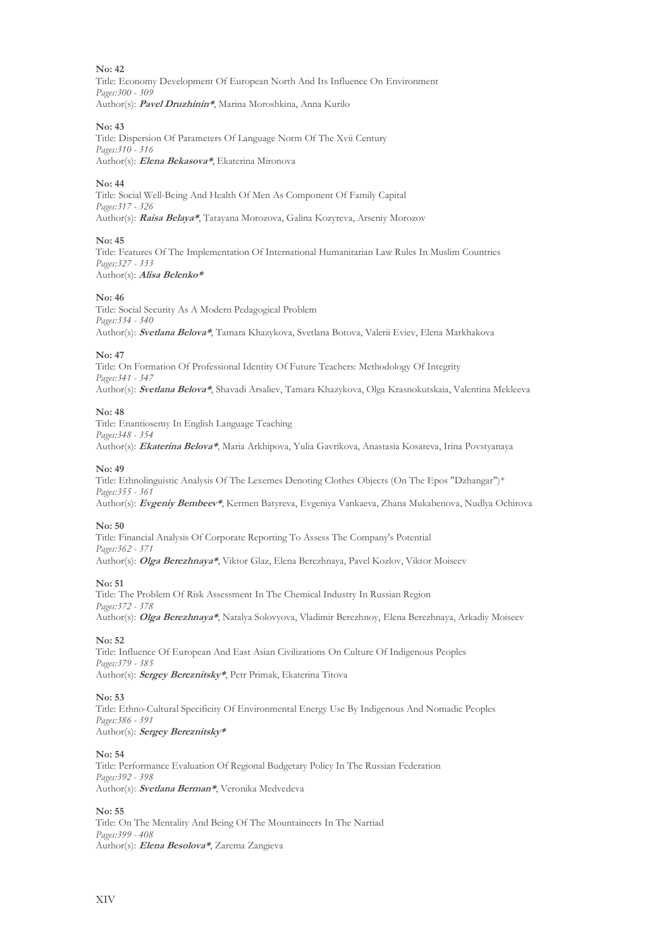Title: Economy Development Of European North And Its Influence On Environment *Pages:300 - 309* Author(s): **Pavel Druzhinin\***, Marina Moroshkina, Anna Kurilo

#### **No: 43**

Title: Dispersion Of Parameters Of Language Norm Of The Xvii Century *Pages:310 - 316* Author(s): **Elena Bekasova\***, Ekaterina Mironova

#### **No: 44**

Title: Social Well-Being And Health Of Men As Component Of Family Capital *Pages:317 - 326* Author(s): **Raisa Belaya\***, Tatayana Morozova, Galina Kozyreva, Arseniy Morozov

#### **No: 45**

Title: Features Of The Implementation Of International Humanitarian Law Rules In Muslim Countries *Pages:327 - 333* Author(s): **Alisa Belenko\***

#### **No: 46**

Title: Social Security As A Modern Pedagogical Problem *Pages:334 - 340* Author(s): **Svetlana Belova\***, Tamara Khazykova, Svetlana Botova, Valerii Eviev, Elena Markhakova

#### **No: 47**

Title: On Formation Of Professional Identity Of Future Teachers: Methodology Of Integrity *Pages:341 - 347* Author(s): **Svetlana Belova\***, Shavadi Arsaliev, Tamara Khazykova, Olga Krasnokutskaia, Valentina Mekleeva

#### **No: 48**

Title: Enantiosemy In English Language Teaching *Pages:348 - 354*

Author(s): **Ekaterina Belova\***, Maria Arkhipova, Yulia Gavrikova, Anastasia Kosareva, Irina Povstyanaya

#### **No: 49**

Title: Ethnolinguistic Analysis Of The Lexemes Denoting Clothes Objects (On The Epos "Dzhangar")\* *Pages:355 - 361* Author(s): **Evgeniy Bembeev\***, Kermen Batyreva, Evgeniya Vankaeva, Zhana Mukabenova, Nudlya Ochirova

#### **No: 50**

Title: Financial Analysis Of Corporate Reporting To Assess The Company's Potential *Pages:362 - 371* Author(s): **Olga Berezhnaya\***, Viktor Glaz, Elena Berezhnaya, Pavel Kozlov, Viktor Moiseev

#### **No: 51**

Title: The Problem Of Risk Assessment In The Chemical Industry In Russian Region *Pages:372 - 378* Author(s): **Olga Berezhnaya\***, Natalya Solovyova, Vladimir Berezhnoy, Elena Berezhnaya, Arkadiy Moiseev

#### **No: 52**

Title: Influence Of European And East Asian Civilizations On Culture Of Indigenous Peoples *Pages:379 - 385* Author(s): **Sergey Bereznitsky\***, Petr Primak, Ekaterina Titova

#### **No: 53**

Title: Ethno-Cultural Specificity Of Environmental Energy Use By Indigenous And Nomadic Peoples *Pages:386 - 391* Author(s): **Sergey Bereznitsky\***

#### **No: 54**

Title: Performance Evaluation Of Regional Budgetary Policy In The Russian Federation *Pages:392 - 398* Author(s): **Svetlana Berman\***, Veronika Medvedeva

#### **No: 55**

Title: On The Mentality And Being Of The Mountaineers In The Nartiad *Pages:399 - 408* Author(s): **Elena Besolova\***, Zarema Zangieva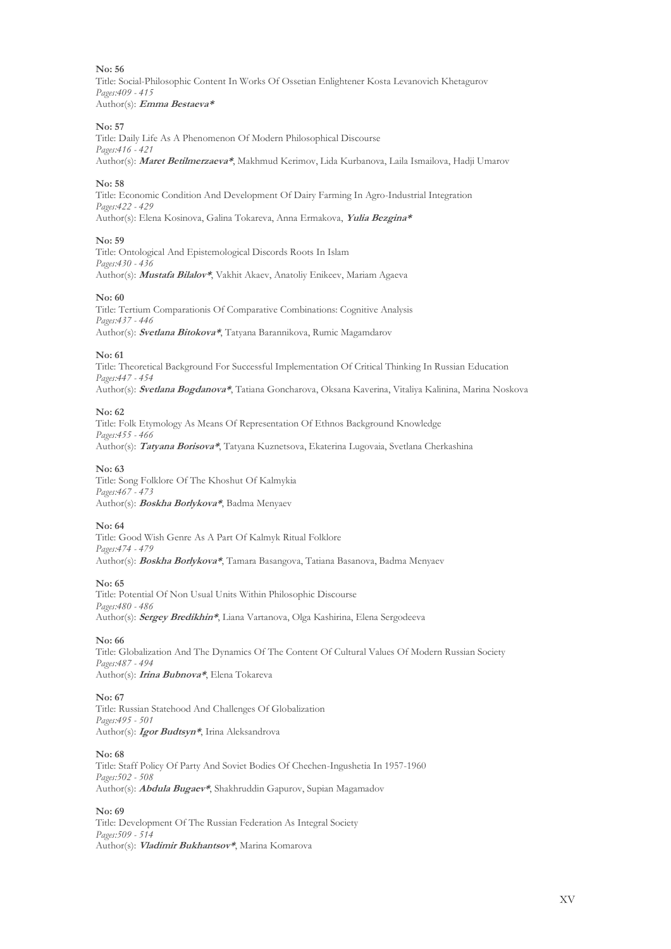Title: Social-Philosophic Content In Works Of Ossetian Enlightener Kosta Levanovich Khetagurov *Pages:409 - 415* Author(s): **Emma Bestaeva\***

#### **No: 57**

Title: Daily Life As A Phenomenon Of Modern Philosophical Discourse *Pages:416 - 421* Author(s): **Maret Betilmerzaeva\***, Makhmud Kerimov, Lida Kurbanova, Laila Ismailova, Hadji Umarov

#### **No: 58**

Title: Economic Condition And Development Of Dairy Farming In Agro-Industrial Integration *Pages:422 - 429* Author(s): Elena Kosinova, Galina Tokareva, Anna Ermakova, **Yulia Bezgina\***

#### **No: 59**

Title: Ontological And Epistemological Discords Roots In Islam *Pages:430 - 436* Author(s): **Mustafa Bilalov\***, Vakhit Akaev, Anatoliy Enikeev, Mariam Agaeva

#### **No: 60**

Title: Tertium Comparationis Of Comparative Combinations: Cognitive Analysis *Pages:437 - 446* Author(s): **Svetlana Bitokova\***, Tatyana Barannikova, Rumic Magamdarov

#### **No: 61**

Title: Theoretical Background For Successful Implementation Of Critical Thinking In Russian Education *Pages:447 - 454* Author(s): **Svetlana Bogdanova\***, Tatiana Goncharova, Oksana Kaverina, Vitaliya Kalinina, Marina Noskova

#### **No: 62**

Title: Folk Etymology As Means Of Representation Of Ethnos Background Knowledge *Pages:455 - 466* Author(s): **Tatyana Borisova\***, Tatyana Kuznetsova, Ekaterina Lugovaia, Svetlana Cherkashina

#### **No: 63**

Title: Song Folklore Of The Khoshut Of Kalmykia *Pages:467 - 473* Author(s): **Boskha Borlykova\***, Badma Menyaev

#### **No: 64**

Title: Good Wish Genre As A Part Of Kalmyk Ritual Folklore *Pages:474 - 479* Author(s): **Boskha Borlykova\***, Tamara Basangova, Tatiana Basanova, Badma Menyaev

#### **No: 65**

Title: Potential Of Non Usual Units Within Philosophic Discourse *Pages:480 - 486* Author(s): **Sergey Bredikhin\***, Liana Vartanova, Olga Kashirina, Elena Sergodeeva

#### **No: 66**

Title: Globalization And The Dynamics Of The Content Of Cultural Values Of Modern Russian Society *Pages:487 - 494* Author(s): **Irina Bubnova\***, Elena Tokareva

#### **No: 67**

Title: Russian Statehood And Challenges Of Globalization *Pages:495 - 501* Author(s): **Igor Budtsyn\***, Irina Aleksandrova

#### **No: 68**

Title: Staff Policy Of Party And Soviet Bodies Of Chechen-Ingushetia In 1957-1960 *Pages:502 - 508* Author(s): **Abdula Bugaev\***, Shakhruddin Gapurov, Supian Magamadov

#### **No: 69**

Title: Development Of The Russian Federation As Integral Society *Pages:509 - 514* Author(s): **Vladimir Bukhantsov\***, Marina Komarova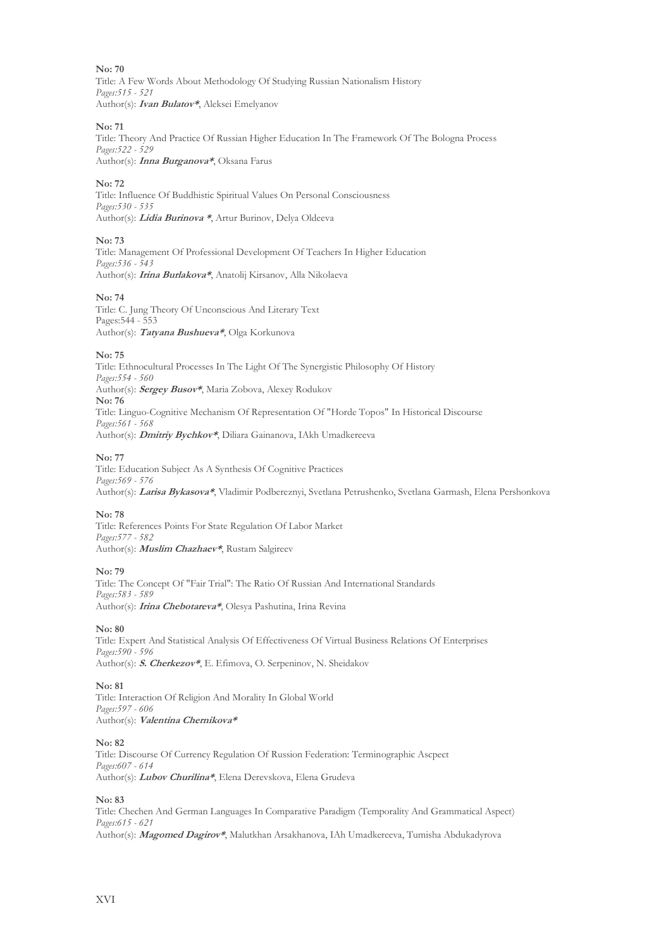Title: A Few Words About Methodology Of Studying Russian Nationalism History *Pages:515 - 521* Author(s): **Ivan Bulatov\***, Aleksei Emelyanov

#### **No: 71**

Title: Theory And Practice Of Russian Higher Education In The Framework Of The Bologna Process *Pages:522 - 529* Author(s): **Inna Burganova\***, Oksana Farus

#### **No: 72**

Title: Influence Of Buddhistic Spiritual Values On Personal Consciousness *Pages:530 - 535* Author(s): **Lidia Burinova \***, Artur Burinov, Delya Oldeeva

#### **No: 73**

Title: Management Of Professional Development Of Teachers In Higher Education *Pages:536 - 543* Author(s): **Irina Burlakova\***, Anatolij Kirsanov, Alla Nikolaeva

#### **No: 74**

Title: C. Jung Theory Of Unconscious And Literary Text Pages:544 - 553 Author(s): **Tatyana Bushueva\***, Olga Korkunova

#### **No: 75**

Title: Ethnocultural Processes In The Light Of The Synergistic Philosophy Of History *Pages:554 - 560* Author(s): **Sergey Busov\***, Maria Zobova, Alexey Rodukov **No: 76** Title: Linguo-Cognitive Mechanism Of Representation Of "Horde Topos" In Historical Discourse *Pages:561 - 568* Author(s): **Dmitriy Bychkov\***, Diliara Gainanova, IAkh Umadkereeva

#### **No: 77**

Title: Education Subject As A Synthesis Of Cognitive Practices *Pages:569 - 576* Author(s): **Larisa Bykasova\***, Vladimir Podbereznyi, Svetlana Petrushenko, Svetlana Garmash, Elena Pershonkova

#### **No: 78**

Title: References Points For State Regulation Of Labor Market *Pages:577 - 582* Author(s): **Muslim Chazhaev\***, Rustam Salgireev

#### **No: 79**

Title: The Concept Of "Fair Trial": The Ratio Of Russian And International Standards *Pages:583 - 589* Author(s): **Irina Chebotareva\***, Olesya Pashutina, Irina Revina

#### **No: 80**

Title: Expert And Statistical Analysis Of Effectiveness Of Virtual Business Relations Of Enterprises *Pages:590 - 596* Author(s): **S. Cherkezov\***, E. Efimova, O. Serpeninov, N. Sheidakov

#### **No: 81**

Title: Interaction Of Religion And Morality In Global World *Pages:597 - 606* Author(s): **Valentina Chernikova\***

#### **No: 82**

Title: Discourse Of Currency Regulation Of Russion Federation: Terminographiс Ascpect *Pages:607 - 614* Author(s): **Lubov Churilina\***, Elena Derevskova, Elena Grudeva

#### **No: 83**

Title: Chechen And German Languages In Comparative Paradigm (Temporality And Grammatical Aspect) *Pages:615 - 621* Author(s): **Magomed Dagirov\***, Malutkhan Arsakhanova, IAh Umadkereeva, Tumisha Abdukadyrova

XVI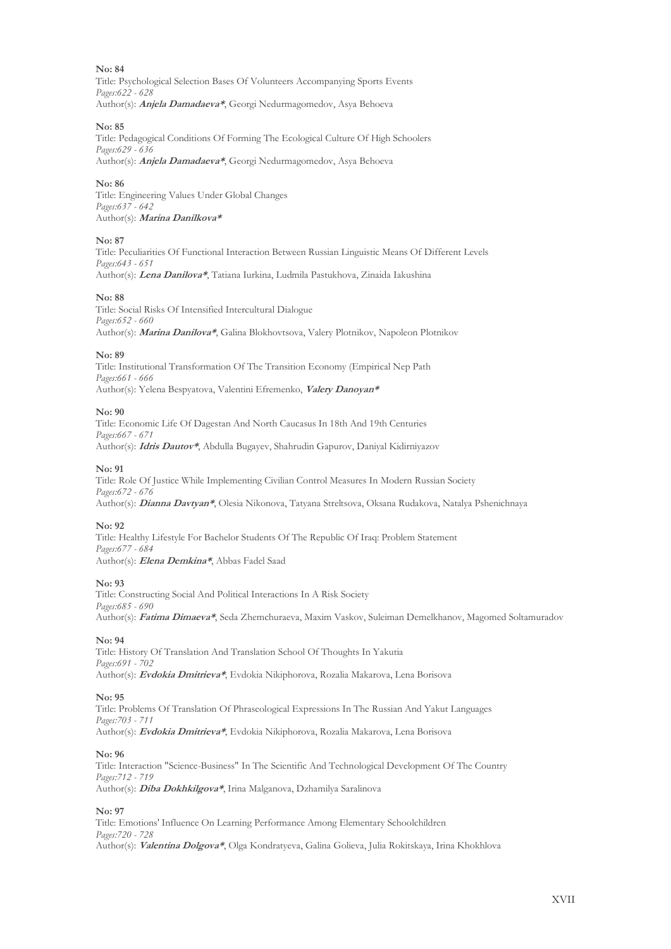Title: Psychological Selection Bases Of Volunteers Accompanying Sports Events *Pages:622 - 628* Author(s): **Anjela Damadaeva\***, Georgi Nedurmagomedov, Asya Behoeva

#### **No: 85**

Title: Pedagogical Conditions Of Forming The Ecological Culture Of High Schoolers *Pages:629 - 636* Author(s): **Anjela Damadaeva\***, Georgi Nedurmagomedov, Asya Behoeva

**No: 86**

Title: Engineering Values Under Global Changes *Pages:637 - 642* Author(s): **Marina Danilkova\***

#### **No: 87**

Title: Peculiarities Of Functional Interaction Between Russian Linguistic Means Of Different Levels *Pages:643 - 651* Author(s): **Lena Danilova\***, Tatiana Iurkina, Ludmila Pastukhova, Zinaida Iakushina

#### **No: 88**

Title: Social Risks Of Intensified Intercultural Dialogue *Pages:652 - 660* Author(s): **Marina Danilova\***, Galina Blokhovtsova, Valery Plotnikov, Napoleon Plotnikov

#### **No: 89**

Title: Institutional Transformation Of The Transition Economy (Empirical Nep Path *Pages:661 - 666* Author(s): Yelena Bespyatova, Valentini Efremenko, **Valery Danoyan\***

#### **No: 90**

Title: Economic Life Of Dagestan And North Caucasus In 18th And 19th Centuries *Pages:667 - 671* Author(s): **Idris Dautov\***, Abdulla Bugayev, Shahrudin Gapurov, Daniyal Kidirniyazov

#### **No: 91**

Title: Role Of Justice While Implementing Civilian Control Measures In Modern Russian Society *Pages:672 - 676* Author(s): **Dianna Davtyan\***, Olesia Nikonova, Tatyana Streltsova, Oksana Rudakova, Natalya Pshenichnaya

#### **No: 92**

Title: Healthy Lifestyle For Bachelor Students Of The Republic Of Iraq: Problem Statement *Pages:677 - 684* Author(s): **Elena Demkina\***, Abbas Fadel Saad

#### **No: 93**

Title: Constructing Social And Political Interactions In A Risk Society *Pages:685 - 690* Author(s): **Fatima Dimaeva\***, Seda Zhemchuraeva, Maxim Vaskov, Suleiman Demelkhanov, Magomed Soltamuradov

#### **No: 94**

Title: History Of Translation And Translation School Of Thoughts In Yakutia *Pages:691 - 702* Author(s): **Evdokia Dmitrieva\***, Evdokia Nikiphorova, Rozalia Makarova, Lena Borisova

#### **No: 95**

Title: Problems Of Translation Of Phraseological Expressions In The Russian And Yakut Languages *Pages:703 - 711* Author(s): **Evdokia Dmitrieva\***, Evdokia Nikiphorova, Rozalia Makarova, Lena Borisova

#### **No: 96**

Title: Interaction "Science-Business" In The Scientific And Technological Development Of The Country *Pages:712 - 719* Author(s): **Diba Dokhkilgova\***, Irina Malganova, Dzhamilya Saralinova

#### **No: 97**

Title: Emotions' Influence On Learning Performance Among Elementary Schoolchildren *Pages:720 - 728* Author(s): **Valentina Dolgova\***, Olga Kondratyeva, Galina Golieva, Julia Rokitskaya, Irina Khokhlova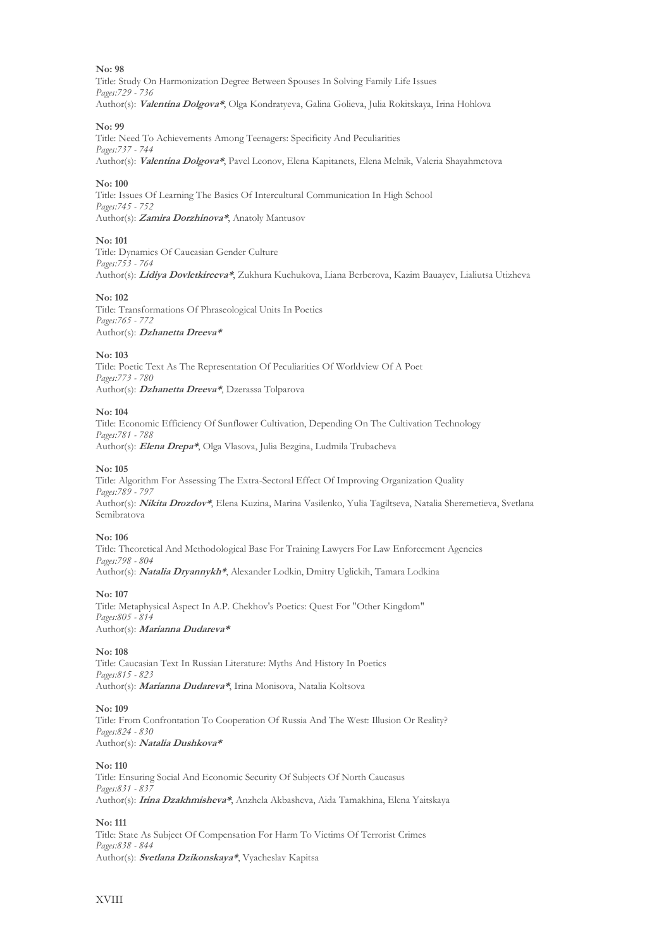Title: Study On Harmonization Degree Between Spouses In Solving Family Life Issues *Pages:729 - 736* Author(s): **Valentina Dolgova\***, Olga Kondratyeva, Galina Golieva, Julia Rokitskaya, Irina Hohlova

#### **No: 99**

Title: Need To Achievements Among Teenagers: Specificity And Peculiarities *Pages:737 - 744* Author(s): **Valentina Dolgova\***, Pavel Leonov, Elena Kapitanets, Elena Melnik, Valeria Shayahmetova

#### **No: 100**

Title: Issues Of Learning The Basics Of Intercultural Communication In High School *Pages:745 - 752* Author(s): **Zamira Dorzhinova\***, Anatoly Mantusov

#### **No: 101**

Title: Dynamics Of Caucasian Gender Culture *Pages:753 - 764* Author(s): **Lidiya Dovletkireeva\***, Zukhura Kuchukova, Liana Berberova, Kazim Bauayev, Lialiutsa Utizheva

#### **No: 102**

Title: Transformations Of Phraseological Units In Poetics *Pages:765 - 772* Author(s): **Dzhanetta Dreeva\***

#### **No: 103**

Title: Poetic Text As The Representation Of Peculiarities Of Worldview Of A Poet *Pages:773 - 780* Author(s): **Dzhanetta Dreeva\***, Dzerassa Tolparova

#### **No: 104**

Title: Economic Efficiency Of Sunflower Cultivation, Depending On The Cultivation Technology *Pages:781 - 788* Author(s): **Elena Drepa\***, Olga Vlasova, Julia Bezgina, Ludmila Trubacheva

#### **No: 105**

Title: Algorithm For Assessing The Extra-Sectoral Effect Of Improving Organization Quality *Pages:789 - 797* Author(s): **Nikita Drozdov\***, Elena Kuzina, Marina Vasilenko, Yulia Tagiltseva, Natalia Sheremetieva, Svetlana Semibratova

#### **No: 106**

Title: Theoretical And Methodological Base For Training Lawyers For Law Enforcement Agencies *Pages:798 - 804* Author(s): **Natalia Dryannykh\***, Alexander Lodkin, Dmitry Uglickih, Tamara Lodkina

#### **No: 107**

Title: Metaphysical Aspect In A.P. Chekhov's Poetics: Quest For "Other Kingdom" *Pages:805 - 814* Author(s): **Marianna Dudareva\***

#### **No: 108**

Title: Caucasian Text In Russian Literature: Myths And History In Poetics *Pages:815 - 823* Author(s): **Marianna Dudareva\***, Irina Monisova, Natalia Koltsova

#### **No: 109**

Title: From Confrontation To Cooperation Of Russia And The West: Illusion Or Reality? *Pages:824 - 830* Author(s): **Natalia Dushkova\***

#### **No: 110**

Title: Ensuring Social And Economic Security Of Subjects Of North Caucasus *Pages:831 - 837* Author(s): **Irina Dzakhmisheva\***, Anzhela Akbasheva, Aida Tamakhina, Elena Yaitskaya

#### **No: 111**

Title: State As Subject Of Compensation For Harm To Victims Of Terrorist Crimes *Pages:838 - 844* Author(s): **Svetlana Dzikonskaya\***, Vyacheslav Kapitsa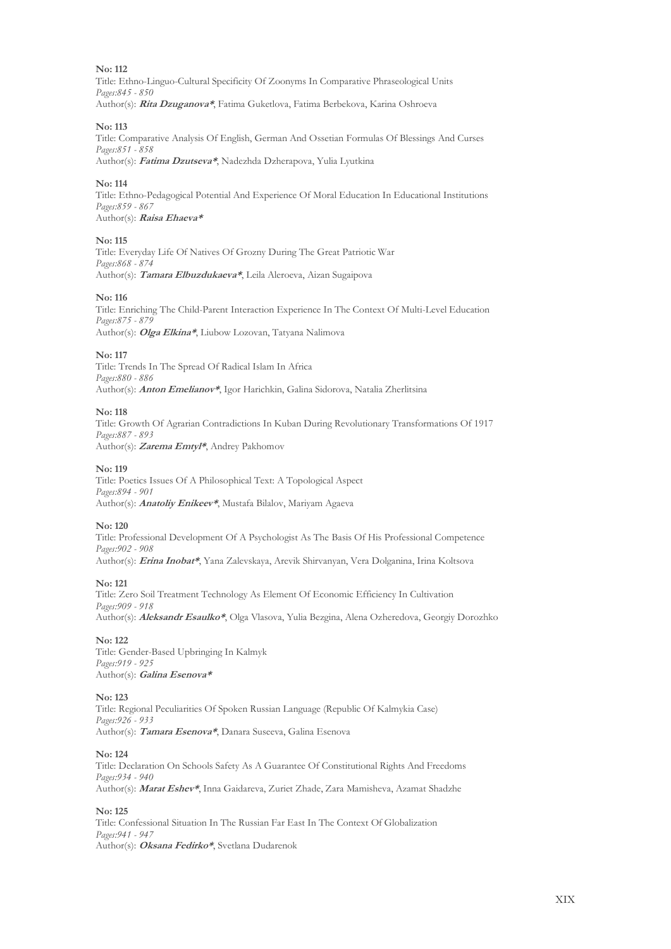Title: Ethno-Linguo-Cultural Specificity Of Zoonyms In Comparative Phraseological Units *Pages:845 - 850* Author(s): **Rita Dzuganova\***, Fatima Guketlova, Fatima Berbekova, Karina Оshrоеvа

#### **No: 113**

Title: Comparative Analysis Of English, German And Ossetian Formulas Of Blessings And Curses *Pages:851 - 858*

Author(s): **Fatima Dzutseva\***, Nadezhda Dzherapova, Yulia Lyutkina

#### **No: 114**

Title: Ethno-Pedagogical Potential And Experience Of Moral Education In Educational Institutions *Pages:859 - 867* Author(s): **Raisa Ehaeva\***

#### **No: 115**

Title: Everyday Life Of Natives Of Grozny During The Great Patriotic War *Pages:868 - 874* Author(s): **Tamara Elbuzdukaeva\***, Leila Aleroeva, Aizan Sugaipova

#### **No: 116**

Title: Enriching The Child-Parent Interaction Experience In The Context Of Multi-Level Education *Pages:875 - 879* Author(s): **Olga Elkina\***, Liubow Lozovan, Tatyana Nalimova

#### **No: 117**

Title: Trends In The Spread Of Radical Islam In Africa *Pages:880 - 886* Author(s): **Anton Emelianov\***, Igor Harichkin, Galina Sidorova, Natalia Zherlitsina

#### **No: 118**

Title: Growth Of Agrarian Contradictions In Kuban During Revolutionary Transformations Of 1917 *Pages:887 - 893* Author(s): **Zarema Emtyl\***, Andrey Pakhomov

#### **No: 119**

Title: Poetics Issues Of A Philosophical Text: A Topological Aspect *Pages:894 - 901* Author(s): **Anatoliy Enikeev\***, Mustafa Bilalov, Mariyam Agaeva

#### **No: 120**

Title: Professional Development Of A Psychologist As The Basis Of His Professional Competence *Pages:902 - 908* Author(s): **Erina Inobat\***, Yana Zalevskaya, Arevik Shirvanyan, Vera Dolganina, Irina Koltsova

#### **No: 121**

Title: Zero Soil Treatment Technology As Element Of Economic Efficiency In Cultivation *Pages:909 - 918* Author(s): **Aleksandr Esaulko\***, Olga Vlasova, Yulia Bezgina, Alena Ozheredova, Georgiy Dorozhko

#### **No: 122**

Title: Gender-Based Upbringing In Kalmyk *Pages:919 - 925* Author(s): **Galina Esenova\***

#### **No: 123**

Title: Regional Peculiarities Of Spoken Russian Language (Republic Of Kalmykia Case) *Pages:926 - 933* Author(s): **Tamara Esenova\***, Danara Suseeva, Galina Esenova

#### **No: 124**

Title: Declaration On Schools Safety As A Guarantee Of Constitutional Rights And Freedoms *Pages:934 - 940* Author(s): **Marat Eshev\***, Inna Gaidareva, Zuriet Zhade, Zara Mamisheva, Azamat Shadzhe

#### **No: 125**

Title: Сonfessional Situation In The Russian Far East In The Context Of Globalization *Pages:941 - 947* Author(s): **Oksana Fedirko\***, Svetlana Dudarenok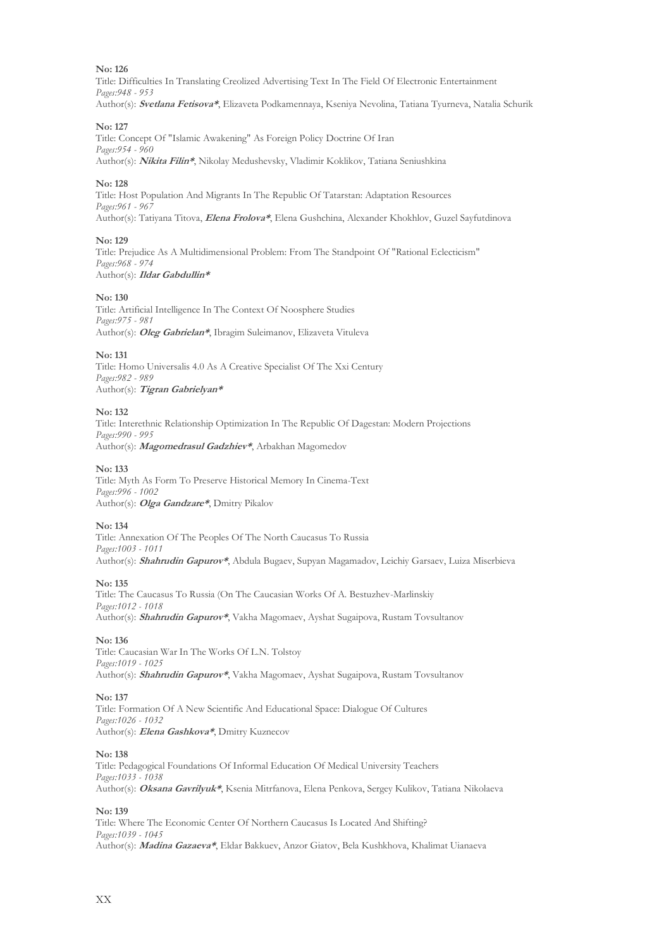Title: Difficulties In Translating Creolized Advertising Text In The Field Of Electronic Entertainment *Pages:948 - 953* Author(s): **Svetlana Fetisova\***, Elizaveta Podkamennaya, Kseniya Nevolina, Tatiana Tyurneva, Natalia Schurik

#### **No: 127**

Title: Concept Of "Islamic Awakening" As Foreign Policy Doctrine Of Iran *Pages:954 - 960* Author(s): **Nikita Filin\***, Nikolay Medushevsky, Vladimir Koklikov, Tatiana Seniushkina

#### **No: 128**

Title: Host Population And Migrants In The Republic Of Tatarstan: Adaptation Resources *Pages:961 - 967* Author(s): Tatiyana Titova, **Elena Frolova\***, Elena Gushchina, Alexander Khokhlov, Guzel Sayfutdinova

#### **No: 129**

Title: Prejudice As A Multidimensional Problem: From The Standpoint Of "Rational Eclecticism" *Pages:968 - 974* Author(s): **Ildar Gabdullin\***

#### **No: 130**

Title: Artificial Intelligence In The Context Of Noosphere Studies *Pages:975 - 981* Author(s): **Оleg Gabrielan\***, Ibragim Suleimanov, Elizaveta Vituleva

#### **No: 131**

Title: Homo Universalis 4.0 As A Creative Specialist Of The Xxi Century *Pages:982 - 989* Author(s): **Tigran Gabrielyan\***

#### **No: 132**

Title: Interethnic Relationship Optimization In The Republic Of Dagestan: Modern Projections *Pages:990 - 995* Author(s): **Magomedrasul Gadzhiev\***, Arbakhan Magomedov

#### **No: 133**

Title: Myth As Form To Preserve Historical Memory In Cinema-Text *Pages:996 - 1002* Author(s): **Olga Gandzare\***, Dmitry Pikalov

#### **No: 134**

Title: Annexation Of The Peoples Of The North Caucasus To Russia *Pages:1003 - 1011* Author(s): **Shahrudin Gapurov\***, Abdula Bugaev, Supyan Magamadov, Leichiy Garsaev, Luiza Miserbieva

#### **No: 135**

Title: The Caucasus To Russia (On The Caucasian Works Of A. Bestuzhev-Marlinskiy *Pages:1012 - 1018* Author(s): **Shahrudin Gapurov\***, Vakha Magomaev, Ayshat Sugaipova, Rustam Tovsultanov

#### **No: 136**

Title: Caucasian War In The Works Of L.N. Tolstoy *Pages:1019 - 1025* Author(s): **Shahrudin Gapurov\***, Vakha Magomaev, Ayshat Sugaipova, Rustam Tovsultanov

#### **No: 137**

Title: Formation Of A New Scientific And Educational Space: Dialogue Of Cultures *Pages:1026 - 1032* Author(s): **Elena Gashkova\***, Dmitry Kuznecov

#### **No: 138**

Title: Pedagogical Foundations Of Informal Education Of Medical University Teachers *Pages:1033 - 1038* Author(s): **Oksana Gavrilyuk\***, Ksenia Mitrfanova, Elena Penkova, Sergey Kulikov, Tatiana Nikolaeva

#### **No: 139**

Title: Where The Economic Center Of Northern Caucasus Is Located And Shifting? *Pages:1039 - 1045* Author(s): **Madina Gazaeva\***, Eldar Bakkuev, Anzor Giatov, Bela Kushkhova, Khalimat Uianaeva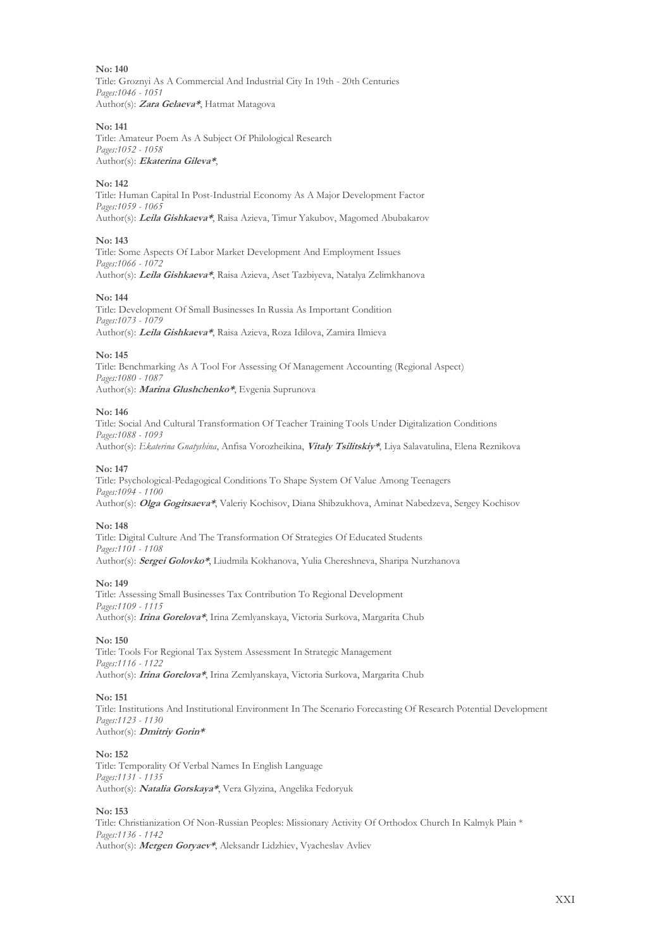Title: Groznyi As A Commercial And Industrial City In 19th - 20th Centuries *Pages:1046 - 1051* Author(s): **Zara Gelaeva\***, Hatmat Matagova

#### **No: 141**

Title: Amateur Poem As A Subject Of Philological Research *Pages:1052 - 1058* Author(s): **Ekaterina Gileva\***,

#### **No: 142**

Title: Human Capital In Post-Industrial Economy As A Major Development Factor *Pages:1059 - 1065* Author(s): **Leila Gishkaeva\***, Raisa Azieva, Timur Yakubov, Magomed Abubakarov

#### **No: 143**

Title: Some Aspects Of Labor Market Development And Employment Issues *Pages:1066 - 1072* Author(s): **Leila Gishkaeva\***, Raisa Azieva, Aset Tazbiyeva, Natalya Zelimkhanova

#### **No: 144**

Title: Development Of Small Businesses In Russia As Important Condition *Pages:1073 - 1079* Author(s): **Leila Gishkaeva\***, Raisa Azieva, Roza Idilova, Zamira Ilmieva

#### **No: 145**

Title: Benchmarking As A Tool For Assessing Of Management Accounting (Regional Aspect) *Pages:1080 - 1087* Author(s): **Marina Glushchenko\***, Evgenia Suprunova

#### **No: 146**

Title: Social And Cultural Transformation Of Teacher Training Tools Under Digitalization Conditions *Pages:1088 - 1093* Author(s): *Ekaterina Gnatyshina*, Anfisa Vorozheikina, **Vitaly Tsilitskiy\***, Liya Salavatulina, Elena Reznikova

#### **No: 147**

Title: Psychological-Pedagogical Conditions To Shape System Of Value Among Teenagers *Pages:1094 - 1100* Author(s): **Olga Gogitsaeva\***, Valeriy Kochisov, Diana Shibzukhova, Aminat Nabedzeva, Sergey Kochisov

#### **No: 148**

Title: Digital Culture And The Transformation Of Strategies Of Educated Students *Pages:1101 - 1108* Author(s): **Sergei Golovko\***, Liudmila Kokhanova, Yulia Chereshneva, Sharipa Nurzhanova

#### **No: 149**

Title: Assessing Small Businesses Tax Contribution To Regional Development *Pages:1109 - 1115* Author(s): **Irina Gorelova\***, Irina Zemlyanskaya, Victoria Surkova, Margarita Chub

#### **No: 150**

Title: Tools For Regional Tax System Assessment In Strategic Management *Pages:1116 - 1122* Author(s): **Irina Gorelova\***, Irina Zemlyanskaya, Victoria Surkova, Margarita Chub

#### **No: 151**

Title: Institutions And Institutional Environment In The Scenario Forecasting Of Research Potential Development *Pages:1123 - 1130* Author(s): **Dmitriy Gorin\***

#### **No: 152**

Title: Temporality Of Verbal Names In English Language *Pages:1131 - 1135* Author(s): **Natalia Gorskaya\***, Vera Glyzina, Angelika Fedoryuk

#### **No: 153**

Title: Christianization Of Non-Russian Peoples: Missionary Activity Of Orthodox Church In Kalmyk Plain \* *Pages:1136 - 1142* Author(s): **Mergen Goryaev\***, Aleksandr Lidzhiev, Vyacheslav Avliev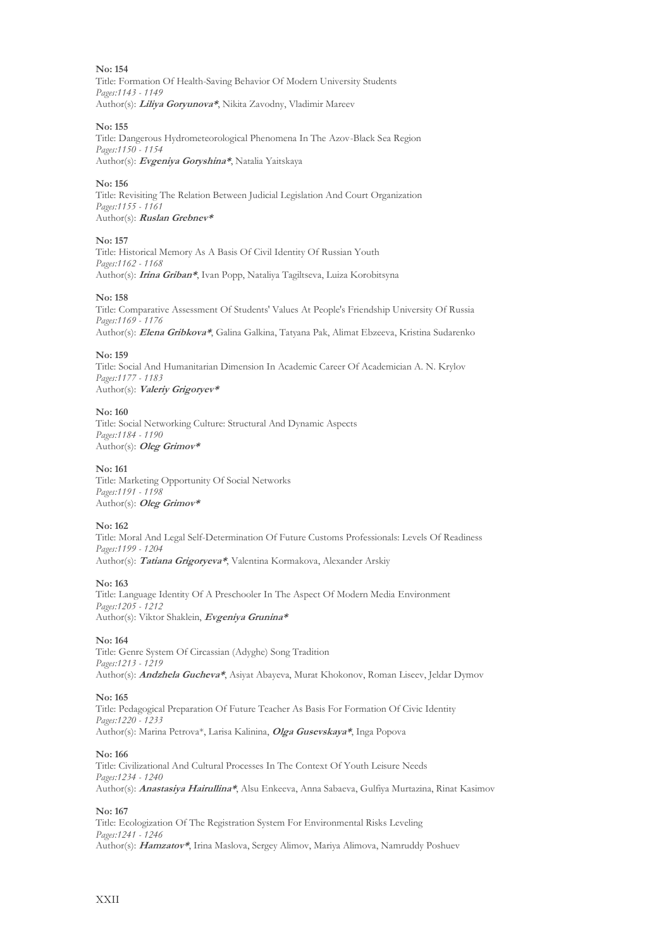Title: Formation Of Health-Saving Behavior Of Modern University Students *Pages:1143 - 1149* Author(s): **Liliya Goryunova\***, Nikita Zavodny, Vladimir Mareev

#### **No: 155**

Title: Dangerous Hydrometeorological Phenomena In The Azov-Black Sea Region *Pages:1150 - 1154* Author(s): **Evgeniya Goryshina\***, Natalia Yaitskaya

#### **No: 156**

Title: Revisiting The Relation Between Judicial Legislation And Court Organization *Pages:1155 - 1161* Author(s): **Ruslan Grebnev\***

#### **No: 157**

Title: Historical Memory As A Basis Of Civil Identity Of Russian Youth *Pages:1162 - 1168* Author(s): **Irina Griban\***, Ivan Popp, Nataliya Tagiltseva, Luiza Korobitsyna

#### **No: 158**

Title: Comparative Assessment Of Students' Values At People's Friendship University Of Russia *Pages:1169 - 1176* Author(s): **Elena Gribkova\***, Galina Galkina, Tatyana Pak, Alimat Ebzeeva, Kristina Sudarenko

#### **No: 159**

Title: Social And Humanitarian Dimension In Academic Career Of Academician A. N. Krylov *Pages:1177 - 1183* Author(s): **Valeriy Grigoryev\***

#### **No: 160**

Title: Social Networking Culture: Structural And Dynamic Aspects *Pages:1184 - 1190* Author(s): **Oleg Grimov\***

#### **No: 161**

Title: Marketing Opportunity Of Social Networks *Pages:1191 - 1198* Author(s): **Oleg Grimov\***

#### **No: 162**

Title: Moral And Legal Self-Determination Of Future Customs Professionals: Levels Of Readiness *Pages:1199 - 1204* Author(s): **Tatiana Grigoryeva\***, Valentina Kormakova, Alexander Arskiy

#### **No: 163**

Title: Language Identity Of A Preschooler In The Aspect Of Modern Media Environment *Pages:1205 - 1212* Author(s): Viktor Shaklein, **Evgeniya Grunina\***

#### **No: 164**

Title: Genre System Of Circassian (Adyghe) Song Tradition *Pages:1213 - 1219* Author(s): **Andzhela Gucheva\***, Asiyat Abayeva, Murat Khokonov, Roman Liseev, Jeldar Dymov

#### **No: 165**

Title: Pedagogical Preparation Of Future Teacher As Basis For Formation Of Civic Identity *Pages:1220 - 1233* Author(s): Marina Petrova\*, Larisa Kalinina, **Olga Gusevskaya\***, Inga Popova

#### **No: 166**

Title: Civilizational And Cultural Processes In The Context Of Youth Leisure Needs *Pages:1234 - 1240* Author(s): **Anastasiya Hairullina\***, Alsu Enkeeva, Anna Sabaeva, Gulfiya Murtazina, Rinat Kasimov

#### **No: 167**

Title: Ecologization Of The Registration System For Environmental Risks Leveling *Pages:1241 - 1246* Author(s): **Hamzatov\***, Irina Maslova, Sergey Alimov, Mariya Alimova, Namruddy Poshuev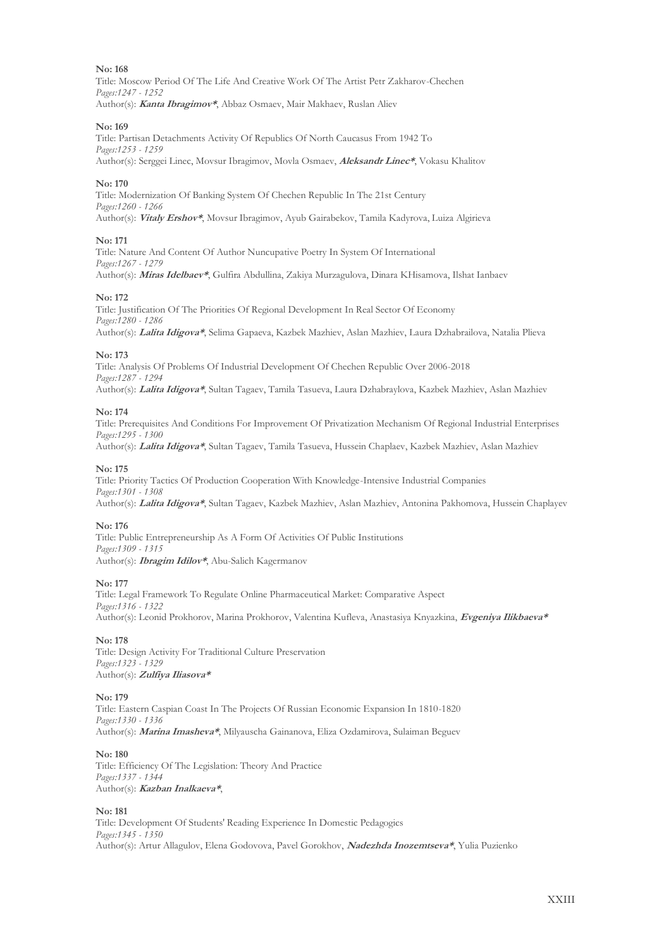Title: Moscow Period Of The Life And Creative Work Of The Artist Petr Zakharov-Chechen *Pages:1247 - 1252* Author(s): **Kanta Ibragimov\***, Abbaz Osmaev, Mair Makhaev, Ruslan Aliev

#### **No: 169**

Title: Partisan Detachments Activity Of Republics Of North Caucasus From 1942 To *Pages:1253 - 1259* Author(s): Serggei Linec, Movsur Ibragimov, Movla Osmaev, **Aleksandr Linec\***, Vokasu Khalitov

#### **No: 170**

Title: Modernization Of Banking System Of Chechen Republic In The 21st Century *Pages:1260 - 1266* Author(s): **Vitaly Ershov\***, Movsur Ibragimov, Ayub Gairabekov, Tamila Kadyrova, Luiza Algirieva

#### **No: 171**

Title: Nature And Content Of Author Nuncupative Poetry In System Of International *Pages:1267 - 1279* Author(s): **Miras Idelbaev\***, Gulfira Abdullina, Zakiya Murzagulova, Dinara KHisamova, Ilshat Ianbaev

#### **No: 172**

Title: Justification Of The Priorities Of Regional Development In Real Sector Of Economy *Pages:1280 - 1286* Author(s): **Lalita Idigova\***, Selimа Gapaeva, Kazbek Mazhiev, Aslan Mazhiev, Laura Dzhabrailova, Natalia Plieva

#### **No: 173**

Title: Analysis Of Problems Of Industrial Development Of Chechen Republic Over 2006-2018 *Pages:1287 - 1294* Author(s): **Lalita Idigova\***, Sultan Tagaev, Tamila Tasueva, Laura Dzhabraylova, Kazbek Mazhiev, Aslan Mazhiev

#### **No: 174**

Title: Prerequisites And Conditions For Improvement Of Privatization Mechanism Of Regional Industrial Enterprises *Pages:1295 - 1300*

Author(s): **Lalita Idigova\***, Sultan Tagaev, Tamila Tasueva, Hussein Chaplaev, Kazbek Mazhiev, Aslan Mazhiev

#### **No: 175**

Title: Priority Tactics Of Production Cooperation With Knowledge-Intensive Industrial Companies *Pages:1301 - 1308* Author(s): **Lalita Idigova\***, Sultan Tagaev, Kazbek Mazhiev, Aslan Mazhiev, Antonina Pakhomova, Hussein Chaplayev

#### **No: 176**

Title: Public Entrepreneurship As A Form Of Activities Of Public Institutions *Pages:1309 - 1315* Author(s): **Ibragim Idilov\***, Abu-Salich Kagermanov

#### **No: 177**

Title: Legal Framework To Regulate Online Pharmaceutical Market: Comparative Aspect *Pages:1316 - 1322* Author(s): Leonid Prokhorov, Marina Prokhorov, Valentina Kufleva, Anastasiya Knyazkina, **Evgeniya Ilikbaeva\***

#### **No: 178**

Title: Design Activity For Traditional Culture Preservation *Pages:1323 - 1329* Author(s): **Zulfiya Iliasova\***

#### **No: 179**

Title: Eastern Caspian Coast In The Projects Of Russian Economic Expansion In 1810-1820 *Pages:1330 - 1336* Author(s): **Marina Imasheva\***, Milyauscha Gainanova, Eliza Ozdamirova, Sulaiman Beguev

#### **No: 180**

Title: Efficiency Of The Legislation: Theory And Practice *Pages:1337 - 1344* Author(s): **Kazban Inalkaeva\***,

#### **No: 181**

Title: Development Of Students' Reading Experience In Domestic Pedagogics *Pages:1345 - 1350* Author(s): Artur Allagulov, Elena Godovova, Pavel Gorokhov, **Nadezhda Inozemtseva\***, Yulia Puzienko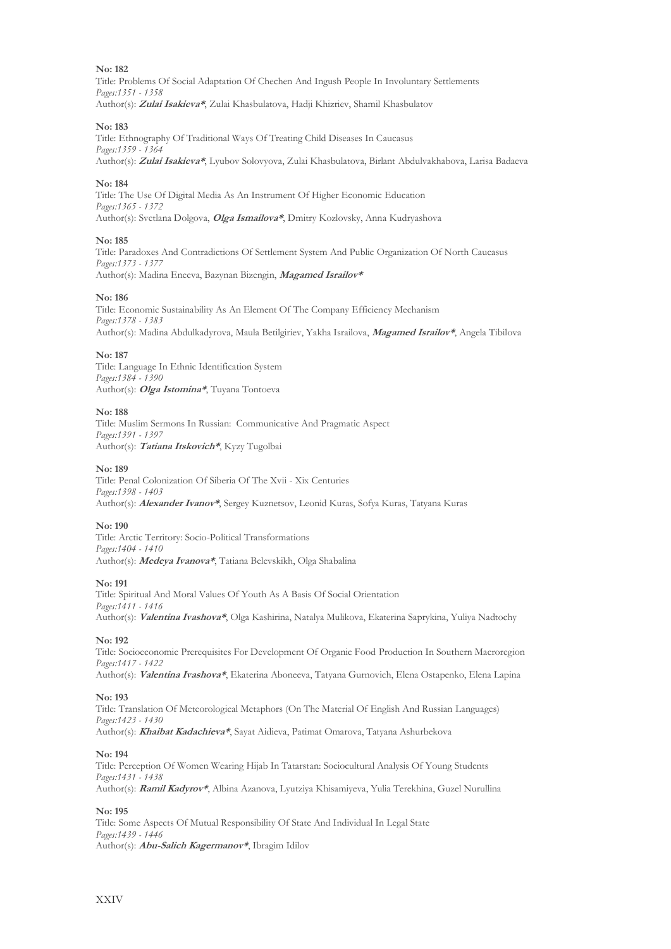Title: Problems Of Social Adaptation Of Chechen And Ingush People In Involuntary Settlements *Pages:1351 - 1358* Author(s): **Zulai Isakieva\***, Zulai Khasbulatova, Hadji Khizriev, Shamil Khasbulatov

#### **No: 183**

Title: Ethnography Of Traditional Ways Of Treating Child Diseases In Caucasus *Pages:1359 - 1364* Author(s): **Zulai Isakieva\***, Lyubov Solovyova, Zulai Khasbulatova, Birlant Abdulvakhabova, Larisa Badaeva

#### **No: 184**

Title: The Use Of Digital Media As An Instrument Of Higher Economic Education *Pages:1365 - 1372* Author(s): Svetlana Dolgova, **Olga Ismailova\***, Dmitry Kozlovsky, Anna Kudryashova

#### **No: 185**

Title: Paradoxes And Contradictions Of Settlement System And Public Organization Of North Caucasus *Pages:1373 - 1377* Author(s): Madina Eneeva, Bazynan Bizengin, **Magamed Israilov\***

#### **No: 186**

Title: Economic Sustainability As An Element Of The Company Efficiency Mechanism *Pages:1378 - 1383* Author(s): Madina Abdulkadyrova, Maula Betilgiriev, Yakha Israilova, **Magamed Israilov\***, Angela Tibilova

#### **No: 187**

Title: Language In Ethnic Identification System *Pages:1384 - 1390* Author(s): **Olga Istomina\***, Tuyana Tontoeva

#### **No: 188**

Title: Muslim Sermons In Russian: Communicative And Pragmatic Aspect *Pages:1391 - 1397* Author(s): **Tatiana Itskovich\***, Kyzy Tugolbai

#### **No: 189**

Title: Penal Colonization Of Siberia Of The Xvii - Xix Centuries *Pages:1398 - 1403* Author(s): **Alexander Ivanov\***, Sergey Kuznetsov, Leonid Kuras, Sofya Kuras, Tatyana Kuras

#### **No: 190**

Title: Arctic Territory: Socio-Political Transformations *Pages:1404 - 1410* Author(s): **Medeya Ivanova\***, Tatiana Belevskikh, Olga Shabalina

#### **No: 191**

Title: Spiritual And Moral Values Of Youth As A Basis Of Social Orientation *Pages:1411 - 1416* Author(s): **Valentina Ivashova\***, Olga Kashirina, Natalya Mulikova, Ekaterina Saprykina, Yuliya Nadtochy

#### **No: 192**

Title: Socioeconomic Prerequisites For Development Of Organic Food Production In Southern Macroregion *Pages:1417 - 1422* Author(s): **Valentina Ivashova\***, Ekaterina Aboneeva, Tatyana Gurnovich, Elena Ostapenko, Elena Lapina

#### **No: 193**

Title: Translation Of Meteorological Metaphors (On The Material Of English And Russian Languages) *Pages:1423 - 1430* Author(s): **Khaibat Kadachieva\***, Sayat Aidieva, Patimat Omarova, Tatyana Ashurbekova

#### **No: 194**

Title: Perception Of Women Wearing Hijab In Tatarstan: Sociocultural Analysis Of Young Students *Pages:1431 - 1438* Author(s): **Ramil Kadyrov\***, Albina Azanova, Lyutziya Khisamiyeva, Yulia Terekhina, Guzel Nurullina

**No: 195**

Title: Some Aspects Of Mutual Responsibility Of State And Individual In Legal State *Pages:1439 - 1446* Author(s): **Аbu-Salich Kagermanov\***, Ibragim Idilov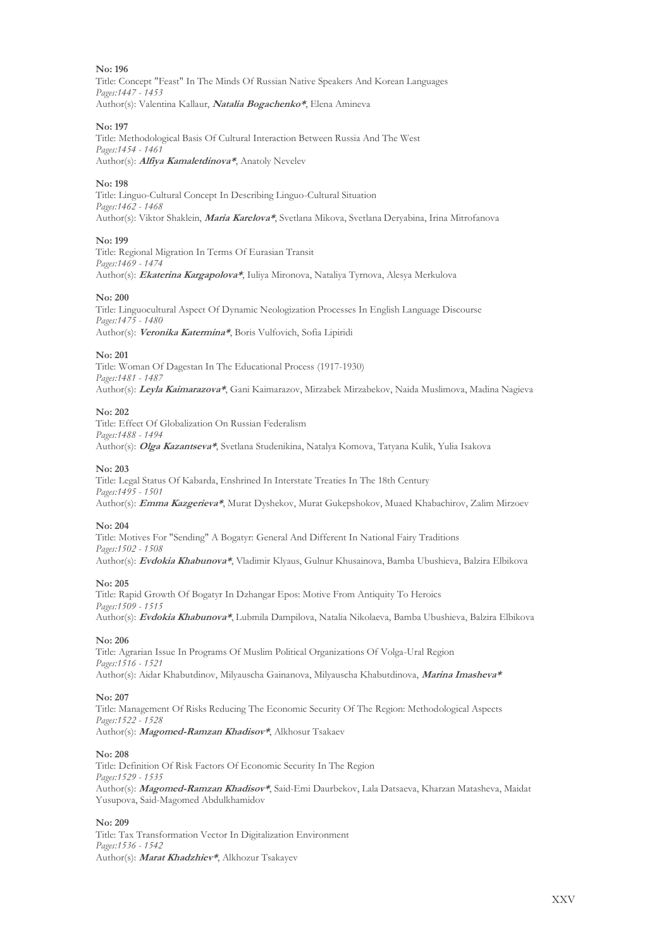Title: Concept "Feast" In The Minds Of Russian Native Speakers And Korean Languages *Pages:1447 - 1453* Author(s): Valentina Kallaur, **Natalia Bogachenko\***, Elena Amineva

#### **No: 197**

Title: Methodological Basis Of Cultural Interaction Between Russia And The West *Pages:1454 - 1461* Author(s): **Alfiya Kamaletdinova\***, Anatoly Nevelev

#### **No: 198**

Title: Linguo-Cultural Concept In Describing Linguo-Cultural Situation *Pages:1462 - 1468* Author(s): Viktor Shaklein, **Maria Karelova\***, Svetlana Mikova, Svetlana Deryabina, Irina Mitrofanova

#### **No: 199**

Title: Regional Migration In Terms Of Eurasian Transit *Pages:1469 - 1474* Author(s): **Ekaterina Kargapolova\***, Iuliya Mironova, Nataliya Tyrnova, Alesya Merkulova

#### **No: 200**

Title: Linguocultural Aspect Of Dynamic Neologization Processes In English Language Discourse *Pages:1475 - 1480* Author(s): **Veronika Katermina\***, Boris Vulfovich, Sofia Lipiridi

#### **No: 201**

Title: Woman Of Dagestan In The Educational Process (1917-1930) *Pages:1481 - 1487* Author(s): **Leyla Kaimarazova\***, Gani Kaimarazov, Mirzabek Mirzabekov, Naida Muslimova, Madina Nagieva

#### **No: 202**

Title: Effect Of Globalization On Russian Federalism *Pages:1488 - 1494* Author(s): **Olga Kazantseva\***, Svetlana Studenikina, Natalya Komova, Tatyana Kulik, Yulia Isakova

#### **No: 203**

Title: Legal Status Of Kabarda, Enshrined In Interstate Treaties In The 18th Century *Pages:1495 - 1501* Author(s): **Emma Kazgerieva\***, Murat Dyshekov, Murat Gukepshokov, Muaed Khabachirov, Zalim Mirzoev

#### **No: 204**

Title: Motives For "Sending" A Bogatyr: General And Different In National Fairy Traditions *Pages:1502 - 1508* Author(s): **Evdokia Khabunova\***, Vladimir Klyaus, Gulnur Khusainova, Bamba Ubushieva, Balzira Elbikova

#### **No: 205**

Title: Rapid Growth Of Bogatyr In Dzhangar Epos: Motive From Antiquity To Heroics *Pages:1509 - 1515* Author(s): **Evdokia Khabunova\***, Lubmila Dampilova, Natalia Nikolaeva, Bamba Ubushieva, Balzira Elbikova

#### **No: 206**

Title: Agrarian Issue In Programs Of Muslim Political Organizations Of Volga-Ural Region *Pages:1516 - 1521* Author(s): Aidar Khabutdinov, Milyauscha Gainanova, Milyauscha Khabutdinova, **Marina Imasheva\***

#### **No: 207**

Title: Management Of Risks Reducing The Economic Security Of The Region: Methodological Aspects *Pages:1522 - 1528* Author(s): **Magomed-Ramzan Khadisov\***, Alkhosur Tsakaev

#### **No: 208**

Title: Definition Of Risk Factors Of Economic Security In The Region *Pages:1529 - 1535* Author(s): **Magomed-Ramzan Khadisov\***, Said-Emi Daurbekov, Lala Datsaeva, Kharzan Matasheva, Maidat Yusupova, Said-Magomed Abdulkhamidov

#### **No: 209**

Title: Tax Transformation Vector In Digitalization Environment *Pages:1536 - 1542* Author(s): **Marat Khadzhiev\***, Alkhozur Tsakayev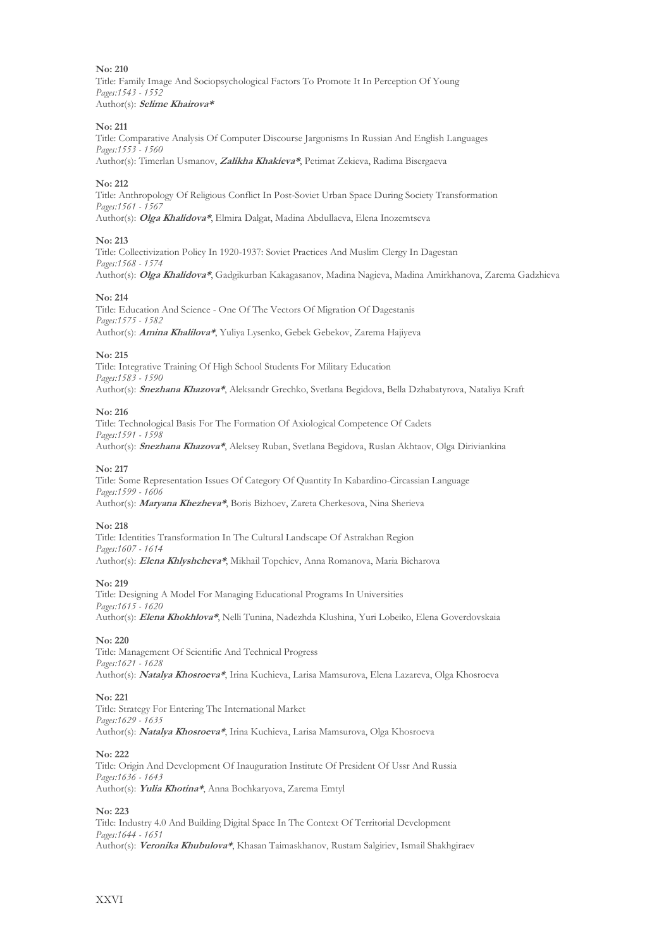Title: Family Image And Sociopsychological Factors To Promote It In Perception Of Young *Pages:1543 - 1552* Author(s): **Selime Khairova\***

#### **No: 211**

Title: Comparative Analysis Of Computer Discourse Jargonisms In Russian And English Languages *Pages:1553 - 1560* Author(s): Timerlan Usmanov, **Zalikha Khakieva\***, Petimat Zekieva, Radima Bisergaeva

**No: 212**

Title: Anthropology Of Religious Conflict In Post-Soviet Urban Space During Society Transformation *Pages:1561 - 1567* Author(s): **Olga Khalidova\***, Elmira Dalgat, Madina Abdullaeva, Elena Inozemtseva

#### **No: 213**

Title: Collectivization Policy In 1920-1937: Soviet Practices And Muslim Clergy In Dagestan *Pages:1568 - 1574* Author(s): **Olga Khalidova\***, Gadgikurban Kakagasanov, Madina Nagieva, Madina Amirkhanova, Zarema Gadzhieva

#### **No: 214**

Title: Education And Science - One Of The Vectors Of Migration Of Dagestanis *Pages:1575 - 1582* Author(s): **Amina Khalilova\***, Yuliya Lysenko, Gebek Gebekov, Zarema Hajiyeva

#### **No: 215**

Title: Integrative Training Of High School Students For Military Education *Pages:1583 - 1590* Author(s): **Snezhana Khazova\***, Aleksandr Grechko, Svetlana Begidova, Bella Dzhabatyrova, Nataliya Kraft

#### **No: 216**

Title: Technological Basis For The Formation Of Axiological Competence Of Cadets *Pages:1591 - 1598* Author(s): **Snezhana Khazova\***, Aleksey Ruban, Svetlana Begidova, Ruslan Akhtaov, Olga Diriviankina

#### **No: 217**

Title: Some Representation Issues Of Category Of Quantity In Kabardino-Circassian Language *Pages:1599 - 1606* Author(s): **Maryana Khezheva\***, Boris Bizhoev, Zareta Cherkesova, Nina Sherieva

**No: 218** Title: Identities Transformation In The Cultural Landscape Of Astrakhan Region *Pages:1607 - 1614* Author(s): **Elena Khlyshcheva\***, Mikhail Topchiev, Anna Romanova, Maria Bicharova

#### **No: 219**

Title: Designing A Model For Managing Educational Programs In Universities *Pages:1615 - 1620* Author(s): **Elena Khokhlova\***, Nelli Tunina, Nadezhda Klushina, Yuri Lobeiko, Elena Goverdovskaia

#### **No: 220**

Title: Management Of Scientific And Technical Progress *Pages:1621 - 1628* Author(s): **Natalya Khosroeva\***, Irina Kuchieva, Larisa Mamsurova, Elena Lazareva, Olga Khosroeva

#### **No: 221**

Title: Strategy For Entering The International Market *Pages:1629 - 1635* Author(s): **Natalya Khosroeva\***, Irina Kuchieva, Larisa Mamsurova, Olga Khosroeva

#### **No: 222**

Title: Origin And Development Of Inauguration Institute Of President Of Ussr And Russia *Pages:1636 - 1643* Author(s): **Yulia Khotina\***, Anna Bochkaryova, Zarema Emtyl

#### **No: 223**

Title: Industry 4.0 And Building Digital Space In The Context Of Territorial Development *Pages:1644 - 1651* Author(s): **Veronika Khubulova\***, Khasan Taimaskhanov, Rustam Salgiriev, Ismail Shakhgiraev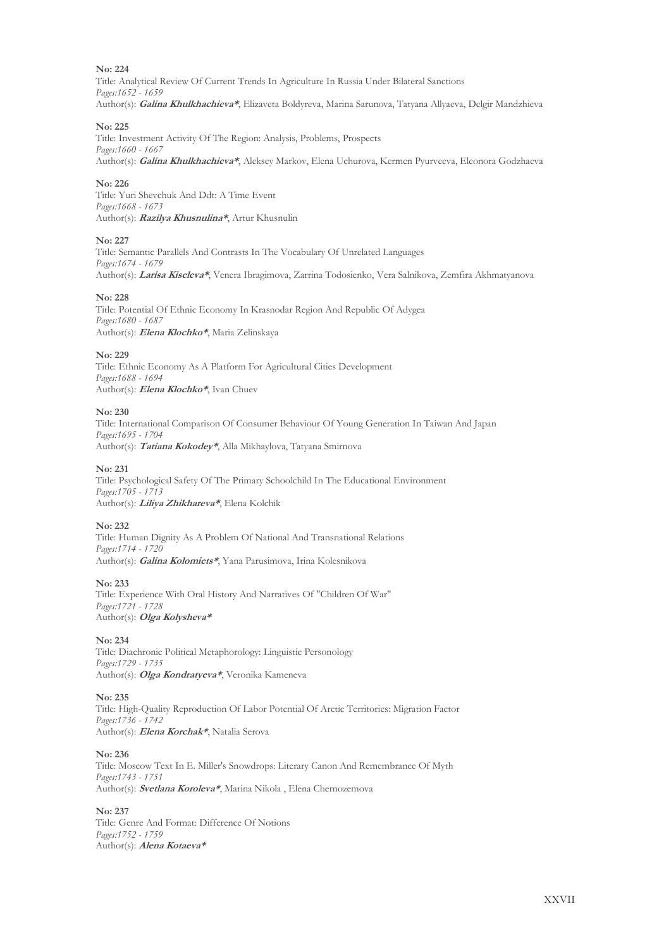Title: Analytical Review Of Current Trends In Agriculture In Russia Under Bilateral Sanctions *Pages:1652 - 1659* Author(s): **Galina Khulkhachieva\***, Elizaveta Boldyreva, Marina Sarunova, Tatyana Allyaeva, Delgir Mandzhieva

#### **No: 225**

Title: Investment Activity Of The Region: Analysis, Problems, Prospects *Pages:1660 - 1667* Author(s): **Galina Khulkhachieva\***, Aleksey Markov, Elena Uchurova, Kermen Pyurveeva, Eleonora Godzhaeva

#### **No: 226**

Title: Yuri Shevchuk And Ddt: A Time Event *Pages:1668 - 1673* Author(s): **Razilya Khusnulina\***, Artur Khusnulin

#### **No: 227**

Title: Semantic Parallels And Contrasts In The Vocabulary Of Unrelated Languages *Pages:1674 - 1679* Author(s): **Larisa Kiseleva\***, Venera Ibragimova, Zarrina Todosienko, Vera Salnikova, Zemfira Akhmatyanova

#### **No: 228**

Title: Potential Of Ethnic Economy In Krasnodar Region And Republic Of Adygea *Pages:1680 - 1687* Author(s): **Elena Klochko\***, Maria Zelinskaya

#### **No: 229**

Title: Ethnic Economy As A Platform For Agricultural Cities Development *Pages:1688 - 1694* Author(s): **Elena Klochko\***, Ivan Chuev

#### **No: 230**

Title: International Comparison Of Consumer Behaviour Of Young Generation In Taiwan And Japan *Pages:1695 - 1704* Author(s): **Tatiana Kokodey\***, Alla Mikhaylova, Tatyana Smirnova

#### **No: 231**

Title: Psychological Safety Of The Primary Schoolchild In The Educational Environment *Pages:1705 - 1713* Author(s): **Liliya Zhikhareva\***, Elena Kolchik

#### **No: 232**

Title: Human Dignity As A Problem Of National And Transnational Relations *Pages:1714 - 1720* Author(s): **Galina Kolomiets\***, Yana Parusimova, Irina Kolesnikova

#### **No: 233**

Title: Experience With Oral History And Narratives Of "Children Of War" *Pages:1721 - 1728* Author(s): **Olga Kolysheva\***

#### **No: 234**

Title: Diachronic Political Metaphorology: Linguistic Personology *Pages:1729 - 1735* Author(s): **Olga Kondratyeva\***, Veronika Kameneva

#### **No: 235**

Title: High-Quality Reproduction Of Labor Potential Of Arctic Territories: Migration Factor *Pages:1736 - 1742* Author(s): **Elena Korchak\***, Natalia Serova

**No: 236**

Title: Moscow Text In E. Miller's Snowdrops: Literary Canon And Remembrance Of Myth *Pages:1743 - 1751* Author(s): **Svetlana Koroleva\***, Marina Nikola , Elena Chernozemova

#### **No: 237**

Title: Genre And Format: Difference Of Notions *Pages:1752 - 1759* Author(s): **Alena Kotaeva\***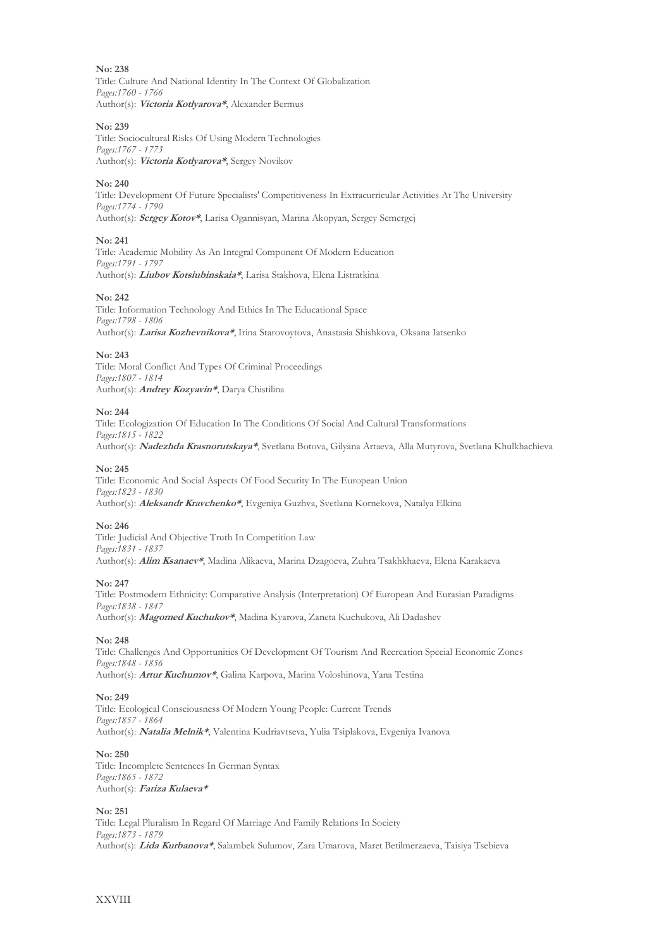Title: Culture And National Identity In The Context Of Globalization *Pages:1760 - 1766* Author(s): **Victoria Kotlyarova\***, Alexander Bermus

#### **No: 239**

Title: Sociocultural Risks Of Using Modern Technologies *Pages:1767 - 1773* Author(s): **Victoria Kotlyarova\***, Sergey Novikov

#### **No: 240**

Title: Development Of Future Specialists' Competitiveness In Extracurricular Activities At The University *Pages:1774 - 1790* Author(s): **Sergey Kotov\***, Larisa Ogannisyan, Marina Akopyan, Sergey Semergej

#### **No: 241**

Title: Academic Mobility As An Integral Component Of Modern Education *Pages:1791 - 1797* Author(s): **Liubov Kotsiubinskaia\***, Larisa Stakhova, Elena Listratkina

#### **No: 242**

Title: Information Technology And Ethics In The Educational Space *Pages:1798 - 1806* Author(s): **Larisa Kozhevnikova\***, Irina Starovoytova, Anastasia Shishkova, Oksana Iatsenko

#### **No: 243**

Title: Moral Conflict And Types Of Criminal Proceedings *Pages:1807 - 1814* Author(s): **Andrey Kozyavin\***, Darya Chistilina

#### **No: 244**

Title: Ecologization Of Education In The Conditions Of Social And Cultural Transformations *Pages:1815 - 1822* Author(s): **Nadezhda Krasnorutskaya\***, Svetlana Botova, Gilyana Artaeva, Alla Mutyrova, Svetlana Khulkhachieva

#### **No: 245**

Title: Economic And Social Aspects Of Food Security In The European Union *Pages:1823 - 1830* Author(s): **Aleksandr Kravchenko\***, Evgeniya Guzhva, Svetlana Kornekova, Natalya Elkina

#### **No: 246**

Title: Judicial And Objective Truth In Competition Law *Pages:1831 - 1837* Author(s): **Alim Ksanaev\***, Madina Alikaeva, Marina Dzagoeva, Zuhra Tsakhkhaeva, Elena Karakaeva

#### **No: 247**

Title: Postmodern Ethnicity: Comparative Analysis (Interpretation) Of European And Eurasian Paradigms *Pages:1838 - 1847* Author(s): **Magomed Kuchukov\***, Madina Kyarova, Zaneta Kuchukova, Ali Dadashev

#### **No: 248**

Title: Challenges And Opportunities Of Development Of Tourism And Recreation Special Economic Zones *Pages:1848 - 1856* Author(s): **Artur Kuchumov\***, Galina Karpova, Marina Voloshinova, Yana Testina

#### **No: 249**

Title: Ecological Consciousness Of Modern Young People: Current Trends *Pages:1857 - 1864* Author(s): **Natalia Melnik\***, Valentina Kudriavtseva, Yulia Tsiplakova, Evgeniya Ivanova

#### **No: 250**

Title: Incomplete Sentences In German Syntax *Pages:1865 - 1872* Author(s): **Fariza Kulaeva\***

#### **No: 251**

Title: Legal Pluralism In Regard Of Marriage And Family Relations In Society *Pages:1873 - 1879* Author(s): **Lida Kurbanova\***, Salambek Sulumov, Zara Umarova, Maret Betilmerzaeva, Taisiya Tsebieva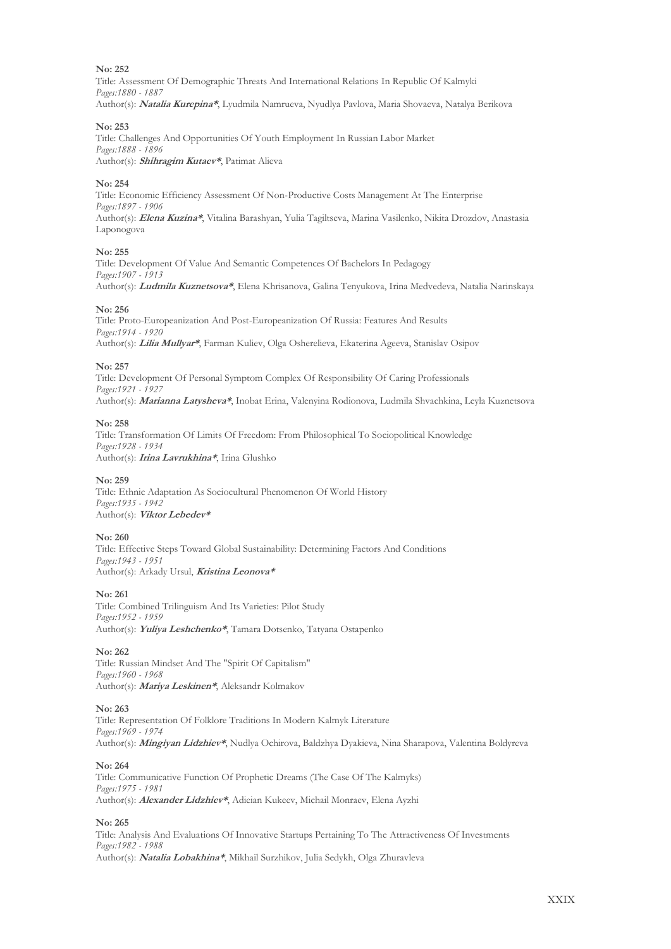Title: Assessment Of Demographic Threats And International Relations In Republic Of Kalmyki *Pages:1880 - 1887* Author(s): **Natalia Kurepina\***, Lyudmila Namrueva, Nyudlya Pavlova, Maria Shovaeva, Natalya Berikova

#### **No: 253**

Title: Challenges And Opportunities Of Youth Employment In Russian Labor Market *Pages:1888 - 1896* Author(s): **Shihragim Kutaev\***, Patimat Alieva

#### **No: 254**

Title: Economic Efficiency Assessment Of Non-Productive Costs Management At The Enterprise *Pages:1897 - 1906* Author(s): **Elena Kuzina\***, Vitalina Barashyan, Yulia Tagiltseva, Marina Vasilenko, Nikita Drozdov, Anastasia Laponogova

#### **No: 255**

Title: Development Of Value And Semantic Competences Of Bachelors In Pedagogy *Pages:1907 - 1913* Author(s): **Ludmila Kuznetsova\***, Еlena Khrisanova, Galina Tenyukova, Irina Medvedeva, Natalia Narinskaya

#### **No: 256**

Title: Proto-Europeanization And Post-Europeanization Of Russia: Features And Results *Pages:1914 - 1920* Author(s): **Lilia Mullyar\***, Farman Kuliev, Olga Osherelieva, Ekaterina Ageeva, Stanislav Osipov

#### **No: 257**

Title: Development Of Personal Symptom Complex Of Responsibility Of Caring Professionals *Pages:1921 - 1927* Author(s): **Marianna Latysheva\***, Inobat Erina, Valenyina Rodionova, Ludmila Shvachkina, Leyla Kuznetsova

#### **No: 258**

Title: Transformation Of Limits Of Freedom: From Philosophical To Sociopolitical Knowledge *Pages:1928 - 1934* Author(s): **Irina Lavrukhina\***, Irina Glushko

#### **No: 259**

Title: Ethnic Adaptation As Sociocultural Phenomenon Of World History *Pages:1935 - 1942* Author(s): **Viktor Lebedev\***

#### **No: 260**

Title: Effective Steps Toward Global Sustainability: Determining Factors And Conditions *Pages:1943 - 1951* Author(s): Arkady Ursul, **Kristina Leonova\***

**No: 261**

Title: Combined Trilinguism And Its Varieties: Pilot Study *Pages:1952 - 1959* Author(s): **Yuliya Leshchenko\***, Tamara Dotsenko, Tatyana Ostapenko

#### **No: 262**

Title: Russian Mindset And The "Spirit Of Capitalism" *Pages:1960 - 1968* Author(s): **Mariya Leskinen\***, Aleksandr Kolmakov

#### **No: 263**

Title: Representation Of Folklore Traditions In Modern Kalmyk Literature *Pages:1969 - 1974* Author(s): **Mingiyan Lidzhiev\***, Nudlya Ochirova, Baldzhya Dyakieva, Nina Sharapova, Valentina Boldyreva

#### **No: 264**

Title: Communicative Function Of Prophetic Dreams (The Case Of The Kalmyks) *Pages:1975 - 1981* Author(s): **Alexander Lidzhiev\***, Adieian Kukeev, Michail Monraev, Elena Ayzhi

#### **No: 265**

Title: Analysis And Evaluations Of Innovative Startups Pertaining To The Attractiveness Of Investments *Pages:1982 - 1988* Author(s): **Natalia Lobakhina\***, Mikhail Surzhikov, Julia Sedykh, Olga Zhuravleva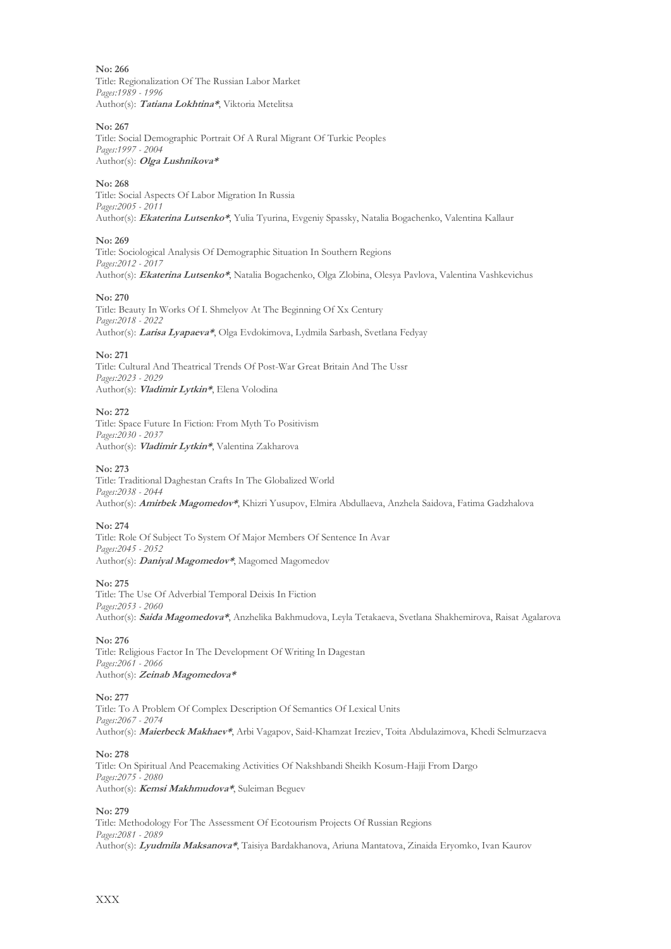Title: Regionalization Of The Russian Labor Market *Pages:1989 - 1996* Author(s): **Tatiana Lokhtina\***, Viktoria Metelitsa

#### **No: 267**

Title: Social Demographic Portrait Of A Rural Migrant Of Turkic Peoples *Pages:1997 - 2004* Author(s): **Olga Lushnikova\***

#### **No: 268**

Title: Social Aspects Of Labor Migration In Russia *Pages:2005 - 2011* Author(s): **Ekaterina Lutsenko\***, Yulia Tyurina, Evgeniy Spassky, Natalia Bogachenko, Valentina Kallaur

#### **No: 269**

Title: Sociological Analysis Of Demographic Situation In Southern Regions *Pages:2012 - 2017* Author(s): **Ekaterina Lutsenko\***, Natalia Bogachenko, Olga Zlobina, Olesya Pavlova, Valentina Vashkevichus

#### **No: 270**

Title: Beauty In Works Of I. Shmelyov At The Beginning Of Xx Century *Pages:2018 - 2022* Author(s): **Larisa Lyapaeva\***, Olga Evdokimova, Lydmila Sarbash, Svetlana Fedyay

#### **No: 271**

Title: Cultural And Theatrical Trends Of Post-War Great Britain And The Ussr *Pages:2023 - 2029* Author(s): **Vladimir Lytkin\***, Elena Volodina

#### **No: 272**

Title: Space Future In Fiction: From Myth To Positivism *Pages:2030 - 2037* Author(s): **Vladimir Lytkin\***, Valentina Zakharova

#### **No: 273**

Title: Traditional Daghestan Crafts In The Globalized World *Pages:2038 - 2044* Author(s): **Amirbek Magomedov\***, Khizri Yusupov, Elmira Abdullaeva, Anzhela Saidova, Fatima Gadzhalova

#### **No: 274**

Title: Role Of Subject To System Of Major Members Of Sentence In Avar *Pages:2045 - 2052* Author(s): **Daniyal Magomedov\***, Magomed Magomedov

#### **No: 275**

Title: The Use Of Adverbial Temporal Deixis In Fiction *Pages:2053 - 2060* Author(s): **Saida Magomedova\***, Anzhelika Bakhmudova, Leyla Tetakaeva, Svetlana Shakhemirova, Raisat Agalarova

#### **No: 276**

Title: Religious Factor In The Development Of Writing In Dagestan *Pages:2061 - 2066* Author(s): **Zeinab Magomedova\***

#### **No: 277**

Title: To A Problem Of Complex Description Of Semantics Of Lexical Units *Pages:2067 - 2074* Author(s): **Maierbeck Makhaev\***, Arbi Vagapov, Said-Khamzat Ireziev, Toita Abdulazimova, Khedi Selmurzaeva

#### **No: 278**

Title: On Spiritual And Peacemaking Activities Of Nakshbandi Sheikh Kosum-Hajji From Dargo *Pages:2075 - 2080* Author(s): **Kemsi Makhmudova\***, Suleiman Beguev

#### **No: 279**

Title: Methodology For The Assessment Of Ecotourism Projects Of Russian Regions *Pages:2081 - 2089* Author(s): **Lyudmila Maksanova\***, Taisiya Bardakhanova, Ariuna Mantatova, Zinaida Eryomko, Ivan Kaurov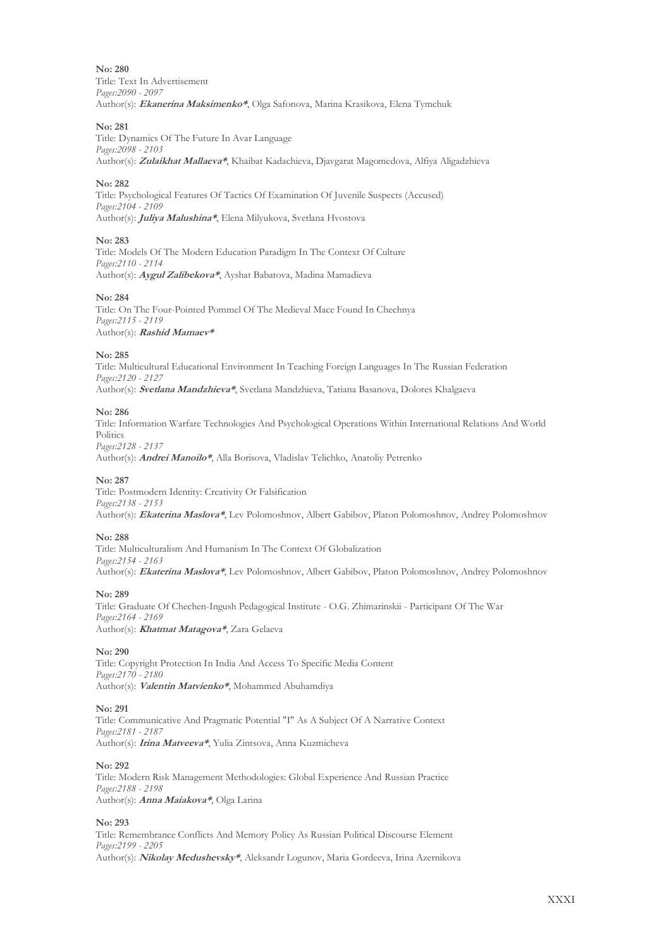**No: 280** Title: Text In Advertisement *Pages:2090 - 2097* Author(s): **Ekanerina Maksimenko\***, Olga Safonova, Marina Krasikova, Elena Tymchuk

#### **No: 281**

Title: Dynamics Of The Future In Avar Language *Pages:2098 - 2103* Author(s): **Zulaikhat Mallaeva\***, Khaibat Kadachieva, Djavgarat Magomedova, Alfiya Aligadzhieva

#### **No: 282**

Title: Psychological Features Of Tactics Of Examination Of Juvenile Suspects (Accused) *Pages:2104 - 2109* Author(s): **Juliya Malushina\***, Elena Milyukova, Svetlana Hvostova

#### **No: 283**

Title: Models Of The Modern Education Paradigm In The Context Of Culture *Pages:2110 - 2114* Author(s): **Aygul Zalibekova\***, Ayshat Babatova, Madina Mamadieva

#### **No: 284**

Title: On The Four-Pointed Pommel Of The Medieval Mace Found In Chechnya *Pages:2115 - 2119* Author(s): **Rashid Mamaev\***

#### **No: 285**

Title: Multicultural Educational Environment In Teaching Foreign Languages In The Russian Federation *Pages:2120 - 2127* Author(s): **Svetlana Mandzhieva\***, Svetlana Mandzhieva, Tatiana Basanova, Dolores Khalgaeva

#### **No: 286**

Title: Information Warfare Technologies And Psychological Operations Within International Relations And World Politics *Pages:2128 - 2137* Author(s): **Andrei Manoilo\***, Alla Borisova, Vladislav Telichko, Anatoliy Petrenko

#### **No: 287**

Title: Postmodern Identity: Creativity Or Falsification *Pages:2138 - 2153* Author(s): **Ekaterina Maslova\***, Lev Polomoshnov, Albert Gabibov, Platon Polomoshnov, Andrey Polomoshnov

#### **No: 288**

Title: Multiculturalism And Humanism In The Context Of Globalization *Pages:2154 - 2163* Author(s): **Ekaterina Maslova\***, Lev Polomoshnov, Albert Gabibov, Platon Polomoshnov, Andrey Polomoshnov

#### **No: 289**

Title: Graduate Of Chechen-Ingush Pedagogical Institute - O.G. Zhimarinskii - Participant Of The War *Pages:2164 - 2169* Author(s): **Khatmat Matagova\***, Zara Gelaeva

#### **No: 290**

Title: Copyright Protection In India And Access To Specific Media Content *Pages:2170 - 2180* Author(s): **Valentin Matvienko\***, Mohammed Abuhamdiya

#### **No: 291**

Title: Communicative And Pragmatic Potential "I" As A Subject Of A Narrative Context *Pages:2181 - 2187* Author(s): **Irina Matveeva\***, Yulia Zintsova, Anna Kuzmicheva

#### **No: 292**

Title: Modern Risk Management Methodologies: Global Experience And Russian Practice *Pages:2188 - 2198* Author(s): **Anna Maiakova\***, Olga Larina

#### **No: 293**

Title: Remembrance Conflicts And Memory Policy As Russian Political Discourse Element *Pages:2199 - 2205* Author(s): **Nikolay Medushevsky\***, Aleksandr Logunov, Maria Gordeeva, Irina Azernikova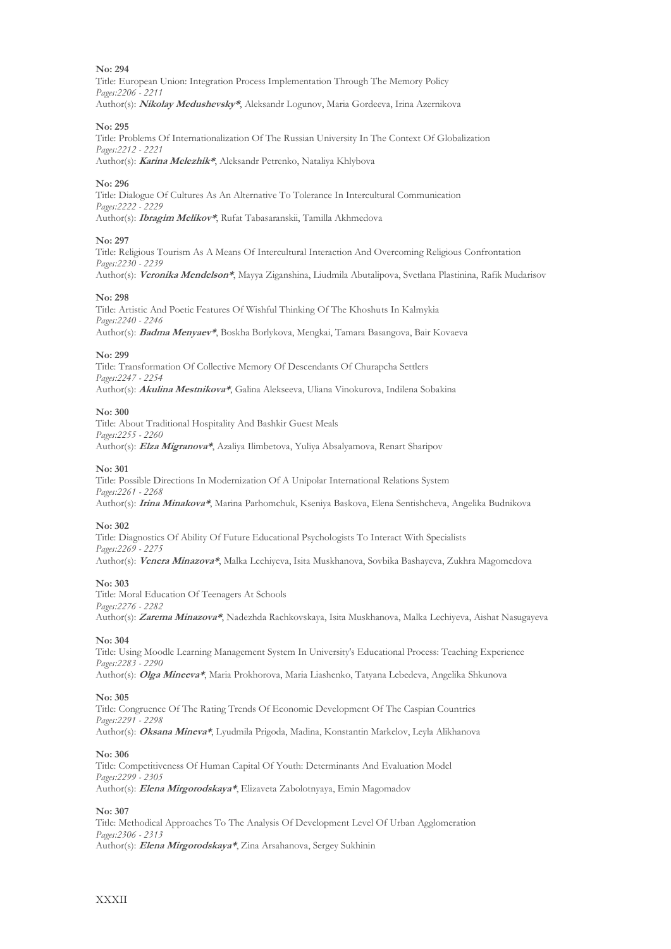Title: European Union: Integration Process Implementation Through The Memory Policy *Pages:2206 - 2211* Author(s): **Nikolay Medushevsky\***, Aleksandr Logunov, Maria Gordeeva, Irina Azernikova

#### **No: 295**

Title: Problems Of Internationalization Of The Russian University In The Context Of Globalization *Pages:2212 - 2221* Author(s): **Karina Melezhik\***, Aleksandr Petrenko, Nataliya Khlybova

#### **No: 296**

Title: Dialogue Of Cultures As An Alternative To Tolerance In Intercultural Communication *Pages:2222 - 2229* Author(s): **Ibragim Melikov\***, Rufat Tabasaranskii, Tamilla Akhmedova

#### **No: 297**

Title: Religious Tourism As A Means Of Intercultural Interaction And Overcoming Religious Confrontation *Pages:2230 - 2239* Author(s): **Veronika Mendelson\***, Mayya Ziganshina, Liudmila Abutalipova, Svetlana Plastinina, Rafik Mudarisov

#### **No: 298**

Title: Artistic And Poetic Features Of Wishful Thinking Of The Khoshuts In Kalmykia *Pages:2240 - 2246* Author(s): **Badma Menyaev\***, Boskha Borlykova, Mengkai, Tamara Basangova, Bair Kovaeva

#### **No: 299**

Title: Transformation Of Collective Memory Of Descendants Of Churapcha Settlers *Pages:2247 - 2254* Author(s): **Akulina Mestnikova\***, Galina Alekseeva, Uliana Vinokurova, Indilena Sobakina

#### **No: 300**

Title: About Traditional Hospitality And Bashkir Guest Meals *Pages:2255 - 2260* Author(s): **Elza Migranova\***, Azaliya Ilimbetova, Yuliya Absalyamova, Renart Sharipov

#### **No: 301**

Title: Possible Directions In Modernization Of A Unipolar International Relations System *Pages:2261 - 2268* Author(s): **Irina Minakova\***, Marina Parhomchuk, Kseniya Baskova, Elena Sentishcheva, Angelika Budnikova

#### **No: 302**

Title: Diagnostics Of Ability Of Future Educational Psychologists To Interact With Specialists *Pages:2269 - 2275* Author(s): **Venera Minazova\***, Malka Lechiyeva, Isita Muskhanova, Sovbika Bashayeva, Zukhra Magomedova

#### **No: 303**

Title: Moral Education Of Teenagers At Schools *Pages:2276 - 2282* Author(s): **Zarema Minazova\***, Nadezhda Rachkovskaya, Isita Muskhanova, Malka Lechiyeva, Aishat Nasugayeva

#### **No: 304**

Title: Using Moodle Learning Management System In University's Educational Process: Teaching Experience *Pages:2283 - 2290* Author(s): **Olga Mineeva\***, Maria Prokhorova, Maria Liashenko, Tatyana Lebedeva, Angelika Shkunova

#### **No: 305**

Title: Congruence Of The Rating Trends Of Economic Development Of The Caspian Countries *Pages:2291 - 2298* Author(s): **Oksana Mineva\***, Lyudmila Prigoda, Madina, Konstantin Markelov, Leyla Alikhanova

#### **No: 306**

Title: Competitiveness Of Human Capital Of Youth: Determinants And Evaluation Model *Pages:2299 - 2305* Author(s): **Elena Mirgorodskaya\***, Elizaveta Zabolotnyaya, Emin Magomadov

#### **No: 307**

Title: Methodical Approaches To The Analysis Of Development Level Of Urban Agglomeration *Pages:2306 - 2313* Author(s): **Elena Mirgorodskaya\***, Zina Arsahanova, Sergey Sukhinin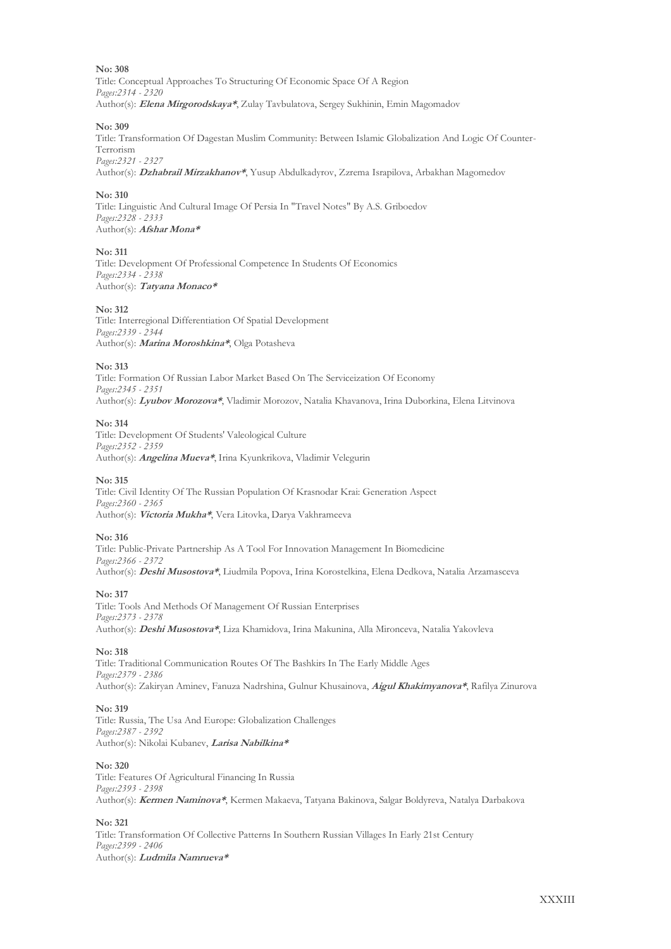Title: Conceptual Approaches To Structuring Of Economic Space Of A Region *Pages:2314 - 2320* Author(s): **Elena Mirgorodskaya\***, Zulay Tavbulatova, Sergey Sukhinin, Emin Magomadov

#### **No: 309**

Title: Transformation Of Dagestan Muslim Community: Between Islamic Globalization And Logic Of Counter-Terrorism *Pages:2321 - 2327*

Author(s): **Dzhabrail Mirzakhanov\***, Yusup Abdulkadyrov, Zzrema Israpilova, Arbakhan Magomedov

#### **No: 310**

Title: Linguistic And Cultural Image Of Persia In "Travel Notes" By A.S. Griboedov *Pages:2328 - 2333* Author(s): **Afshar Mona\***

#### **No: 311**

Title: Development Of Professional Competence In Students Of Economics *Pages:2334 - 2338* Author(s): **Tatyana Monaco\***

#### **No: 312**

Title: Interregional Differentiation Of Spatial Development *Pages:2339 - 2344* Author(s): **Marina Moroshkina\***, Olga Potasheva

#### **No: 313**

Title: Formation Of Russian Labor Market Based On The Serviceization Of Economy *Pages:2345 - 2351* Author(s): **Lyubov Morozova\***, Vladimir Morozov, Natalia Khavanova, Irina Duborkina, Elena Litvinova

#### **No: 314**

Title: Development Of Students' Valeological Culture *Pages:2352 - 2359* Author(s): **Angelina Mueva\***, Irina Kyunkrikova, Vladimir Velegurin

#### **No: 315**

Title: Civil Identity Of The Russian Population Of Krasnodar Krai: Generation Aspect *Pages:2360 - 2365* Author(s): **Victoria Mukha\***, Vera Litovka, Darya Vakhrameeva

#### **No: 316**

Title: Public-Private Partnership As A Tool For Innovation Management In Biomedicine *Pages:2366 - 2372* Author(s): **Deshi Musostova\***, Liudmila Popova, Irina Korostelkina, Elena Dedkova, Natalia Arzamasceva

#### **No: 317**

Title: Tools And Methods Of Management Of Russian Enterprises *Pages:2373 - 2378* Author(s): **Deshi Musostova\***, Liza Khamidova, Irina Makunina, Alla Mironceva, Natalia Yakovleva

#### **No: 318**

Title: Traditional Communication Routes Of The Bashkirs In The Early Middle Ages *Pages:2379 - 2386* Author(s): Zakiryan Aminev, Fanuza Nadrshina, Gulnur Khusainova, **Aigul Khakimyanova\***, Rafilya Zinurova

#### **No: 319**

Title: Russia, The Usa And Europe: Globalization Challenges *Pages:2387 - 2392* Author(s): Nikolai Kubanev, **Larisa Nabilkina\***

#### **No: 320**

Title: Features Of Agricultural Financing In Russia *Pages:2393 - 2398* Author(s): **Kermen Naminova\***, Kermen Makaeva, Tatyana Bakinova, Salgar Boldyreva, Natalya Darbakova

#### **No: 321**

Title: Transformation Of Collective Patterns In Southern Russian Villages In Early 21st Century *Pages:2399 - 2406* Author(s): **Ludmila Namrueva\***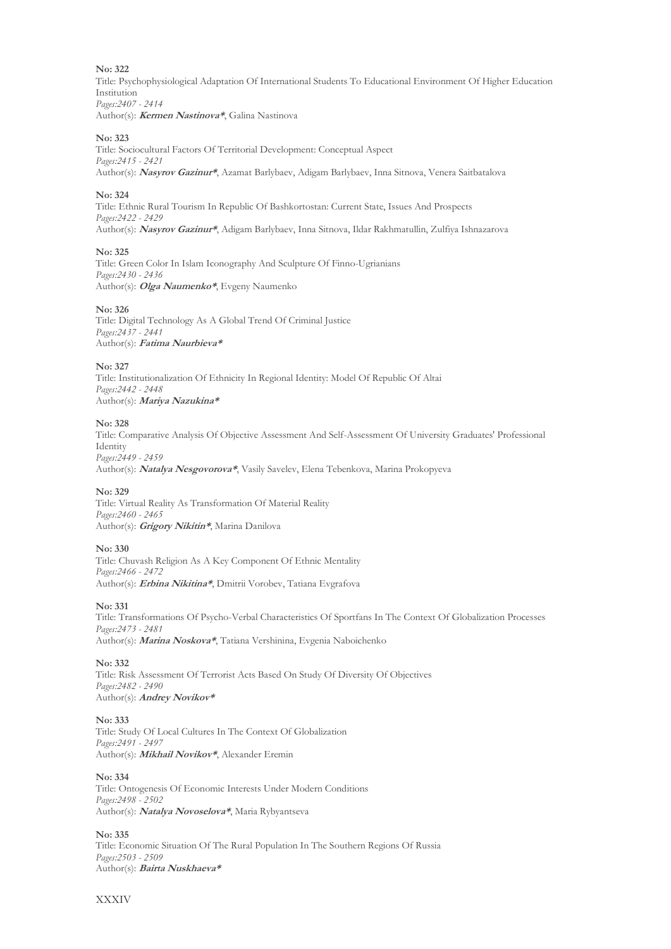Title: Psychophysiological Adaptation Of International Students To Educational Environment Of Higher Education Institution *Pages:2407 - 2414* Author(s): **Kermen Nastinova\***, Galina Nastinova

### **No: 323**

Title: Sociocultural Factors Of Territorial Development: Conceptual Aspect *Pages:2415 - 2421* Author(s): **Nasyrov Gazinur\***, Azamat Barlybaev, Adigam Barlybaev, Inna Sitnova, Venera Saitbatalova

#### **No: 324**

Title: Ethnic Rural Tourism In Republic Of Bashkortostan: Current State, Issues And Prospects *Pages:2422 - 2429* Author(s): **Nasyrov Gazinur\***, Adigam Barlybaev, Inna Sitnova, Ildar Rakhmatullin, Zulfiya Ishnazarova

#### **No: 325**

Title: Green Color In Islam Iconography And Sculpture Of Finno-Ugrianians *Pages:2430 - 2436* Author(s): **Olga Naumenko\***, Evgeny Naumenko

#### **No: 326**

Title: Digital Technology As A Global Trend Of Criminal Justice *Pages:2437 - 2441* Author(s): **Fatima Naurbieva\***

#### **No: 327**

Title: Institutionalization Of Ethnicity In Regional Identity: Model Of Republic Of Altai *Pages:2442 - 2448* Author(s): **Mariya Nazukina\***

#### **No: 328**

Title: Comparative Analysis Of Objective Assessment And Self-Assessment Of University Graduates' Professional Identity *Pages:2449 - 2459*

Author(s): **Natalya Nesgovorova\***, Vasily Savelev, Elena Tebenkova, Marina Prokopyeva

#### **No: 329**

Title: Virtual Reality As Transformation Of Material Reality *Pages:2460 - 2465* Author(s): **Grigory Nikitin\***, Marina Danilova

#### **No: 330**

Title: Chuvash Religion As A Key Component Of Ethnic Mentality *Pages:2466 - 2472* Author(s): **Erbina Nikitina\***, Dmitrii Vorobev, Tatiana Evgrafova

#### **No: 331**

Title: Transformations Of Psycho-Verbal Characteristics Of Sportfans In The Context Of Globalization Processes *Pages:2473 - 2481* Author(s): **Marina Noskova\***, Tatiana Vershinina, Evgenia Naboichenko

#### **No: 332**

Title: Risk Assessment Of Terrorist Acts Based On Study Of Diversity Of Objectives *Pages:2482 - 2490* Author(s): **Andrey Novikov\***

#### **No: 333**

Title: Study Of Local Cultures In The Context Of Globalization *Pages:2491 - 2497* Author(s): **Mikhail Novikov\***, Alexander Eremin

#### **No: 334**

Title: Ontogenesis Of Economic Interests Under Modern Conditions *Pages:2498 - 2502* Author(s): **Natalya Novoselova\***, Maria Rybyantseva

**No: 335** Title: Economic Situation Of The Rural Population In The Southern Regions Of Russia *Pages:2503 - 2509* Author(s): **Bairta Nuskhaeva\***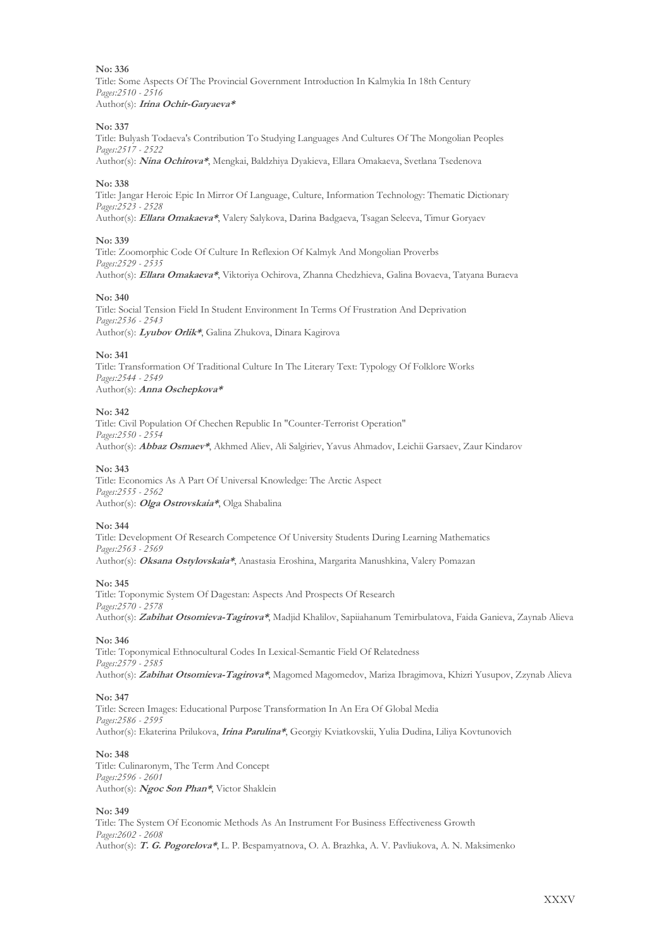Title: Some Aspects Of The Provincial Government Introduction In Kalmykia In 18th Century *Pages:2510 - 2516* Author(s): **Irina Ochir-Garyaeva\***

#### **No: 337**

Title: Bulyash Todaeva's Contribution To Studying Languages And Cultures Of The Mongolian Peoples *Pages:2517 - 2522*

Author(s): **Nina Ochirova\***, Mengkai, Baldzhiya Dyakieva, Ellara Omakaeva, Svetlana Tsedenova

#### **No: 338**

Title: Jangar Heroic Epic In Mirror Of Language, Culture, Information Technology: Thematic Dictionary *Pages:2523 - 2528* Author(s): **Ellara Omakaeva\***, Valery Salykova, Darina Badgaeva, Tsagan Seleeva, Timur Goryaev

#### **No: 339**

Title: Zoomorphic Code Of Culture In Reflexion Of Kalmyk And Mongolian Proverbs *Pages:2529 - 2535* Author(s): **Ellara Omakaeva\***, Viktoriya Ochirova, Zhanna Chedzhieva, Galina Bovaeva, Tatyana Buraeva

#### **No: 340**

Title: Social Tension Field In Student Environment In Terms Of Frustration And Deprivation *Pages:2536 - 2543* Author(s): **Lyubov Orlik\***, Galina Zhukova, Dinara Kagirova

#### **No: 341**

Title: Transformation Of Traditional Culture In The Literary Text: Typology Of Folklore Works *Pages:2544 - 2549* Author(s): **Anna Oschepkova\***

#### **No: 342**

Title: Civil Population Of Chechen Republic In "Counter-Terrorist Operation" *Pages:2550 - 2554* Author(s): **Abbaz Osmaev\***, Аkhmed Aliev, Аli Salgiriev, Yavus Ahmadov, Leichii Garsaev, Zaur Kindarov

#### **No: 343**

Title: Economics As A Part Of Universal Knowledge: The Arctic Aspect *Pages:2555 - 2562* Author(s): **Olga Ostrovskaia\***, Olga Shabalina

#### **No: 344**

Title: Development Of Research Competence Of University Students During Learning Mathematics *Pages:2563 - 2569* Author(s): **Oksana Ostylovskaia\***, Аnastasia Eroshina, Margarita Manushkina, Valery Pomazan

#### **No: 345**

Title: Toponymic System Of Dagestan: Aspects And Prospects Of Research *Pages:2570 - 2578* Author(s): **Zabihat Otsomieva-Tagirova\***, Madjid Khalilov, Sapiiahanum Temirbulatova, Faida Ganieva, Zaynab Alieva

#### **No: 346**

Title: Toponymical Ethnocultural Codes In Lexical-Semantic Field Of Relatedness *Pages:2579 - 2585* Author(s): **Zabihat Otsomieva-Tagirova\***, Magomed Magomedov, Mariza Ibragimova, Khizri Yusupov, Zzynab Alieva

#### **No: 347**

Title: Screen Images: Educational Purpose Transformation In An Era Of Global Media *Pages:2586 - 2595* Author(s): Ekaterina Prilukova, **Irina Parulina\***, Georgiy Kviatkovskii, Yulia Dudina, Liliya Kovtunovich

#### **No: 348**

Title: Culinaronym, The Term And Concept *Pages:2596 - 2601* Author(s): **Ngoc Son Phan\***, Victor Shaklein

#### **No: 349**

Title: The System Of Economic Methods As An Instrument For Business Effectiveness Growth *Pages:2602 - 2608* Author(s): **T. G. Pogorelova\***, L. P. Bespamyatnova, O. A. Brazhka, A. V. Pavliukova, A. N. Maksimenko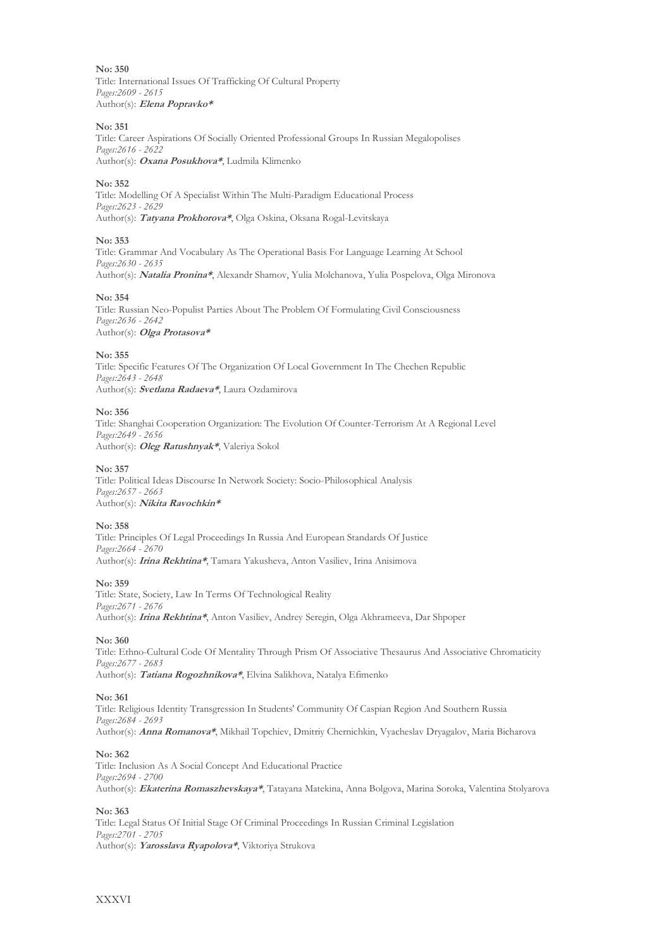**No: 350** Title: International Issues Of Trafficking Of Cultural Property *Pages:2609 - 2615* Author(s): **Elena Popravko\***

#### **No: 351**

Title: Сareer Aspirations Of Socially Oriented Professional Groups In Russian Megalopolises *Pages:2616 - 2622* Author(s): **Oxana Posukhova\***, Ludmila Klimenko

#### **No: 352**

Title: Modelling Of A Specialist Within The Multi-Paradigm Educational Process *Pages:2623 - 2629* Author(s): **Tatyana Prokhorova\***, Olga Oskina, Oksana Rogal-Levitskaya

#### **No: 353**

Title: Grammar And Vocabulary As The Operational Basis For Language Learning At School *Pages:2630 - 2635* Author(s): **Natalia Pronina\***, Alexandr Shamov, Yulia Molchanova, Yulia Pospelova, Olga Mironova

#### **No: 354**

Title: Russian Neo-Populist Parties About The Problem Of Formulating Civil Consciousness *Pages:2636 - 2642* Author(s): **Olga Protasova\***

#### **No: 355**

Title: Specific Features Of The Organization Of Local Government In The Chechen Republic *Pages:2643 - 2648* Author(s): **Svetlana Radaeva\***, Laura Ozdamirova

#### **No: 356**

Title: Shanghai Cooperation Organization: The Evolution Of Counter-Terrorism At A Regional Level *Pages:2649 - 2656* Author(s): **Oleg Ratushnyak\***, Valeriya Sokol

#### **No: 357**

Title: Political Ideas Discourse In Network Society: Socio-Philosophical Analysis *Pages:2657 - 2663* Author(s): **Nikita Ravochkin\***

#### **No: 358**

Title: Principles Of Legal Proceedings In Russia And European Standards Of Justice *Pages:2664 - 2670* Author(s): **Irina Rekhtina\***, Tamara Yakusheva, Anton Vasiliev, Irina Anisimova

#### **No: 359**

Title: State, Society, Law In Terms Of Technological Reality *Pages:2671 - 2676* Author(s): **Irina Rekhtina\***, Anton Vasiliev, Andrey Seregin, Olga Akhrameeva, Dar Shpoper

#### **No: 360**

Title: Ethno-Cultural Code Of Mentality Through Prism Of Associative Thesaurus And Associative Chromaticity *Pages:2677 - 2683* Author(s): **Tatiana Rogozhnikova\***, Elvina Salikhova, Natalya Efimenko

#### **No: 361**

Title: Religious Identity Transgression In Students' Community Of Caspian Region And Southern Russia *Pages:2684 - 2693* Author(s): **Anna Romanova\***, Mikhail Topchiev, Dmitriy Chernichkin, Vyacheslav Dryagalov, Maria Bicharova

#### **No: 362**

Title: Inclusion As A Social Concept And Educational Practice *Pages:2694 - 2700* Author(s): **Ekaterina Romaszhevskaya\***, Tatayana Matekina, Anna Bolgova, Marina Soroka, Valentina Stolyarova

#### **No: 363**

Title: Legal Status Of Initial Stage Of Criminal Proceedings In Russian Criminal Legislation *Pages:2701 - 2705* Author(s): **Yarosslava Ryapolova\***, Viktoriya Strukova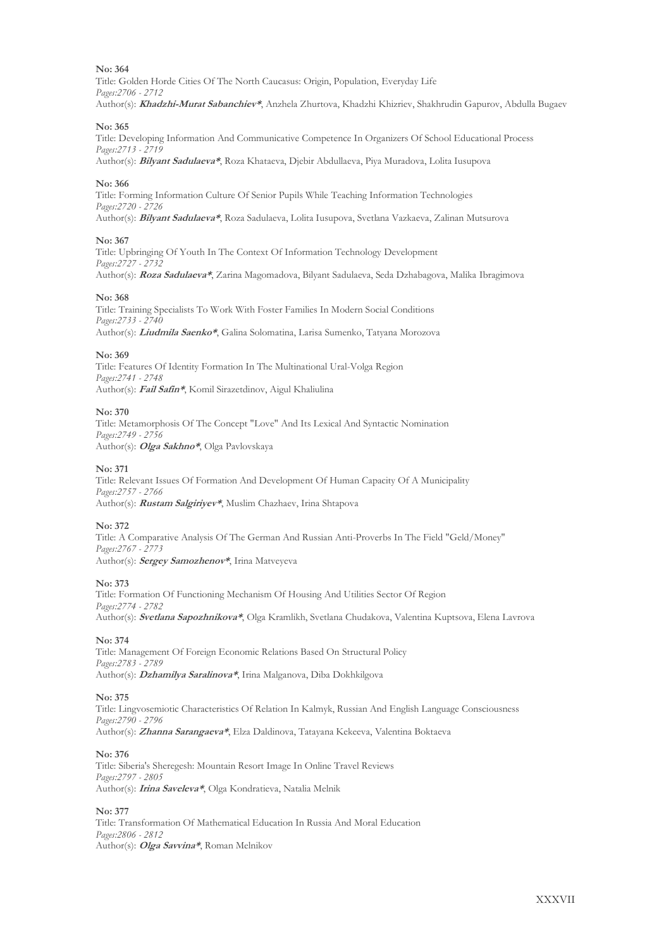Title: Golden Horde Cities Of The North Caucasus: Origin, Population, Everyday Life *Pages:2706 - 2712* Author(s): **Khadzhi-Murat Sabanchiev\***, Anzhela Zhurtova, Khadzhi Khizriev, Shakhrudin Gapurov, Abdulla Bugaev

#### **No: 365**

Title: Developing Information And Communicative Competence In Organizers Of School Educational Process *Pages:2713 - 2719*

Author(s): **Bilyant Sadulaeva\***, Roza Khataeva, Djebir Abdullaeva, Piya Muradova, Lolita Iusupova

#### **No: 366**

Title: Forming Information Culture Of Senior Pupils While Teaching Information Technologies *Pages:2720 - 2726* Author(s): **Bilyant Sadulaeva\***, Roza Sadulaeva, Lolita Iusupova, Svetlana Vazkaeva, Zalinan Mutsurova

#### **No: 367**

Title: Upbringing Of Youth In The Context Of Information Technology Development *Pages:2727 - 2732* Author(s): **Roza Sadulaeva\***, Zarina Magomadova, Bilyant Sadulaeva, Seda Dzhabagova, Malika Ibragimova

#### **No: 368**

Title: Training Specialists To Work With Foster Families In Modern Social Conditions *Pages:2733 - 2740* Author(s): **Liudmila Saenko\***, Galina Solomatina, Larisa Sumenko, Tatyana Morozova

#### **No: 369**

Title: Features Of Identity Formation In The Multinational Ural-Volga Region *Pages:2741 - 2748* Author(s): **Fail Safin\***, Komil Sirazetdinov, Aigul Khaliulina

#### **No: 370**

Title: Metamorphosis Of The Concept "Love" And Its Lexical And Syntactic Nomination *Pages:2749 - 2756* Author(s): **Olga Sakhno\***, Olga Pavlovskaya

#### **No: 371**

Title: Relevant Issues Of Formation And Development Of Human Capacity Of A Municipality *Pages:2757 - 2766* Author(s): **Rustam Salgiriyev\***, Muslim Chazhaev, Irina Shtapova

#### **No: 372**

Title: A Comparative Analysis Of The German And Russian Anti-Proverbs In The Field "Geld/Money" *Pages:2767 - 2773* Author(s): **Sergey Samozhenov\***, Irina Matveyeva

#### **No: 373**

Title: Formation Of Functioning Mechanism Of Housing And Utilities Sector Of Region *Pages:2774 - 2782* Author(s): **Svetlana Sapozhnikova\***, Olga Kramlikh, Svetlana Chudakova, Valentina Kuptsova, Elena Lavrova

#### **No: 374**

Title: Management Of Foreign Economic Relations Based On Structural Policy *Pages:2783 - 2789* Author(s): **Dzhamilya Saralinova\***, Irina Malganova, Diba Dokhkilgova

#### **No: 375**

Title: Lingvosemiotic Characteristics Of Relation In Kalmyk, Russian And English Language Consciousness *Pages:2790 - 2796* Author(s): **Zhanna Sarangaeva\***, Elza Daldinova, Tatayana Kekeeva, Valentina Boktaeva

#### **No: 376**

Title: Siberia's Sheregesh: Mountain Resort Image In Online Travel Reviews *Pages:2797 - 2805* Author(s): **Irina Saveleva\***, Olga Kondratieva, Natalia Melnik

**No: 377**

Title: Transformation Of Mathematical Education In Russia And Moral Education *Pages:2806 - 2812* Author(s): **Olga Savvina\***, Roman Melnikov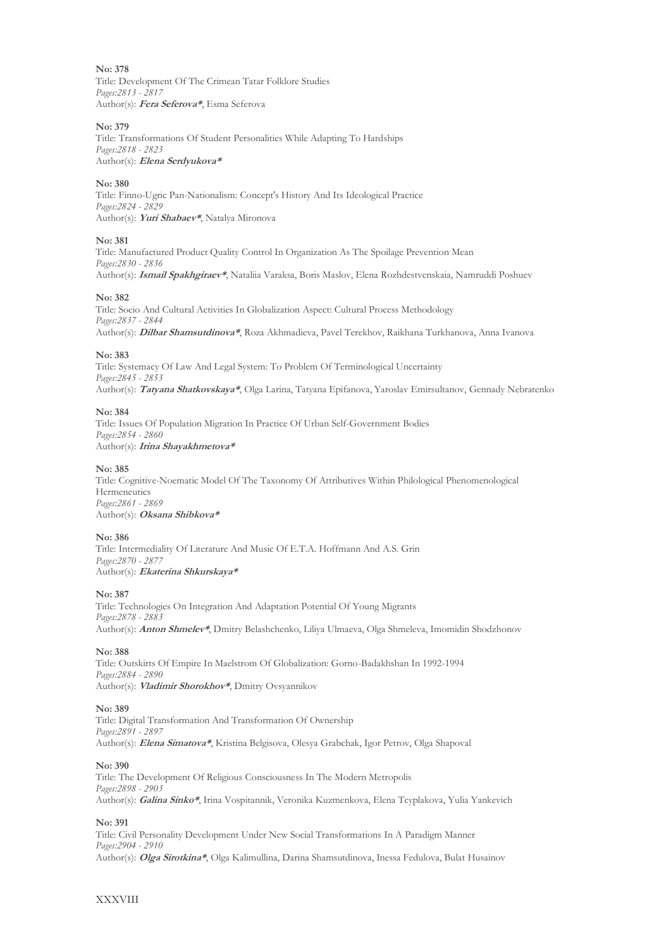Title: Development Of The Crimean Tatar Folklore Studies *Pages:2813 - 2817* Author(s): **Fera Seferova\***, Esma Seferova

#### **No: 379**

Title: Transformations Of Student Personalities While Adapting To Hardships *Pages:2818 - 2823* Author(s): **Elena Serdyukova\***

#### **No: 380**

Title: Finno-Ugric Pan-Nationalism: Concept's History And Its Ideological Practice *Pages:2824 - 2829* Author(s): **Yuri Shabaev\***, Natalya Mironova

#### **No: 381**

Title: Manufactured Product Quality Control In Organization As The Spoilage Prevention Mean *Pages:2830 - 2836* Author(s): **Ismail Sрakhgiraev\***, Nataliia Varaksa, Boris Maslov, Elena Rozhdestvenskaia, Namruddi Poshuev

#### **No: 382**

Title: Socio And Cultural Activities In Globalization Aspect: Cultural Process Methodology *Pages:2837 - 2844* Author(s): **Dilbar Shamsutdinova\***, Roza Akhmadieva, Pavel Terekhov, Raikhana Turkhanova, Anna Ivanova

#### **No: 383**

Title: Systemacy Of Law And Legal System: To Problem Of Terminological Uncertainty *Pages:2845 - 2853* Author(s): **Tatyana Shatkovskaya\***, Olga Larina, Tatyana Epifanova, Yaroslav Emirsultanov, Gennady Nebratenko

#### **No: 384**

Title: Issues Of Population Migration In Practice Of Urban Self-Government Bodies *Pages:2854 - 2860* Author(s): **Irina Shayakhmetova\***

#### **No: 385**

Title: Cognitive-Noematic Model Of The Taxonomy Of Attributives Within Philological Phenomenological **Hermeneutics** *Pages:2861 - 2869* Author(s): **Oksana Shibkova\***

#### **No: 386**

Title: Intermediality Of Literature And Music Of E.T.A. Hoffmann And A.S. Grin *Pages:2870 - 2877* Author(s): **Ekaterina Shkurskaya\***

#### **No: 387**

Title: Technologies On Integration And Adaptation Potential Of Young Migrants *Pages:2878 - 2883* Author(s): **Anton Shmelev\***, Dmitry Belashchenko, Liliya Ulmaeva, Olga Shmeleva, Imomidin Shodzhonov

#### **No: 388**

Title: Outskirts Of Empire In Maelstrom Of Globalization: Gorno-Badakhshan In 1992-1994 *Pages:2884 - 2890* Author(s): **Vladimir Shorokhov\***, Dmitry Ovsyannikov

#### **No: 389**

Title: Digital Transformation And Transformation Of Ownership *Pages:2891 - 2897* Author(s): **Elena Simatova\***, Kristina Belgisova, Olesya Grabchak, Igor Petrov, Olga Shapoval

#### **No: 390**

Title: The Development Of Religious Consciousness In The Modern Metropolis *Pages:2898 - 2903* Author(s): **Galina Sinko\***, Irina Vospitannik, Veronika Kuzmenkova, Elena Tсyplakova, Yulia Yankevich

#### **No: 391**

Title: Civil Personality Development Under New Social Transformations In A Paradigm Manner *Pages:2904 - 2910* Author(s): **Olga Sirotkina\***, Olga Kalimullina, Darina Shamsutdinova, Inessa Fedulova, Bulat Husainov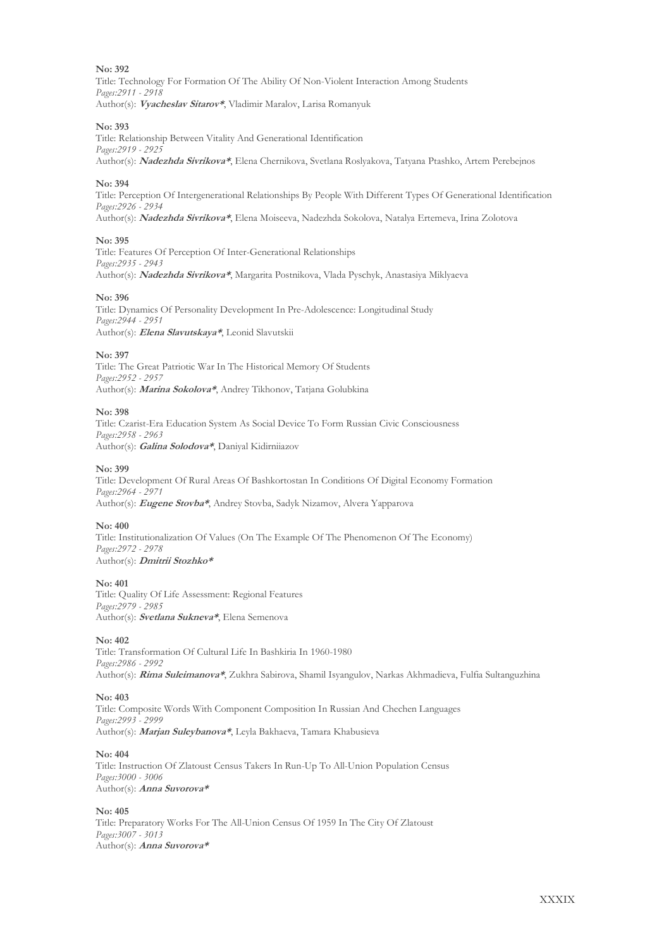Title: Technology For Formation Of The Ability Of Non-Violent Interaction Among Students *Pages:2911 - 2918* Author(s): **Vyacheslav Sitarov\***, Vladimir Maralov, Larisa Romanyuk

#### **No: 393**

Title: Relationship Between Vitality And Generational Identification *Pages:2919 - 2925* Author(s): **Nadezhda Sivrikova\***, Elena Chernikova, Svetlana Roslyakova, Tatyana Ptashko, Artem Perebejnos

#### **No: 394**

Title: Perception Of Intergenerational Relationships By People With Different Types Of Generational Identification *Pages:2926 - 2934* Author(s): **Nadezhda Sivrikova\***, Elena Moiseeva, Nadezhda Sokolova, Natalya Ertemeva, Irina Zolotova

#### **No: 395**

Title: Features Of Perception Of Inter-Generational Relationships *Pages:2935 - 2943* Author(s): **Nadezhda Sivrikova\***, Margarita Postnikova, Vlada Pyschyk, Anastasiya Miklyaeva

#### **No: 396**

Title: Dynamics Of Personality Development In Pre-Adolescence: Longitudinal Study *Pages:2944 - 2951* Author(s): **Elena Slavutskaya\***, Leonid Slavutskii

#### **No: 397**

Title: The Great Patriotic War In The Historical Memory Of Students *Pages:2952 - 2957* Author(s): **Marina Sokolova\***, Andrey Tikhonov, Tatjana Golubkina

#### **No: 398**

Title: Czarist-Era Education System As Social Device To Form Russian Civic Consciousness *Pages:2958 - 2963* Author(s): **Galina Solodova\***, Daniyal Kidirniiazov

#### **No: 399**

Title: Development Of Rural Areas Of Bashkortostan In Conditions Of Digital Economy Formation *Pages:2964 - 2971* Author(s): **Eugene Stovba\***, Andrey Stovba, Sadyk Nizamov, Alvera Yapparova

#### **No: 400**

Title: Institutionalization Of Values (On The Example Of The Phenomenon Of The Economy) *Pages:2972 - 2978* Author(s): **Dmitrii Stozhko\***

#### **No: 401**

Title: Quality Of Life Assessment: Regional Features *Pages:2979 - 2985* Author(s): **Svetlana Sukneva\***, Elena Semenova

#### **No: 402**

Title: Transformation Of Cultural Life In Bashkiria In 1960-1980 *Pages:2986 - 2992* Author(s): **Rima Suleimanova\***, Zukhra Sabirova, Shamil Isyangulov, Narkas Akhmadieva, Fulfia Sultanguzhina

#### **No: 403**

Title: Composite Words With Component Composition In Russian And Chechen Languages *Pages:2993 - 2999* Author(s): **Marjan Suleybanova\***, Leyla Bakhaeva, Тamara Khabusieva

#### **No: 404**

Title: Instruction Of Zlatoust Census Takers In Run-Up To All-Union Population Census *Pages:3000 - 3006* Author(s): **Anna Suvorova\***

#### **No: 405**

Title: Preparatory Works For The All-Union Census Of 1959 In The City Of Zlatoust *Pages:3007 - 3013* Author(s): **Anna Suvorova\***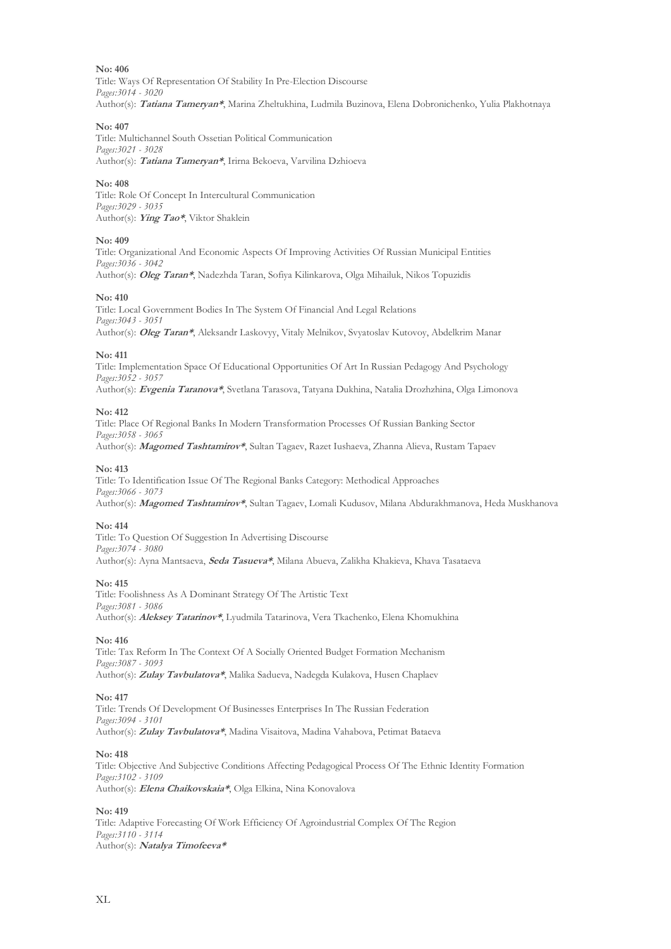Title: Ways Of Representation Of Stability In Pre-Election Discourse *Pages:3014 - 3020* Author(s): **Tatiana Tameryan\***, Marina Zheltukhina, Ludmila Buzinova, Elena Dobronichenko, Yulia Plakhotnaya

#### **No: 407**

Title: Multichannel South Ossetian Political Communication *Pages:3021 - 3028* Author(s): **Tatiana Tameryan\***, Irirna Bekoeva, Varvilina Dzhioeva

#### **No: 408**

Title: Role Of Concept In Intercultural Communication *Pages:3029 - 3035* Author(s): **Ying Tao\***, Viktor Shaklein

#### **No: 409**

Title: Organizational And Economic Aspects Of Improving Activities Of Russian Municipal Entities *Pages:3036 - 3042* Author(s): **Oleg Taran\***, Nadezhda Taran, Sofiya Kilinkarova, Olga Mihailuk, Nikos Topuzidis

#### **No: 410**

Title: Local Government Bodies In The System Of Financial And Legal Relations *Pages:3043 - 3051* Author(s): **Oleg Taran\***, Aleksandr Laskovyy, Vitaly Melnikov, Svyatoslav Kutovoy, Abdelkrim Manar

#### **No: 411**

Title: Implementation Space Of Educational Opportunities Of Art In Russian Pedagogy And Psychology *Pages:3052 - 3057* Author(s): **Evgenia Taranova\***, Svetlana Tarasova, Tatyana Dukhina, Natalia Drozhzhina, Olga Limonova

#### **No: 412**

Title: Place Of Regional Banks In Modern Transformation Processes Of Russian Banking Sector *Pages:3058 - 3065*

Author(s): **Magomed Tashtamirov\***, Sultan Tagaev, Razet Iushaeva, Zhanna Alieva, Rustam Tapaev

#### **No: 413**

Title: To Identification Issue Of The Regional Banks Category: Methodical Approaches *Pages:3066 - 3073* Author(s): **Magomed Tashtamirov\***, Sultan Tagaev, Lomali Kudusov, Milana Abdurakhmanova, Heda Muskhanova

#### **No: 414**

Title: To Question Of Suggestion In Advertising Discourse *Pages:3074 - 3080* Author(s): Ayna Mantsaeva, **Seda Tasueva\***, Milana Abueva, Zalikha Khakieva, Khava Tasataeva

#### **No: 415**

Title: Foolishness As A Dominant Strategy Of The Artistic Text *Pages:3081 - 3086* Author(s): **Aleksey Tatarinov\***, Lyudmila Tatarinova, Vera Tkachenko, Elena Khomukhina

#### **No: 416**

Title: Tax Reform In The Context Of A Socially Oriented Budget Formation Mechanism *Pages:3087 - 3093* Author(s): **Zulay Tavbulatova\***, Malika Sadueva, Nadegda Kulakova, Husen Chaplaev

#### **No: 417**

Title: Trends Of Development Of Businesses Enterprises In The Russian Federation *Pages:3094 - 3101* Author(s): **Zulay Tavbulatova\***, Madina Visaitova, Madina Vahabova, Petimat Bataeva

#### **No: 418**

Title: Objective And Subjective Conditions Affecting Pedagogical Process Of The Ethnic Identity Formation *Pages:3102 - 3109* Author(s): **Elena Chaikovskaia\***, Olga Elkina, Nina Konovalova

#### **No: 419**

Title: Adaptive Forecasting Of Work Efficiency Of Agroindustrial Complex Of The Region *Pages:3110 - 3114* Author(s): **Natalya Timofeeva\***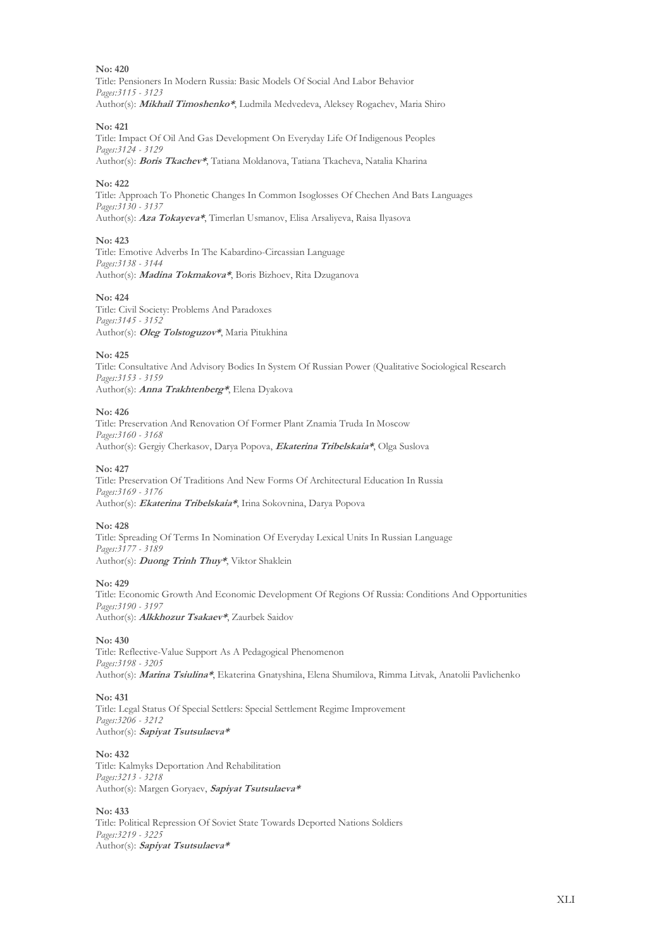Title: Pensioners In Modern Russia: Basic Models Of Social And Labor Behavior *Pages:3115 - 3123* Author(s): **Mikhail Timoshenko\***, Ludmila Medvedeva, Aleksey Rogachev, Maria Shiro

#### **No: 421**

Title: Impact Of Oil And Gas Development On Everyday Life Of Indigenous Peoples *Pages:3124 - 3129* Author(s): **Boris Tkachev\***, Tatiana Moldanova, Tatiana Tkacheva, Natalia Kharina

#### **No: 422**

Title: Approach To Phonetic Changes In Common Isoglosses Of Chechen And Bats Languages *Pages:3130 - 3137* Author(s): **Aza Tokayeva\***, Timerlan Usmanov, Elisa Arsaliyeva, Raisa Ilyasova

#### **No: 423**

Title: Emotive Adverbs In The Kabardino-Circassian Language *Pages:3138 - 3144* Author(s): **Madina Tokmakova\***, Boris Bizhoev, Rita Dzuganova

#### **No: 424**

Title: Civil Society: Problems And Paradoxes *Pages:3145 - 3152* Author(s): **Oleg Tolstoguzov\***, Maria Pitukhina

#### **No: 425**

Title: Consultative And Advisory Bodies In System Of Russian Power (Qualitative Sociological Research *Pages:3153 - 3159* Author(s): **Anna Trakhtenberg\***, Elena Dyakova

#### **No: 426**

Title: Preservation And Renovation Of Former Plant Znamia Truda In Moscow *Pages:3160 - 3168* Author(s): Gergiy Cherkasov, Darya Popova, **Ekaterina Tribelskaia\***, Olga Suslova

#### **No: 427**

Title: Preservation Of Traditions And New Forms Of Architectural Education In Russia *Pages:3169 - 3176* Author(s): **Ekaterina Tribelskaia\***, Irina Sokovnina, Darya Popova

#### **No: 428**

Title: Spreading Of Terms In Nomination Of Everyday Lexical Units In Russian Language *Pages:3177 - 3189* Author(s): **Duong Trinh Thuy\***, Viktor Shaklein

#### **No: 429**

Title: Economic Growth And Economic Development Of Regions Of Russia: Conditions And Opportunities *Pages:3190 - 3197* Author(s): **Alkkhozur Tsakaev\***, Zaurbek Saidov

#### **No: 430**

Title: Reflective-Value Support As A Pedagogical Phenomenon *Pages:3198 - 3205* Author(s): **Marina Tsiulina\***, Ekaterina Gnatyshina, Elena Shumilova, Rimma Litvak, Anatolii Pavlichenko

#### **No: 431**

Title: Legal Status Of Special Settlers: Special Settlement Regime Improvement *Pages:3206 - 3212* Author(s): **Sapiyat Tsutsulaeva\***

#### **No: 432**

Title: Kalmyks Deportation And Rehabilitation *Pages:3213 - 3218* Author(s): Margen Goryaev, **Sapiyat Tsutsulaeva\***

#### **No: 433**

Title: Political Repression Of Soviet State Towards Deported Nations Soldiers *Pages:3219 - 3225* Author(s): **Sapiyat Tsutsulaeva\***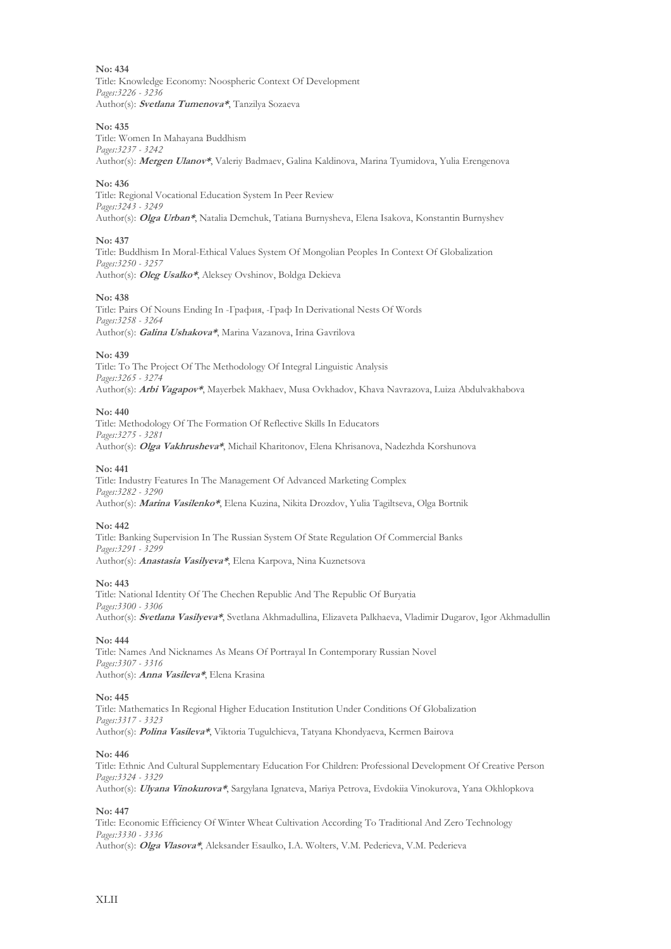Title: Knowledge Economy: Noospheric Context Of Development *Pages:3226 - 3236* Author(s): **Svetlana Tumenova\***, Tanzilya Sozaeva

#### **No: 435**

Title: Women In Mahayana Buddhism *Pages:3237 - 3242* Author(s): **Mergen Ulanov\***, Valeriy Badmaev, Galina Kaldinova, Marina Tyumidova, Yulia Erengenova

#### **No: 436**

Title: Regional Vocational Education System In Peer Review *Pages:3243 - 3249* Author(s): **Olga Urban\***, Natalia Demchuk, Tatiana Burnysheva, Elena Isakova, Konstantin Burnyshev

#### **No: 437**

Title: Buddhism In Moral-Ethical Values System Of Mongolian Peoples In Context Of Globalization *Pages:3250 - 3257* Author(s): **Oleg Usalko\***, Aleksey Ovshinov, Boldga Dekieva

#### **No: 438**

Title: Pairs Of Nouns Ending In -Графия, -Граф In Derivational Nests Of Words *Pages:3258 - 3264* Author(s): **Galina Ushakova\***, Marina Vazanova, Irina Gavrilova

#### **No: 439**

Title: To The Project Of The Methodology Of Integral Linguistic Analysis *Pages:3265 - 3274* Author(s): **Arbi Vagapov\***, Mayerbek Makhaev, Musa Ovkhadov, Khava Navrazova, Luiza Abdulvakhabova

#### **No: 440**

Title: Methodology Of The Formation Of Reflective Skills In Educators *Pages:3275 - 3281* Author(s): **Olga Vakhrusheva\***, Michail Kharitonov, Elena Khrisanova, Nadezhda Korshunova

#### **No: 441**

Title: Industry Features In The Management Of Advanced Marketing Complex *Pages:3282 - 3290* Author(s): **Marina Vasilenko\***, Elena Kuzina, Nikita Drozdov, Yulia Tagiltseva, Olga Bortnik

#### **No: 442**

Title: Banking Supervision In The Russian System Of State Regulation Of Commercial Banks *Pages:3291 - 3299* Author(s): **Anastasia Vasilyeva\***, Elena Karpova, Nina Kuznetsova

#### **No: 443**

Title: National Identity Of The Chechen Republic And The Republic Of Buryatia *Pages:3300 - 3306* Author(s): **Svetlana Vasilyeva\***, Svetlana Akhmadullina, Elizaveta Palkhaeva, Vladimir Dugarov, Igor Akhmadullin

#### **No: 444**

Title: Names And Nicknames As Means Of Portrayal In Contemporary Russian Novel *Pages:3307 - 3316* Author(s): **Anna Vasileva\***, Elena Krasina

#### **No: 445**

Title: Mathematics In Regional Higher Education Institution Under Conditions Of Globalization *Pages:3317 - 3323* Author(s): **Polina Vasileva\***, Viktoria Tugulchieva, Tatyana Khondyaeva, Kermen Bairova

#### **No: 446**

Title: Ethnic And Cultural Supplementary Education For Children: Professional Development Of Creative Person *Pages:3324 - 3329*

Author(s): **Ulyana Vinokurova\***, Sargylana Ignateva, Mariya Petrova, Evdokiia Vinokurova, Yana Okhlopkova

#### **No: 447**

Title: Economic Efficiency Of Winter Wheat Cultivation According To Traditional And Zero Technology *Pages:3330 - 3336* Author(s): **Olga Vlasova\***, Aleksander Esaulko, I.A. Wolters, V.M. Pederieva, V.M. Pederieva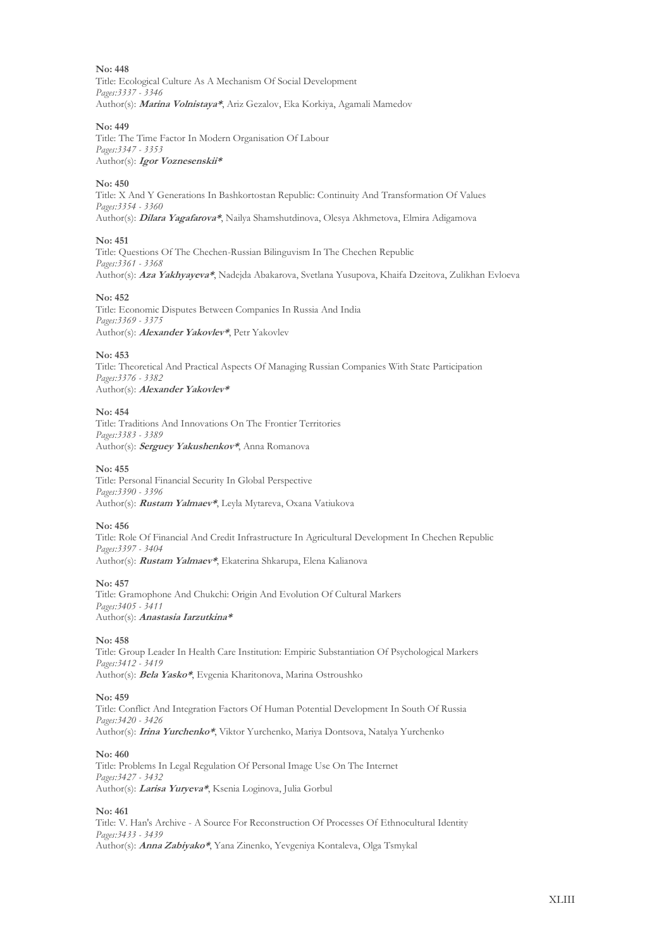**No: 448** Title: Ecological Culture As A Mechanism Of Social Development *Pages:3337 - 3346* Author(s): **Marina Volnistaya\***, Ariz Gezalov, Eka Korkiya, Agamali Mamedov

#### **No: 449**

Title: The Time Factor In Modern Organisation Of Labour *Pages:3347 - 3353* Author(s): **Igor Voznesenskii\***

#### **No: 450**

Title: X And Y Generations In Bashkortostan Republic: Continuity And Transformation Of Values *Pages:3354 - 3360* Author(s): **Dilara Yagafarova\***, Nailya Shamshutdinova, Olesya Akhmetova, Elmira Adigamova

#### **No: 451**

Title: Questions Of The Chechen-Russian Bilinguvism In The Chechen Republic *Pages:3361 - 3368* Author(s): **Aza Yakhyayeva\***, Nadejda Abakarova, Svetlana Yusupova, Khaifa Dzeitova, Zulikhan Evloeva

#### **No: 452**

Title: Economic Disputes Between Companies In Russia And India *Pages:3369 - 3375* Author(s): **Alexander Yakovlev\***, Petr Yakovlev

#### **No: 453**

Title: Theoretical And Practical Aspects Of Managing Russian Companies With State Participation *Pages:3376 - 3382* Author(s): **Alexander Yakovlev\***

#### **No: 454**

Title: Traditions And Innovations On The Frontier Territories *Pages:3383 - 3389* Author(s): **Serguey Yakushenkov\***, Anna Romanova

#### **No: 455**

Title: Personal Financial Security In Global Perspective *Pages:3390 - 3396* Author(s): **Rustam Yalmaev\***, Leyla Mytareva, Oxana Vatiukova

#### **No: 456**

Title: Role Of Financial And Credit Infrastructure In Agricultural Development In Chechen Republic *Pages:3397 - 3404* Author(s): **Rustam Yalmaev\***, Еkaterina Shkarupa, Еlena Kalianova

#### **No: 457**

Title: Gramophone And Chukchi: Origin And Evolution Of Cultural Markers *Pages:3405 - 3411* Author(s): **Anastasia Iarzutkina\***

#### **No: 458**

Title: Group Leader In Health Care Institution: Empiric Substantiation Of Psychological Markers *Pages:3412 - 3419* Author(s): **Bela Yasko\***, Evgenia Kharitonova, Marina Ostroushko

#### **No: 459**

Title: Conflict And Integration Factors Of Human Potential Development In South Of Russia *Pages:3420 - 3426* Author(s): **Irina Yurchenko\***, Viktor Yurchenko, Мariya Dontsova, Natalya Yurchenko

#### **No: 460**

Title: Problems In Legal Regulation Of Personal Image Use On The Internet *Pages:3427 - 3432* Author(s): **Larisa Yuryeva\***, Ksenia Loginova, Julia Gorbul

#### **No: 461**

Title: V. Han's Archive - A Source For Reconstruction Of Processes Of Ethnocultural Identity *Pages:3433 - 3439* Author(s): **Anna Zabiyako\***, Yana Zinenko, Yevgeniya Kontaleva, Olga Tsmykal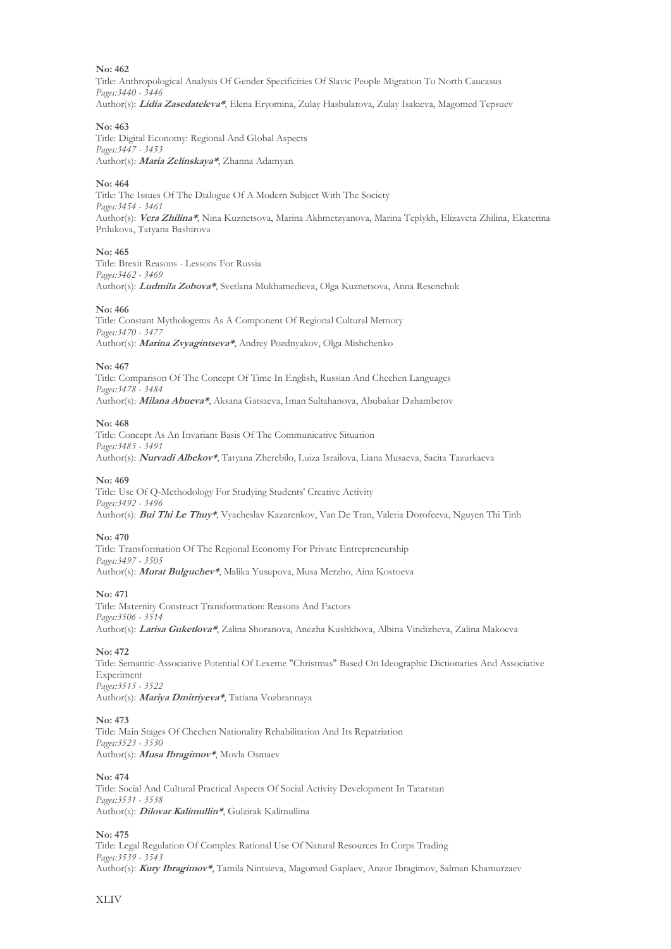Title: Anthropological Analysis Of Gender Specificities Of Slavic People Migration To North Caucasus *Pages:3440 - 3446* Author(s): **Lidia Zasedateleva\***, Elena Eryomina, Zulay Hasbulatova, Zulay Isakieva, Magomed Tepsuev

#### **No: 463**

Title: Digital Economy: Regional And Global Aspects *Pages:3447 - 3453* Author(s): **Maria Zelinskaya\***, Zhanna Adamyan

#### **No: 464**

Title: The Issues Of The Dialogue Of A Modern Subject With The Society *Pages:3454 - 3461* Author(s): **Vera Zhilina\***, Nina Kuznetsova, Marina Akhmetzyanova, Marina Teplykh, Elizaveta Zhilina, Ekaterina Prilukova, Tatyana Bashirova

#### **No: 465**

Title: Brexit Reasons - Lessons For Russia *Pages:3462 - 3469* Author(s): **Ludmila Zobova\***, Svetlana Mukhamedieva, Olga Kuznetsova, Anna Resenchuk

#### **No: 466**

Title: Constant Mythologems As A Component Of Regional Cultural Memory *Pages:3470 - 3477* Author(s): **Marina Zvyagintseva\***, Andrey Pozdnyakov, Olga Mishchenko

#### **No: 467**

Title: Comparison Of The Concept Of Time In English, Russian And Chechen Languages *Pages:3478 - 3484* Author(s): **Milana Abueva\***, Aksana Gatsaeva, Iman Sultahanova, Abubakar Dzhambetov

#### **No: 468**

Title: Concept As An Invariant Basis Of The Communicative Situation *Pages:3485 - 3491* Author(s): **Nurvadi Albekov\***, Tatyana Zherebilo, Luiza Israilova, Liana Musaeva, Sacita Tazurkaeva

#### **No: 469**

Title: Use Of Q-Methodology For Studying Students' Creative Activity *Pages:3492 - 3496* Author(s): **Bui Thi Le Thuy\***, Vyacheslav Kazarenkov, Van De Tran, Valeria Dorofeeva, Nguyen Thi Tinh

#### **No: 470**

Title: Transformation Of The Regional Economy For Private Entrepreneurship *Pages:3497 - 3505* Author(s): **Murat Bulguchev\***, Malika Yusupova, Musa Merzho, Aina Kostoeva

#### **No: 471**

Title: Maternity Construct Transformation: Reasons And Factors *Pages:3506 - 3514* Author(s): **Larisa Guketlova\***, Zalina Shoranova, Аnezha Kushkhova, Аlbina Vindizheva, Zalina Makoeva

#### **No: 472**

Title: Semantic-Associative Potential Of Lexeme "Christmas" Based On Ideographic Dictionaries And Associative Experiment *Pages:3515 - 3522* Author(s): **Mariya Dmitriyeva\***, Tatiana Vozbrannaya

#### **No: 473**

Title: Main Stages Of Chechen Nationality Rehabilitation And Its Repatriation *Pages:3523 - 3530* Author(s): **Musa Ibragimov\***, Movla Оsmaev

#### **No: 474**

Title: Social And Cultural Practical Aspects Of Social Activity Development In Tatarstan *Pages:3531 - 3538* Author(s): **Dilovar Kalimullin\***, Gulzirak Kalimullina

#### **No: 475**

Title: Legal Regulation Of Complex Rational Use Of Natural Resources In Corps Trading *Pages:3539 - 3543* Author(s): **Kury Ibragimov\***, Tamila Nintsieva, Magomed Gaplaev, Anzor Ibragimov, Salman Khamurzaev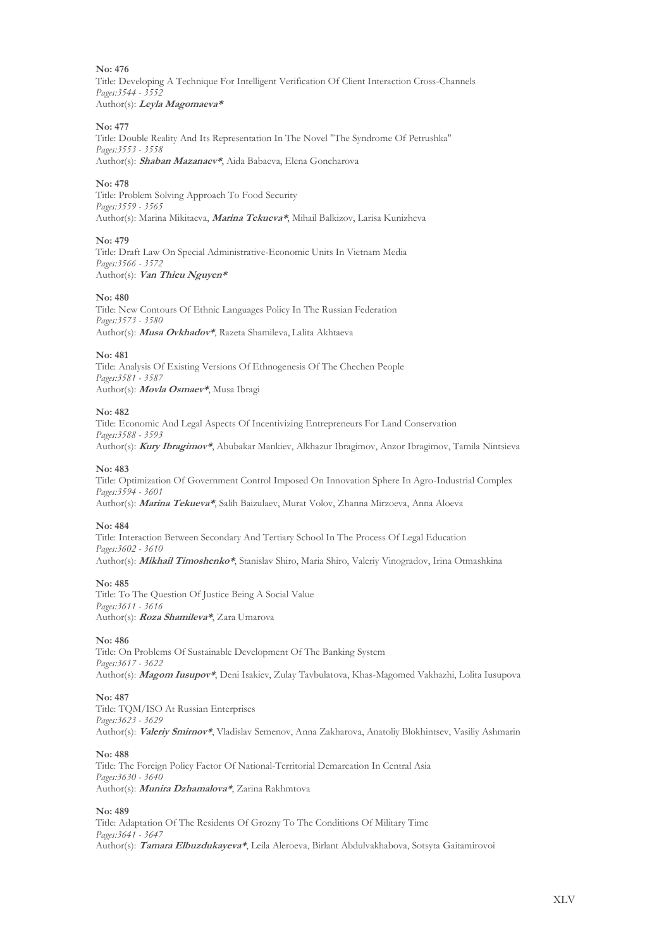Title: Developing A Technique For Intelligent Verification Of Client Interaction Cross-Channels *Pages:3544 - 3552* Author(s): **Leyla Magomaeva\***

#### **No: 477**

Title: Double Reality And Its Representation In The Novel "The Syndrome Of Petrushka" *Pages:3553 - 3558* Author(s): **Shaban Mazanaev\***, Aida Babaeva, Elena Goncharova

#### **No: 478**

Title: Problem Solving Approach To Food Security *Pages:3559 - 3565* Author(s): Marina Mikitaeva, **Marina Tekueva\***, Mihail Balkizov, Larisa Kunizheva

#### **No: 479**

Title: Draft Law On Special Administrative-Economic Units In Vietnam Media *Pages:3566 - 3572* Author(s): **Van Thieu Nguyen\***

#### **No: 480**

Title: New Contours Of Ethnic Languages Policy In The Russian Federation *Pages:3573 - 3580* Author(s): **Musa Ovkhadov\***, Razeta Shamileva, Lalita Akhtaeva

#### **No: 481**

Title: Analysis Of Existing Versions Of Ethnogenesis Of The Chechen People *Pages:3581 - 3587* Author(s): **Movla Osmaev\***, Musa Ibragi

#### **No: 482**

Title: Economic And Legal Aspects Of Incentivizing Entrepreneurs For Land Conservation *Pages:3588 - 3593* Author(s): **Kury Ibragimov\***, Abubakar Mankiev, Alkhazur Ibragimov, Anzor Ibragimov, Tamila Nintsieva

#### **No: 483**

Title: Optimization Of Government Control Imposed On Innovation Sphere In Agro-Industrial Complex *Pages:3594 - 3601* Author(s): **Мarina Tekueva\***, Salih Baizulaev, Murat Volov, Zhanna Mirzoeva, Anna Aloeva

#### **No: 484**

Title: Interaction Between Secondary And Tertiary School In The Process Of Legal Education *Pages:3602 - 3610* Author(s): **Mikhail Timoshenko\***, Stanislav Shiro, Maria Shiro, Valeriy Vinogradov, Irina Otmashkina

#### **No: 485**

Title: To The Question Of Justice Being A Social Value *Pages:3611 - 3616* Author(s): **Roza Shamileva\***, Zara Umarova

#### **No: 486**

Title: On Problems Of Sustainable Development Of The Banking System *Pages:3617 - 3622* Author(s): **Magom Iusupov\***, Deni Isakiev, Zulay Tavbulatova, Khas-Magomed Vakhazhi, Lolita Iusupova

#### **No: 487**

Title: TQM/ISO At Russian Enterprises *Pages:3623 - 3629* Author(s): **Valeriy Smirnov\***, Vladislav Semenov, Anna Zakharova, Anatoliy Blokhintsev, Vasiliy Ashmarin

#### **No: 488**

Title: The Foreign Policy Factor Of National-Territorial Demarcation In Central Asia *Pages:3630 - 3640* Author(s): **Munira Dzhamalova\***, Zarina Rakhmtova

#### **No: 489**

Title: Adaptation Of The Residents Of Grozny To The Conditions Of Military Time *Pages:3641 - 3647* Author(s): **Tamara Elbuzdukayeva\***, Leila Aleroeva, Birlant Abdulvakhabova, Sotsyta Gaitamirovoi